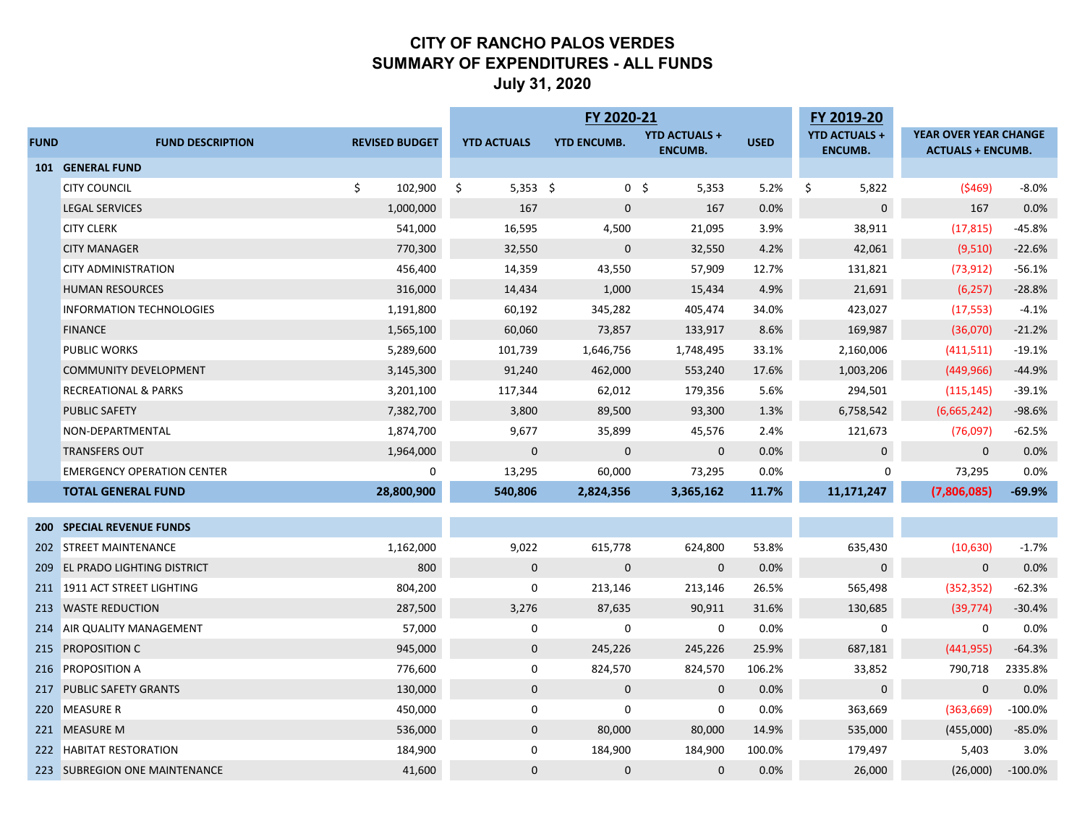#### **CITY OF RANCHO PALOS VERDES SUMMARY OF EXPENDITURES - ALL FUNDS July 31, 2020**

|             |                                   |                       | FY 2020-21         |                    |                         |             | FY 2019-20           |                          |           |
|-------------|-----------------------------------|-----------------------|--------------------|--------------------|-------------------------|-------------|----------------------|--------------------------|-----------|
| <b>FUND</b> | <b>FUND DESCRIPTION</b>           | <b>REVISED BUDGET</b> | <b>YTD ACTUALS</b> | <b>YTD ENCUMB.</b> | <b>YTD ACTUALS +</b>    | <b>USED</b> | <b>YTD ACTUALS +</b> | YEAR OVER YEAR CHANGE    |           |
|             |                                   |                       |                    |                    | <b>ENCUMB.</b>          |             | <b>ENCUMB.</b>       | <b>ACTUALS + ENCUMB.</b> |           |
|             | <b>101 GENERAL FUND</b>           |                       |                    |                    |                         |             |                      |                          |           |
|             | <b>CITY COUNCIL</b>               | \$<br>102,900         | \$<br>$5,353$ \$   |                    | 0 <sup>5</sup><br>5,353 | 5.2%        | \$<br>5,822          | (5469)                   | $-8.0%$   |
|             | <b>LEGAL SERVICES</b>             | 1,000,000             | 167                | $\mathbf 0$        | 167                     | 0.0%        | $\mathbf 0$          | 167                      | 0.0%      |
|             | <b>CITY CLERK</b>                 | 541,000               | 16,595             | 4,500              | 21,095                  | 3.9%        | 38,911               | (17, 815)                | $-45.8%$  |
|             | <b>CITY MANAGER</b>               | 770,300               | 32,550             | $\mathbf 0$        | 32,550                  | 4.2%        | 42,061               | (9,510)                  | $-22.6%$  |
|             | <b>CITY ADMINISTRATION</b>        | 456,400               | 14,359             | 43,550             | 57,909                  | 12.7%       | 131,821              | (73, 912)                | $-56.1%$  |
|             | <b>HUMAN RESOURCES</b>            | 316,000               | 14,434             | 1,000              | 15,434                  | 4.9%        | 21,691               | (6, 257)                 | $-28.8%$  |
|             | INFORMATION TECHNOLOGIES          | 1,191,800             | 60,192             | 345,282            | 405,474                 | 34.0%       | 423,027              | (17, 553)                | $-4.1%$   |
|             | <b>FINANCE</b>                    | 1,565,100             | 60,060             | 73,857             | 133,917                 | 8.6%        | 169,987              | (36,070)                 | $-21.2%$  |
|             | PUBLIC WORKS                      | 5,289,600             | 101,739            | 1,646,756          | 1,748,495               | 33.1%       | 2,160,006            | (411, 511)               | $-19.1%$  |
|             | <b>COMMUNITY DEVELOPMENT</b>      | 3,145,300             | 91,240             | 462,000            | 553,240                 | 17.6%       | 1,003,206            | (449, 966)               | $-44.9%$  |
|             | <b>RECREATIONAL &amp; PARKS</b>   | 3,201,100             | 117,344            | 62,012             | 179,356                 | 5.6%        | 294,501              | (115, 145)               | $-39.1%$  |
|             | PUBLIC SAFETY                     | 7,382,700             | 3,800              | 89,500             | 93,300                  | 1.3%        | 6,758,542            | (6,665,242)              | $-98.6%$  |
|             | NON-DEPARTMENTAL                  | 1,874,700             | 9,677              | 35,899             | 45,576                  | 2.4%        | 121,673              | (76,097)                 | $-62.5%$  |
|             | <b>TRANSFERS OUT</b>              | 1,964,000             | $\mathbf{0}$       | $\mathbf 0$        | $\mathbf 0$             | 0.0%        | $\mathbf 0$          | $\mathbf{0}$             | 0.0%      |
|             | <b>EMERGENCY OPERATION CENTER</b> | $\mathbf 0$           | 13,295             | 60,000             | 73,295                  | 0.0%        | 0                    | 73,295                   | 0.0%      |
|             | <b>TOTAL GENERAL FUND</b>         | 28,800,900            | 540,806            | 2,824,356          | 3,365,162               | 11.7%       | 11,171,247           | (7,806,085)              | $-69.9%$  |
|             |                                   |                       |                    |                    |                         |             |                      |                          |           |
|             | <b>200 SPECIAL REVENUE FUNDS</b>  |                       |                    |                    |                         |             |                      |                          |           |
|             | 202 STREET MAINTENANCE            | 1,162,000             | 9,022              | 615,778            | 624,800                 | 53.8%       | 635,430              | (10,630)                 | $-1.7%$   |
|             | 209 EL PRADO LIGHTING DISTRICT    | 800                   | $\mathbf 0$        | $\mathbf 0$        | $\mathbf 0$             | 0.0%        | $\mathbf 0$          | $\mathbf{0}$             | 0.0%      |
|             | 211 1911 ACT STREET LIGHTING      | 804,200               | $\mathbf 0$        | 213,146            | 213,146                 | 26.5%       | 565,498              | (352, 352)               | $-62.3%$  |
|             | 213 WASTE REDUCTION               | 287,500               | 3,276              | 87,635             | 90,911                  | 31.6%       | 130,685              | (39, 774)                | $-30.4%$  |
|             | 214 AIR QUALITY MANAGEMENT        | 57,000                | 0                  | $\mathbf 0$        | 0                       | 0.0%        | $\mathbf 0$          | $\mathbf{0}$             | 0.0%      |
|             | 215 PROPOSITION C                 | 945,000               | $\mathbf 0$        | 245,226            | 245,226                 | 25.9%       | 687,181              | (441, 955)               | $-64.3%$  |
|             | 216 PROPOSITION A                 | 776,600               | 0                  | 824,570            | 824,570                 | 106.2%      | 33,852               | 790,718                  | 2335.8%   |
|             | 217 PUBLIC SAFETY GRANTS          | 130,000               | $\mathbf 0$        | $\mathbf 0$        | $\mathbf 0$             | 0.0%        | $\mathbf 0$          | $\mathbf{0}$             | 0.0%      |
|             | 220 MEASURE R                     | 450,000               | $\mathbf 0$        | $\mathbf 0$        | $\mathbf 0$             | 0.0%        | 363,669              | (363, 669)               | $-100.0%$ |
|             | 221 MEASURE M                     | 536,000               | $\mathbf 0$        | 80,000             | 80,000                  | 14.9%       | 535,000              | (455,000)                | $-85.0%$  |
|             | 222 HABITAT RESTORATION           | 184,900               | $\Omega$           | 184,900            | 184,900                 | 100.0%      | 179,497              | 5,403                    | 3.0%      |
|             | 223 SUBREGION ONE MAINTENANCE     | 41,600                | $\Omega$           | $\mathbf{0}$       | $\mathbf 0$             | 0.0%        | 26,000               | (26,000)                 | $-100.0%$ |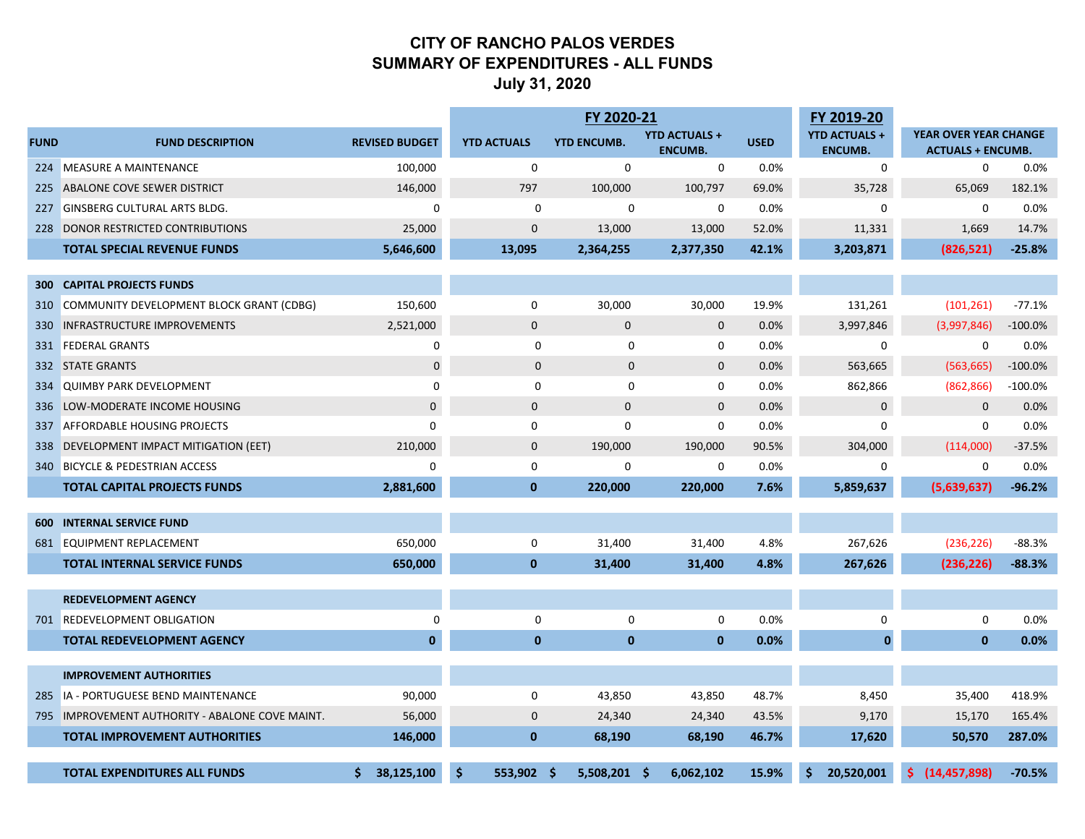#### **CITY OF RANCHO PALOS VERDES SUMMARY OF EXPENDITURES - ALL FUNDS July 31, 2020**

|                  |                                                 |                       |                    | FY 2020-21         |                                        |             | FY 2019-20                             |                                                          |           |
|------------------|-------------------------------------------------|-----------------------|--------------------|--------------------|----------------------------------------|-------------|----------------------------------------|----------------------------------------------------------|-----------|
| <b>FUND</b>      | <b>FUND DESCRIPTION</b>                         | <b>REVISED BUDGET</b> | <b>YTD ACTUALS</b> | <b>YTD ENCUMB.</b> | <b>YTD ACTUALS +</b><br><b>ENCUMB.</b> | <b>USED</b> | <b>YTD ACTUALS +</b><br><b>ENCUMB.</b> | <b>YEAR OVER YEAR CHANGE</b><br><b>ACTUALS + ENCUMB.</b> |           |
| 224              | <b>MEASURE A MAINTENANCE</b>                    | 100,000               | 0                  | 0                  | $\mathbf 0$                            | 0.0%        | $\mathbf 0$                            | $\mathbf 0$                                              | 0.0%      |
| 225              | ABALONE COVE SEWER DISTRICT                     | 146,000               | 797                | 100,000            | 100,797                                | 69.0%       | 35,728                                 | 65,069                                                   | 182.1%    |
| 227              | <b>GINSBERG CULTURAL ARTS BLDG.</b>             | $\mathbf 0$           | $\mathbf 0$        | $\mathbf 0$        | 0                                      | 0.0%        | 0                                      | 0                                                        | 0.0%      |
|                  | 228 DONOR RESTRICTED CONTRIBUTIONS              | 25,000                | $\mathbf 0$        | 13,000             | 13,000                                 | 52.0%       | 11,331                                 | 1,669                                                    | 14.7%     |
|                  | <b>TOTAL SPECIAL REVENUE FUNDS</b>              | 5,646,600             | 13,095             | 2,364,255          | 2,377,350                              | 42.1%       | 3,203,871                              | (826, 521)                                               | $-25.8%$  |
|                  |                                                 |                       |                    |                    |                                        |             |                                        |                                                          |           |
| 300 <sub>1</sub> | <b>CAPITAL PROJECTS FUNDS</b>                   |                       |                    |                    |                                        |             |                                        |                                                          |           |
| 310              | COMMUNITY DEVELOPMENT BLOCK GRANT (CDBG)        | 150,600               | $\mathbf 0$        | 30,000             | 30,000                                 | 19.9%       | 131,261                                | (101, 261)                                               | $-77.1%$  |
| 330              | <b>INFRASTRUCTURE IMPROVEMENTS</b>              | 2,521,000             | $\mathbf{0}$       | $\mathbf{0}$       | $\mathbf 0$                            | 0.0%        | 3,997,846                              | (3,997,846)                                              | $-100.0%$ |
| 331              | <b>FEDERAL GRANTS</b>                           | 0                     | 0                  | $\mathbf 0$        | 0                                      | 0.0%        | 0                                      | $\mathbf 0$                                              | 0.0%      |
|                  | 332 STATE GRANTS                                | $\mathbf 0$           | $\mathbf{0}$       | $\mathbf 0$        | $\mathbf 0$                            | 0.0%        | 563,665                                | (563, 665)                                               | $-100.0%$ |
|                  | 334 QUIMBY PARK DEVELOPMENT                     | $\mathbf 0$           | 0                  | $\mathbf 0$        | 0                                      | 0.0%        | 862,866                                | (862, 866)                                               | $-100.0%$ |
| 336              | LOW-MODERATE INCOME HOUSING                     | $\mathbf 0$           | $\mathbf{0}$       | $\mathbf{0}$       | $\mathbf 0$                            | 0.0%        | $\mathbf 0$                            | $\overline{0}$                                           | 0.0%      |
| 337              | <b>AFFORDABLE HOUSING PROJECTS</b>              | $\mathbf 0$           | $\mathbf 0$        | $\mathbf 0$        | $\mathbf 0$                            | 0.0%        | 0                                      | $\Omega$                                                 | 0.0%      |
| 338              | DEVELOPMENT IMPACT MITIGATION (EET)             | 210,000               | $\mathbf 0$        | 190,000            | 190,000                                | 90.5%       | 304,000                                | (114,000)                                                | $-37.5%$  |
|                  | 340 BICYCLE & PEDESTRIAN ACCESS                 | 0                     | 0                  | 0                  | 0                                      | 0.0%        | 0                                      | 0                                                        | 0.0%      |
|                  | <b>TOTAL CAPITAL PROJECTS FUNDS</b>             | 2,881,600             | $\mathbf 0$        | 220,000            | 220,000                                | 7.6%        | 5,859,637                              | (5,639,637)                                              | $-96.2%$  |
| 600              | <b>INTERNAL SERVICE FUND</b>                    |                       |                    |                    |                                        |             |                                        |                                                          |           |
|                  | 681 EQUIPMENT REPLACEMENT                       | 650,000               | $\mathbf 0$        | 31,400             | 31,400                                 | 4.8%        | 267,626                                | (236, 226)                                               | $-88.3%$  |
|                  | <b>TOTAL INTERNAL SERVICE FUNDS</b>             | 650,000               | $\mathbf{0}$       | 31,400             | 31,400                                 | 4.8%        | 267,626                                | (236, 226)                                               | $-88.3%$  |
|                  |                                                 |                       |                    |                    |                                        |             |                                        |                                                          |           |
|                  | <b>REDEVELOPMENT AGENCY</b>                     |                       |                    |                    |                                        |             |                                        |                                                          |           |
| 701              | <b>REDEVELOPMENT OBLIGATION</b>                 | $\mathbf 0$           | 0                  | 0                  | 0                                      | 0.0%        | 0                                      | $\mathbf 0$                                              | 0.0%      |
|                  | <b>TOTAL REDEVELOPMENT AGENCY</b>               | $\mathbf{0}$          | $\mathbf{0}$       | $\mathbf{0}$       | $\mathbf{0}$                           | 0.0%        | $\mathbf{0}$                           | $\mathbf 0$                                              | 0.0%      |
|                  |                                                 |                       |                    |                    |                                        |             |                                        |                                                          |           |
|                  | <b>IMPROVEMENT AUTHORITIES</b>                  |                       |                    |                    |                                        |             |                                        |                                                          |           |
| -285             | IA - PORTUGUESE BEND MAINTENANCE                | 90,000                | $\mathbf 0$        | 43,850             | 43,850                                 | 48.7%       | 8,450                                  | 35,400                                                   | 418.9%    |
|                  | 795 IMPROVEMENT AUTHORITY - ABALONE COVE MAINT. | 56,000                | $\mathbf{0}$       | 24,340             | 24,340                                 | 43.5%       | 9,170                                  | 15,170                                                   | 165.4%    |
|                  | <b>TOTAL IMPROVEMENT AUTHORITIES</b>            | 146,000               | $\mathbf{0}$       | 68,190             | 68,190                                 | 46.7%       | 17,620                                 | 50,570                                                   | 287.0%    |
|                  | <b>TOTAL EXPENDITURES ALL FUNDS</b>             | 38,125,100<br>S       | 553,902 \$<br>\$   | 5,508,201 \$       | 6,062,102                              | 15.9%       | 20,520,001                             | (14, 457, 898)<br>S.                                     | $-70.5%$  |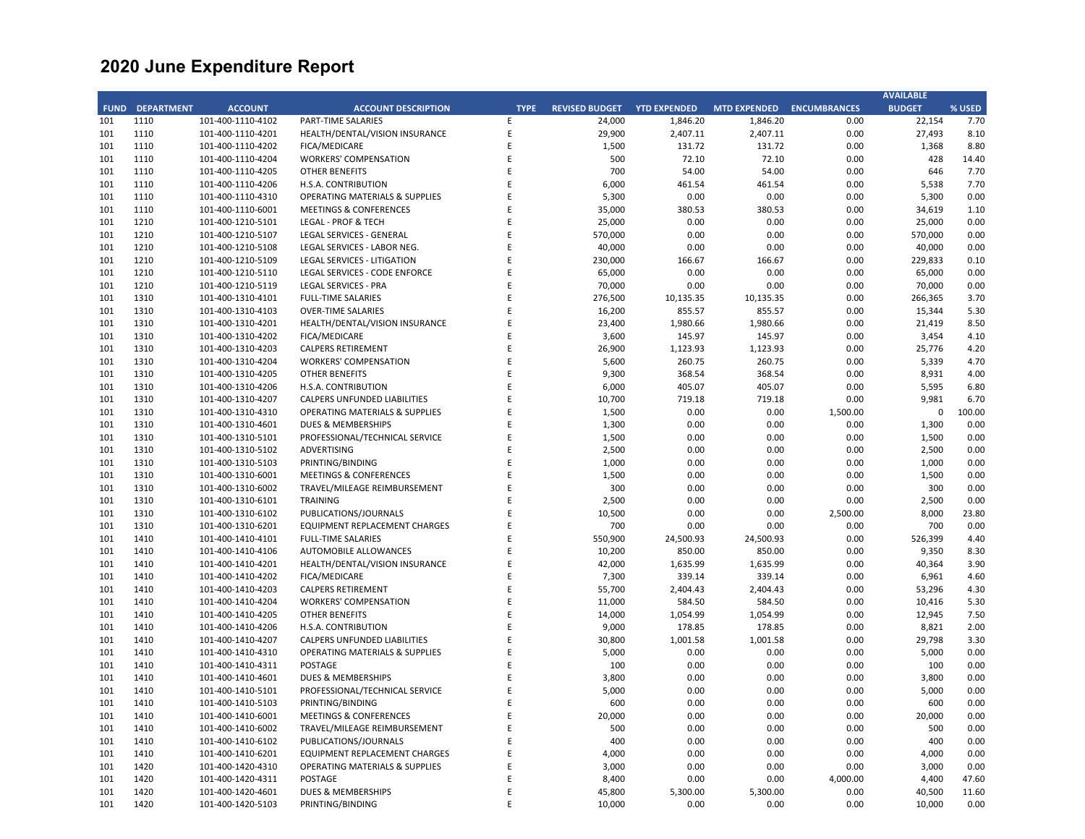|             |                   |                   |                                           |             |                       |                     |                     |                     | <b>AVAILABLE</b> |        |
|-------------|-------------------|-------------------|-------------------------------------------|-------------|-----------------------|---------------------|---------------------|---------------------|------------------|--------|
| <b>FUND</b> | <b>DEPARTMENT</b> | <b>ACCOUNT</b>    | <b>ACCOUNT DESCRIPTION</b>                | <b>TYPE</b> | <b>REVISED BUDGET</b> | <b>YTD EXPENDED</b> | <b>MTD EXPENDED</b> | <b>ENCUMBRANCES</b> | <b>BUDGET</b>    | % USED |
| 101         | 1110              | 101-400-1110-4102 | <b>PART-TIME SALARIES</b>                 | E           | 24,000                | 1,846.20            | 1,846.20            | 0.00                | 22,154           | 7.70   |
| 101         | 1110              | 101-400-1110-4201 | HEALTH/DENTAL/VISION INSURANCE            | E           | 29,900                | 2,407.11            | 2,407.11            | 0.00                | 27,493           | 8.10   |
| 101         | 1110              | 101-400-1110-4202 | FICA/MEDICARE                             | E           | 1,500                 | 131.72              | 131.72              | 0.00                | 1,368            | 8.80   |
| 101         | 1110              | 101-400-1110-4204 | <b>WORKERS' COMPENSATION</b>              | E           | 500                   | 72.10               | 72.10               | 0.00                | 428              | 14.40  |
| 101         | 1110              | 101-400-1110-4205 | <b>OTHER BENEFITS</b>                     | E           | 700                   | 54.00               | 54.00               | 0.00                | 646              | 7.70   |
| 101         | 1110              | 101-400-1110-4206 | H.S.A. CONTRIBUTION                       | E           | 6,000                 | 461.54              | 461.54              | 0.00                | 5,538            | 7.70   |
| 101         | 1110              | 101-400-1110-4310 | <b>OPERATING MATERIALS &amp; SUPPLIES</b> | E           | 5,300                 | 0.00                | 0.00                | 0.00                | 5,300            | 0.00   |
| 101         | 1110              | 101-400-1110-6001 | <b>MEETINGS &amp; CONFERENCES</b>         | E           | 35,000                | 380.53              | 380.53              | 0.00                | 34,619           | 1.10   |
| 101         | 1210              | 101-400-1210-5101 | <b>LEGAL - PROF &amp; TECH</b>            | E           | 25,000                | 0.00                | 0.00                | 0.00                | 25,000           | 0.00   |
| 101         | 1210              | 101-400-1210-5107 | <b>LEGAL SERVICES - GENERAL</b>           | E           | 570,000               | 0.00                | 0.00                | 0.00                | 570,000          | 0.00   |
| 101         | 1210              | 101-400-1210-5108 | LEGAL SERVICES - LABOR NEG.               | E           | 40,000                | 0.00                | 0.00                | 0.00                | 40,000           | 0.00   |
| 101         |                   |                   |                                           | E           |                       |                     |                     |                     |                  |        |
|             | 1210              | 101-400-1210-5109 | <b>LEGAL SERVICES - LITIGATION</b>        |             | 230,000               | 166.67              | 166.67              | 0.00                | 229,833          | 0.10   |
| 101         | 1210              | 101-400-1210-5110 | LEGAL SERVICES - CODE ENFORCE             | E           | 65,000                | 0.00                | 0.00                | 0.00                | 65,000           | 0.00   |
| 101         | 1210              | 101-400-1210-5119 | <b>LEGAL SERVICES - PRA</b>               | E           | 70,000                | 0.00                | 0.00                | 0.00                | 70,000           | 0.00   |
| 101         | 1310              | 101-400-1310-4101 | <b>FULL-TIME SALARIES</b>                 | E           | 276,500               | 10,135.35           | 10,135.35           | 0.00                | 266,365          | 3.70   |
| 101         | 1310              | 101-400-1310-4103 | <b>OVER-TIME SALARIES</b>                 | E           | 16,200                | 855.57              | 855.57              | 0.00                | 15,344           | 5.30   |
| 101         | 1310              | 101-400-1310-4201 | HEALTH/DENTAL/VISION INSURANCE            | E           | 23,400                | 1,980.66            | 1,980.66            | 0.00                | 21,419           | 8.50   |
| 101         | 1310              | 101-400-1310-4202 | FICA/MEDICARE                             | E           | 3,600                 | 145.97              | 145.97              | 0.00                | 3,454            | 4.10   |
| 101         | 1310              | 101-400-1310-4203 | <b>CALPERS RETIREMENT</b>                 | E           | 26,900                | 1,123.93            | 1,123.93            | 0.00                | 25,776           | 4.20   |
| 101         | 1310              | 101-400-1310-4204 | <b>WORKERS' COMPENSATION</b>              | E           | 5,600                 | 260.75              | 260.75              | 0.00                | 5,339            | 4.70   |
| 101         | 1310              | 101-400-1310-4205 | <b>OTHER BENEFITS</b>                     | E           | 9,300                 | 368.54              | 368.54              | 0.00                | 8,931            | 4.00   |
| 101         | 1310              | 101-400-1310-4206 | H.S.A. CONTRIBUTION                       | E           | 6,000                 | 405.07              | 405.07              | 0.00                | 5,595            | 6.80   |
| 101         | 1310              | 101-400-1310-4207 | <b>CALPERS UNFUNDED LIABILITIES</b>       | E           | 10,700                | 719.18              | 719.18              | 0.00                | 9,981            | 6.70   |
| 101         | 1310              | 101-400-1310-4310 | <b>OPERATING MATERIALS &amp; SUPPLIES</b> | E           | 1,500                 | 0.00                | 0.00                | 1,500.00            | $\mathbf 0$      | 100.00 |
| 101         | 1310              | 101-400-1310-4601 | DUES & MEMBERSHIPS                        | E           | 1,300                 | 0.00                | 0.00                | 0.00                | 1,300            | 0.00   |
| 101         | 1310              | 101-400-1310-5101 | PROFESSIONAL/TECHNICAL SERVICE            | E           | 1,500                 | 0.00                | 0.00                | 0.00                | 1,500            | 0.00   |
| 101         | 1310              | 101-400-1310-5102 | ADVERTISING                               | F           | 2,500                 | 0.00                | 0.00                | 0.00                | 2,500            | 0.00   |
| 101         | 1310              | 101-400-1310-5103 | PRINTING/BINDING                          | E           | 1,000                 | 0.00                | 0.00                | 0.00                | 1,000            | 0.00   |
| 101         | 1310              | 101-400-1310-6001 | <b>MEETINGS &amp; CONFERENCES</b>         | E           | 1,500                 | 0.00                | 0.00                | 0.00                | 1,500            | 0.00   |
| 101         | 1310              | 101-400-1310-6002 | TRAVEL/MILEAGE REIMBURSEMENT              | E           | 300                   | 0.00                | 0.00                | 0.00                | 300              | 0.00   |
| 101         | 1310              | 101-400-1310-6101 | <b>TRAINING</b>                           | E           | 2,500                 | 0.00                | 0.00                | 0.00                | 2,500            | 0.00   |
| 101         | 1310              | 101-400-1310-6102 | PUBLICATIONS/JOURNALS                     | E           | 10,500                | 0.00                | 0.00                | 2,500.00            | 8,000            | 23.80  |
| 101         | 1310              | 101-400-1310-6201 | EQUIPMENT REPLACEMENT CHARGES             | E           | 700                   | 0.00                | 0.00                | 0.00                | 700              | 0.00   |
| 101         | 1410              | 101-400-1410-4101 | <b>FULL-TIME SALARIES</b>                 | E           | 550,900               | 24,500.93           | 24,500.93           | 0.00                | 526,399          | 4.40   |
| 101         |                   |                   | AUTOMOBILE ALLOWANCES                     | E           | 10,200                | 850.00              | 850.00              | 0.00                | 9,350            | 8.30   |
| 101         | 1410<br>1410      | 101-400-1410-4106 |                                           | E           |                       |                     |                     | 0.00                |                  |        |
|             |                   | 101-400-1410-4201 | HEALTH/DENTAL/VISION INSURANCE            | E           | 42,000                | 1,635.99            | 1,635.99            |                     | 40,364           | 3.90   |
| 101         | 1410              | 101-400-1410-4202 | <b>FICA/MEDICARE</b>                      |             | 7,300                 | 339.14              | 339.14              | 0.00                | 6,961            | 4.60   |
| 101         | 1410              | 101-400-1410-4203 | <b>CALPERS RETIREMENT</b>                 | E           | 55,700                | 2,404.43            | 2,404.43            | 0.00                | 53,296           | 4.30   |
| 101         | 1410              | 101-400-1410-4204 | <b>WORKERS' COMPENSATION</b>              | E           | 11,000                | 584.50              | 584.50              | 0.00                | 10,416           | 5.30   |
| 101         | 1410              | 101-400-1410-4205 | <b>OTHER BENEFITS</b>                     | E           | 14,000                | 1,054.99            | 1,054.99            | 0.00                | 12,945           | 7.50   |
| 101         | 1410              | 101-400-1410-4206 | H.S.A. CONTRIBUTION                       | E           | 9,000                 | 178.85              | 178.85              | 0.00                | 8,821            | 2.00   |
| 101         | 1410              | 101-400-1410-4207 | CALPERS UNFUNDED LIABILITIES              | E           | 30,800                | 1,001.58            | 1,001.58            | 0.00                | 29,798           | 3.30   |
| 101         | 1410              | 101-400-1410-4310 | <b>OPERATING MATERIALS &amp; SUPPLIES</b> | E           | 5,000                 | 0.00                | 0.00                | 0.00                | 5,000            | 0.00   |
| 101         | 1410              | 101-400-1410-4311 | POSTAGE                                   | E           | 100                   | 0.00                | 0.00                | 0.00                | 100              | 0.00   |
| 101         | 1410              | 101-400-1410-4601 | DUES & MEMBERSHIPS                        | E           | 3,800                 | 0.00                | 0.00                | 0.00                | 3,800            | 0.00   |
| 101         | 1410              | 101-400-1410-5101 | PROFESSIONAL/TECHNICAL SERVICE            | E           | 5,000                 | 0.00                | 0.00                | 0.00                | 5,000            | 0.00   |
| 101         | 1410              | 101-400-1410-5103 | PRINTING/BINDING                          | E           | 600                   | 0.00                | 0.00                | 0.00                | 600              | 0.00   |
| 101         | 1410              | 101-400-1410-6001 | <b>MEETINGS &amp; CONFERENCES</b>         | E           | 20,000                | 0.00                | 0.00                | 0.00                | 20,000           | 0.00   |
| 101         | 1410              | 101-400-1410-6002 | TRAVEL/MILEAGE REIMBURSEMENT              | E           | 500                   | 0.00                | 0.00                | 0.00                | 500              | 0.00   |
| 101         | 1410              | 101-400-1410-6102 | PUBLICATIONS/JOURNALS                     | E           | 400                   | 0.00                | 0.00                | 0.00                | 400              | 0.00   |
| 101         | 1410              | 101-400-1410-6201 | EQUIPMENT REPLACEMENT CHARGES             | E           | 4,000                 | 0.00                | 0.00                | 0.00                | 4,000            | 0.00   |
| 101         | 1420              | 101-400-1420-4310 | <b>OPERATING MATERIALS &amp; SUPPLIES</b> | E           | 3,000                 | 0.00                | 0.00                | 0.00                | 3,000            | 0.00   |
| 101         | 1420              | 101-400-1420-4311 | POSTAGE                                   | E           | 8,400                 | 0.00                | 0.00                | 4,000.00            | 4,400            | 47.60  |
| 101         | 1420              | 101-400-1420-4601 | DUES & MEMBERSHIPS                        | E           | 45,800                | 5,300.00            | 5,300.00            | 0.00                | 40,500           | 11.60  |
| 101         | 1420              | 101-400-1420-5103 | PRINTING/BINDING                          | F           | 10,000                | 0.00                | 0.00                | 0.00                | 10,000           | 0.00   |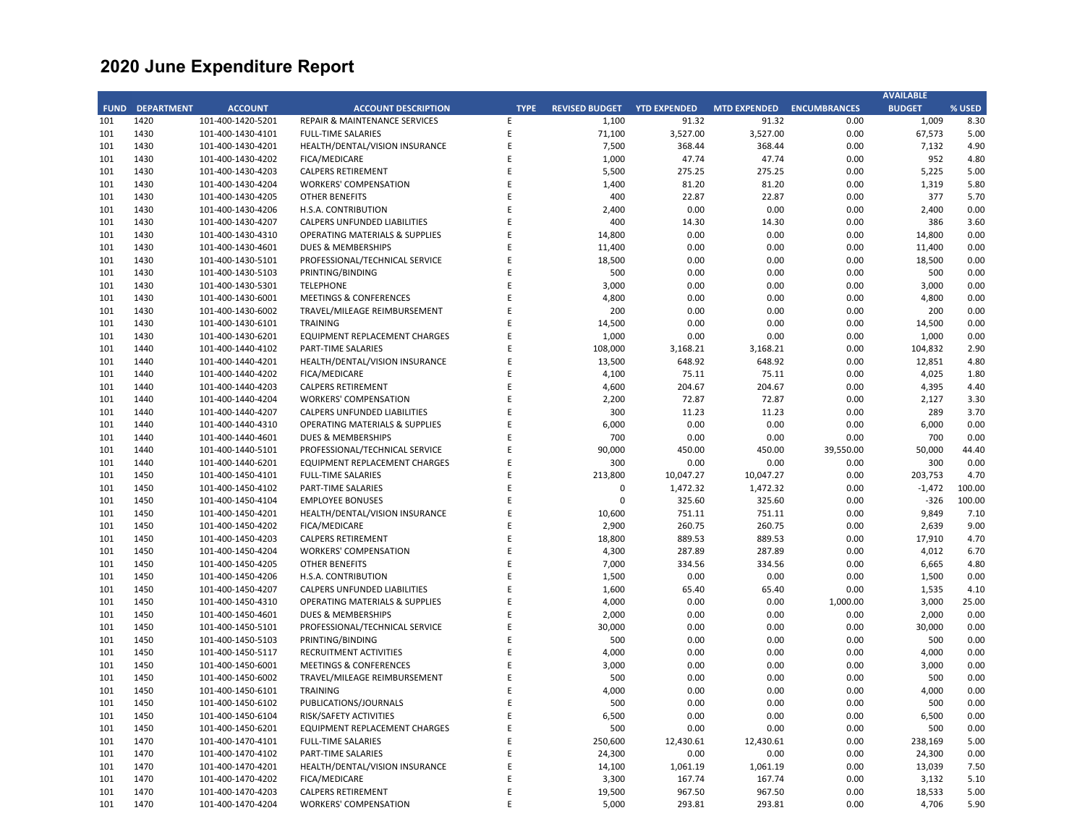|             |                   |                   |                                           |             |                       |                     |                     |                     | <b>AVAILABLE</b> |        |
|-------------|-------------------|-------------------|-------------------------------------------|-------------|-----------------------|---------------------|---------------------|---------------------|------------------|--------|
| <b>FUND</b> | <b>DEPARTMENT</b> | <b>ACCOUNT</b>    | <b>ACCOUNT DESCRIPTION</b>                | <b>TYPE</b> | <b>REVISED BUDGET</b> | <b>YTD EXPENDED</b> | <b>MTD EXPENDED</b> | <b>ENCUMBRANCES</b> | <b>BUDGET</b>    | % USED |
| 101         | 1420              | 101-400-1420-5201 | <b>REPAIR &amp; MAINTENANCE SERVICES</b>  | E           | 1,100                 | 91.32               | 91.32               | 0.00                | 1,009            | 8.30   |
| 101         | 1430              | 101-400-1430-4101 | <b>FULL-TIME SALARIES</b>                 | E           | 71,100                | 3,527.00            | 3,527.00            | 0.00                | 67,573           | 5.00   |
| 101         | 1430              | 101-400-1430-4201 | HEALTH/DENTAL/VISION INSURANCE            | E           | 7,500                 | 368.44              | 368.44              | 0.00                | 7,132            | 4.90   |
| 101         | 1430              | 101-400-1430-4202 | FICA/MEDICARE                             | E           | 1,000                 | 47.74               | 47.74               | 0.00                | 952              | 4.80   |
| 101         | 1430              | 101-400-1430-4203 | <b>CALPERS RETIREMENT</b>                 | E           | 5,500                 | 275.25              | 275.25              | 0.00                | 5,225            | 5.00   |
| 101         | 1430              | 101-400-1430-4204 | <b>WORKERS' COMPENSATION</b>              | E           | 1,400                 | 81.20               | 81.20               | 0.00                | 1,319            | 5.80   |
| 101         | 1430              | 101-400-1430-4205 | <b>OTHER BENEFITS</b>                     | E           | 400                   | 22.87               | 22.87               | 0.00                | 377              | 5.70   |
| 101         | 1430              | 101-400-1430-4206 | H.S.A. CONTRIBUTION                       | E           | 2,400                 | 0.00                | 0.00                | 0.00                | 2,400            | 0.00   |
| 101         | 1430              | 101-400-1430-4207 | <b>CALPERS UNFUNDED LIABILITIES</b>       | F           | 400                   | 14.30               | 14.30               | 0.00                | 386              | 3.60   |
| 101         | 1430              | 101-400-1430-4310 | <b>OPERATING MATERIALS &amp; SUPPLIES</b> | E           | 14,800                | 0.00                | 0.00                | 0.00                | 14,800           | 0.00   |
| 101         | 1430              |                   | DUES & MEMBERSHIPS                        | Ε           | 11,400                | 0.00                | 0.00                | 0.00                | 11,400           | 0.00   |
|             |                   | 101-400-1430-4601 |                                           | E           |                       |                     |                     |                     |                  |        |
| 101         | 1430              | 101-400-1430-5101 | PROFESSIONAL/TECHNICAL SERVICE            |             | 18,500                | 0.00                | 0.00                | 0.00                | 18,500           | 0.00   |
| 101         | 1430              | 101-400-1430-5103 | PRINTING/BINDING                          | E           | 500                   | 0.00                | 0.00                | 0.00                | 500              | 0.00   |
| 101         | 1430              | 101-400-1430-5301 | <b>TELEPHONE</b>                          | E           | 3,000                 | 0.00                | 0.00                | 0.00                | 3,000            | 0.00   |
| 101         | 1430              | 101-400-1430-6001 | <b>MEETINGS &amp; CONFERENCES</b>         | E           | 4,800                 | 0.00                | 0.00                | 0.00                | 4,800            | 0.00   |
| 101         | 1430              | 101-400-1430-6002 | TRAVEL/MILEAGE REIMBURSEMENT              | E           | 200                   | 0.00                | 0.00                | 0.00                | 200              | 0.00   |
| 101         | 1430              | 101-400-1430-6101 | <b>TRAINING</b>                           | E           | 14,500                | 0.00                | 0.00                | 0.00                | 14,500           | 0.00   |
| 101         | 1430              | 101-400-1430-6201 | EQUIPMENT REPLACEMENT CHARGES             | E           | 1,000                 | 0.00                | 0.00                | 0.00                | 1,000            | 0.00   |
| 101         | 1440              | 101-400-1440-4102 | PART-TIME SALARIES                        | E           | 108,000               | 3,168.21            | 3,168.21            | 0.00                | 104,832          | 2.90   |
| 101         | 1440              | 101-400-1440-4201 | HEALTH/DENTAL/VISION INSURANCE            | E           | 13,500                | 648.92              | 648.92              | 0.00                | 12,851           | 4.80   |
| 101         | 1440              | 101-400-1440-4202 | FICA/MEDICARE                             | E           | 4,100                 | 75.11               | 75.11               | 0.00                | 4,025            | 1.80   |
| 101         | 1440              | 101-400-1440-4203 | <b>CALPERS RETIREMENT</b>                 | E           | 4,600                 | 204.67              | 204.67              | 0.00                | 4,395            | 4.40   |
| 101         | 1440              | 101-400-1440-4204 | <b>WORKERS' COMPENSATION</b>              | E           | 2,200                 | 72.87               | 72.87               | 0.00                | 2,127            | 3.30   |
| 101         | 1440              | 101-400-1440-4207 | CALPERS UNFUNDED LIABILITIES              | E           | 300                   | 11.23               | 11.23               | 0.00                | 289              | 3.70   |
| 101         | 1440              | 101-400-1440-4310 | <b>OPERATING MATERIALS &amp; SUPPLIES</b> | E           | 6,000                 | 0.00                | 0.00                | 0.00                | 6,000            | 0.00   |
| 101         | 1440              | 101-400-1440-4601 | DUES & MEMBERSHIPS                        | E           | 700                   | 0.00                | 0.00                | 0.00                | 700              | 0.00   |
| 101         | 1440              | 101-400-1440-5101 | PROFESSIONAL/TECHNICAL SERVICE            | F           | 90,000                | 450.00              | 450.00              | 39,550.00           | 50,000           | 44.40  |
| 101         | 1440              | 101-400-1440-6201 | EQUIPMENT REPLACEMENT CHARGES             | E           | 300                   | 0.00                | 0.00                | 0.00                | 300              | 0.00   |
| 101         | 1450              | 101-400-1450-4101 | <b>FULL-TIME SALARIES</b>                 | E           | 213,800               | 10,047.27           | 10,047.27           | 0.00                | 203,753          | 4.70   |
| 101         | 1450              | 101-400-1450-4102 | PART-TIME SALARIES                        | E           | $\mathbf 0$           | 1,472.32            | 1,472.32            | 0.00                | $-1,472$         | 100.00 |
| 101         | 1450              | 101-400-1450-4104 | <b>EMPLOYEE BONUSES</b>                   | E           | $\Omega$              | 325.60              | 325.60              | 0.00                | $-326$           | 100.00 |
| 101         | 1450              | 101-400-1450-4201 | HEALTH/DENTAL/VISION INSURANCE            | E           | 10,600                | 751.11              | 751.11              | 0.00                | 9,849            | 7.10   |
| 101         | 1450              |                   | FICA/MEDICARE                             | E           |                       | 260.75              | 260.75              | 0.00                | 2,639            | 9.00   |
|             |                   | 101-400-1450-4202 |                                           | E           | 2,900                 |                     |                     |                     |                  |        |
| 101         | 1450              | 101-400-1450-4203 | <b>CALPERS RETIREMENT</b>                 |             | 18,800                | 889.53              | 889.53              | 0.00                | 17,910           | 4.70   |
| 101         | 1450              | 101-400-1450-4204 | <b>WORKERS' COMPENSATION</b>              | E           | 4,300                 | 287.89              | 287.89              | 0.00                | 4,012            | 6.70   |
| 101         | 1450              | 101-400-1450-4205 | <b>OTHER BENEFITS</b>                     | E           | 7,000                 | 334.56              | 334.56              | 0.00                | 6,665            | 4.80   |
| 101         | 1450              | 101-400-1450-4206 | H.S.A. CONTRIBUTION                       | E           | 1,500                 | 0.00                | 0.00                | 0.00                | 1,500            | 0.00   |
| 101         | 1450              | 101-400-1450-4207 | <b>CALPERS UNFUNDED LIABILITIES</b>       | E           | 1,600                 | 65.40               | 65.40               | 0.00                | 1,535            | 4.10   |
| 101         | 1450              | 101-400-1450-4310 | <b>OPERATING MATERIALS &amp; SUPPLIES</b> | E           | 4,000                 | 0.00                | 0.00                | 1,000.00            | 3,000            | 25.00  |
| 101         | 1450              | 101-400-1450-4601 | DUES & MEMBERSHIPS                        | E           | 2,000                 | 0.00                | 0.00                | 0.00                | 2,000            | 0.00   |
| 101         | 1450              | 101-400-1450-5101 | PROFESSIONAL/TECHNICAL SERVICE            | E           | 30,000                | 0.00                | 0.00                | 0.00                | 30,000           | 0.00   |
| 101         | 1450              | 101-400-1450-5103 | PRINTING/BINDING                          | E           | 500                   | 0.00                | 0.00                | 0.00                | 500              | 0.00   |
| 101         | 1450              | 101-400-1450-5117 | RECRUITMENT ACTIVITIES                    | E           | 4,000                 | 0.00                | 0.00                | 0.00                | 4,000            | 0.00   |
| 101         | 1450              | 101-400-1450-6001 | <b>MEETINGS &amp; CONFERENCES</b>         | E           | 3,000                 | 0.00                | 0.00                | 0.00                | 3,000            | 0.00   |
| 101         | 1450              | 101-400-1450-6002 | TRAVEL/MILEAGE REIMBURSEMENT              | E           | 500                   | 0.00                | 0.00                | 0.00                | 500              | 0.00   |
| 101         | 1450              | 101-400-1450-6101 | <b>TRAINING</b>                           | E           | 4,000                 | 0.00                | 0.00                | 0.00                | 4,000            | 0.00   |
| 101         | 1450              | 101-400-1450-6102 | PUBLICATIONS/JOURNALS                     | E           | 500                   | 0.00                | 0.00                | 0.00                | 500              | 0.00   |
| 101         | 1450              | 101-400-1450-6104 | RISK/SAFETY ACTIVITIES                    | E           | 6,500                 | 0.00                | 0.00                | 0.00                | 6,500            | 0.00   |
| 101         | 1450              | 101-400-1450-6201 | EQUIPMENT REPLACEMENT CHARGES             | E           | 500                   | 0.00                | 0.00                | 0.00                | 500              | 0.00   |
| 101         | 1470              | 101-400-1470-4101 | <b>FULL-TIME SALARIES</b>                 | E           | 250,600               | 12,430.61           | 12,430.61           | 0.00                | 238,169          | 5.00   |
| 101         | 1470              | 101-400-1470-4102 | <b>PART-TIME SALARIES</b>                 | E           | 24,300                | 0.00                | 0.00                | 0.00                | 24,300           | 0.00   |
| 101         | 1470              | 101-400-1470-4201 | HEALTH/DENTAL/VISION INSURANCE            | E           | 14,100                | 1,061.19            | 1,061.19            | 0.00                | 13,039           | 7.50   |
| 101         | 1470              | 101-400-1470-4202 | FICA/MEDICARE                             | E           | 3,300                 | 167.74              | 167.74              | 0.00                | 3,132            | 5.10   |
| 101         | 1470              | 101-400-1470-4203 | <b>CALPERS RETIREMENT</b>                 | E           | 19,500                | 967.50              | 967.50              | 0.00                | 18,533           | 5.00   |
| 101         | 1470              | 101-400-1470-4204 | <b>WORKERS' COMPENSATION</b>              | F           | 5,000                 | 293.81              | 293.81              | 0.00                | 4,706            | 5.90   |
|             |                   |                   |                                           |             |                       |                     |                     |                     |                  |        |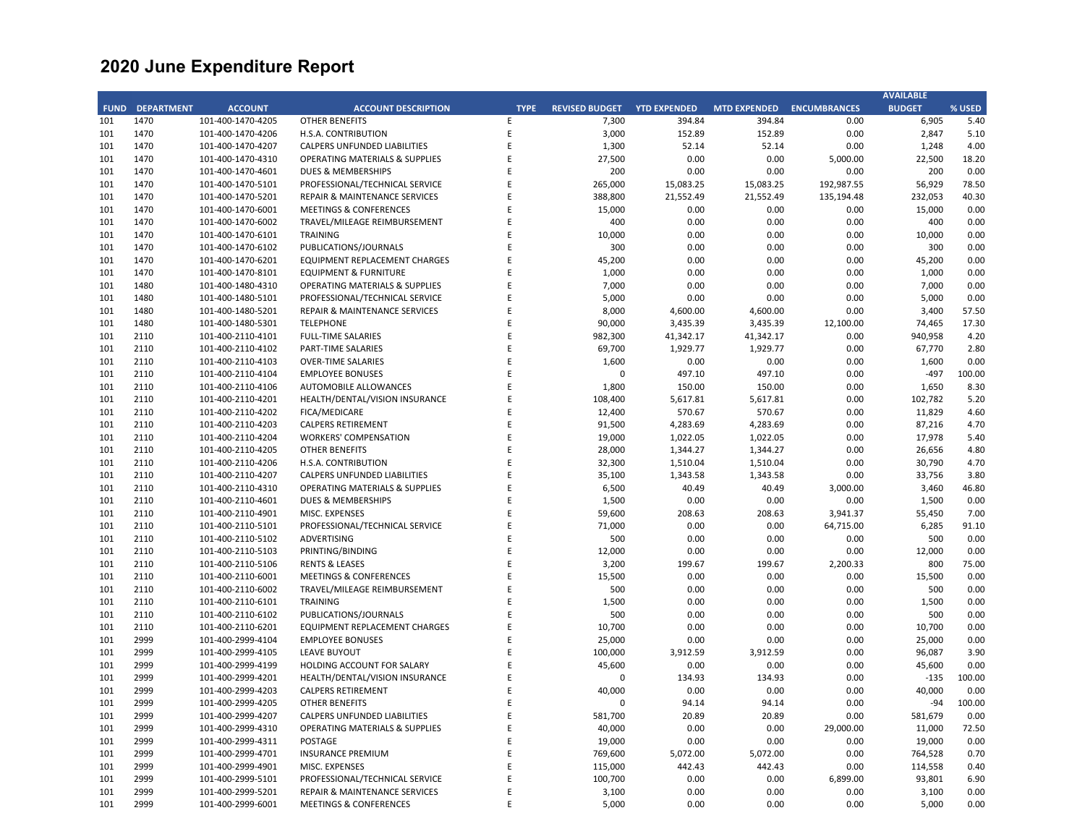|             |                   |                   |                                           |             |                       |                     |                     |                     | <b>AVAILABLE</b> |        |
|-------------|-------------------|-------------------|-------------------------------------------|-------------|-----------------------|---------------------|---------------------|---------------------|------------------|--------|
| <b>FUND</b> | <b>DEPARTMENT</b> | <b>ACCOUNT</b>    | <b>ACCOUNT DESCRIPTION</b>                | <b>TYPE</b> | <b>REVISED BUDGET</b> | <b>YTD EXPENDED</b> | <b>MTD EXPENDED</b> | <b>ENCUMBRANCES</b> | <b>BUDGET</b>    | % USED |
| 101         | 1470              | 101-400-1470-4205 | <b>OTHER BENEFITS</b>                     | E           | 7,300                 | 394.84              | 394.84              | 0.00                | 6,905            | 5.40   |
| 101         | 1470              | 101-400-1470-4206 | H.S.A. CONTRIBUTION                       | $\sf E$     | 3,000                 | 152.89              | 152.89              | 0.00                | 2,847            | 5.10   |
| 101         | 1470              | 101-400-1470-4207 | CALPERS UNFUNDED LIABILITIES              | E           | 1,300                 | 52.14               | 52.14               | 0.00                | 1,248            | 4.00   |
| 101         | 1470              | 101-400-1470-4310 | <b>OPERATING MATERIALS &amp; SUPPLIES</b> | E           | 27,500                | 0.00                | 0.00                | 5,000.00            | 22,500           | 18.20  |
| 101         | 1470              | 101-400-1470-4601 | <b>DUES &amp; MEMBERSHIPS</b>             | E           | 200                   | 0.00                | 0.00                | 0.00                | 200              | 0.00   |
| 101         | 1470              | 101-400-1470-5101 | PROFESSIONAL/TECHNICAL SERVICE            | E           | 265,000               | 15,083.25           | 15,083.25           | 192,987.55          | 56,929           | 78.50  |
| 101         | 1470              | 101-400-1470-5201 | <b>REPAIR &amp; MAINTENANCE SERVICES</b>  | E           | 388,800               | 21,552.49           | 21,552.49           | 135,194.48          | 232,053          | 40.30  |
| 101         | 1470              | 101-400-1470-6001 | <b>MEETINGS &amp; CONFERENCES</b>         | E           | 15,000                | 0.00                | 0.00                | 0.00                | 15,000           | 0.00   |
| 101         | 1470              | 101-400-1470-6002 | TRAVEL/MILEAGE REIMBURSEMENT              | E           | 400                   | 0.00                | 0.00                | 0.00                | 400              | 0.00   |
| 101         | 1470              | 101-400-1470-6101 | <b>TRAINING</b>                           | E           | 10,000                | 0.00                | 0.00                | 0.00                | 10,000           | 0.00   |
| 101         | 1470              | 101-400-1470-6102 | PUBLICATIONS/JOURNALS                     | E           | 300                   | 0.00                | 0.00                | 0.00                | 300              | 0.00   |
| 101         | 1470              | 101-400-1470-6201 | EQUIPMENT REPLACEMENT CHARGES             | E           | 45,200                | 0.00                | 0.00                | 0.00                | 45,200           | 0.00   |
| 101         | 1470              | 101-400-1470-8101 | <b>EQUIPMENT &amp; FURNITURE</b>          | E           | 1,000                 | 0.00                | 0.00                | 0.00                | 1,000            | 0.00   |
| 101         | 1480              | 101-400-1480-4310 | <b>OPERATING MATERIALS &amp; SUPPLIES</b> | E           | 7,000                 | 0.00                | 0.00                | 0.00                | 7,000            | 0.00   |
| 101         | 1480              |                   |                                           | E           | 5,000                 | 0.00                | 0.00                | 0.00                | 5,000            | 0.00   |
| 101         |                   | 101-400-1480-5101 | PROFESSIONAL/TECHNICAL SERVICE            | E           |                       |                     |                     |                     |                  |        |
|             | 1480              | 101-400-1480-5201 | <b>REPAIR &amp; MAINTENANCE SERVICES</b>  | E           | 8,000                 | 4,600.00            | 4,600.00            | 0.00                | 3,400            | 57.50  |
| 101         | 1480              | 101-400-1480-5301 | <b>TELEPHONE</b>                          |             | 90,000                | 3,435.39            | 3,435.39            | 12,100.00           | 74,465           | 17.30  |
| 101         | 2110              | 101-400-2110-4101 | <b>FULL-TIME SALARIES</b>                 | E           | 982,300               | 41,342.17           | 41,342.17           | 0.00                | 940,958          | 4.20   |
| 101         | 2110              | 101-400-2110-4102 | PART-TIME SALARIES                        | $\mathsf E$ | 69,700                | 1,929.77            | 1,929.77            | 0.00                | 67,770           | 2.80   |
| 101         | 2110              | 101-400-2110-4103 | <b>OVER-TIME SALARIES</b>                 | E           | 1,600                 | 0.00                | 0.00                | 0.00                | 1,600            | 0.00   |
| 101         | 2110              | 101-400-2110-4104 | <b>EMPLOYEE BONUSES</b>                   | E           | $\mathbf 0$           | 497.10              | 497.10              | 0.00                | $-497$           | 100.00 |
| 101         | 2110              | 101-400-2110-4106 | <b>AUTOMOBILE ALLOWANCES</b>              | E           | 1,800                 | 150.00              | 150.00              | 0.00                | 1,650            | 8.30   |
| 101         | 2110              | 101-400-2110-4201 | HEALTH/DENTAL/VISION INSURANCE            | E           | 108,400               | 5,617.81            | 5,617.81            | 0.00                | 102,782          | 5.20   |
| 101         | 2110              | 101-400-2110-4202 | FICA/MEDICARE                             | E           | 12,400                | 570.67              | 570.67              | 0.00                | 11,829           | 4.60   |
| 101         | 2110              | 101-400-2110-4203 | <b>CALPERS RETIREMENT</b>                 | E           | 91,500                | 4,283.69            | 4,283.69            | 0.00                | 87,216           | 4.70   |
| 101         | 2110              | 101-400-2110-4204 | <b>WORKERS' COMPENSATION</b>              | E           | 19,000                | 1,022.05            | 1,022.05            | 0.00                | 17,978           | 5.40   |
| 101         | 2110              | 101-400-2110-4205 | <b>OTHER BENEFITS</b>                     | E           | 28,000                | 1,344.27            | 1,344.27            | 0.00                | 26,656           | 4.80   |
| 101         | 2110              | 101-400-2110-4206 | H.S.A. CONTRIBUTION                       | E           | 32,300                | 1,510.04            | 1,510.04            | 0.00                | 30,790           | 4.70   |
| 101         | 2110              | 101-400-2110-4207 | <b>CALPERS UNFUNDED LIABILITIES</b>       | E           | 35,100                | 1,343.58            | 1,343.58            | 0.00                | 33,756           | 3.80   |
| 101         | 2110              | 101-400-2110-4310 | <b>OPERATING MATERIALS &amp; SUPPLIES</b> | E           | 6,500                 | 40.49               | 40.49               | 3,000.00            | 3,460            | 46.80  |
| 101         | 2110              | 101-400-2110-4601 | DUES & MEMBERSHIPS                        | E           | 1,500                 | 0.00                | 0.00                | 0.00                | 1,500            | 0.00   |
| 101         | 2110              | 101-400-2110-4901 | MISC. EXPENSES                            | E           | 59,600                | 208.63              | 208.63              | 3,941.37            | 55,450           | 7.00   |
| 101         | 2110              | 101-400-2110-5101 | PROFESSIONAL/TECHNICAL SERVICE            | E           | 71,000                | 0.00                | 0.00                | 64,715.00           | 6,285            | 91.10  |
| 101         | 2110              | 101-400-2110-5102 | <b>ADVERTISING</b>                        | E           | 500                   | 0.00                | 0.00                | 0.00                | 500              | 0.00   |
| 101         | 2110              | 101-400-2110-5103 | PRINTING/BINDING                          | E           | 12,000                | 0.00                | 0.00                | 0.00                | 12,000           | 0.00   |
| 101         | 2110              | 101-400-2110-5106 | <b>RENTS &amp; LEASES</b>                 | E           | 3,200                 | 199.67              | 199.67              | 2,200.33            | 800              | 75.00  |
| 101         | 2110              | 101-400-2110-6001 | <b>MEETINGS &amp; CONFERENCES</b>         | E           | 15,500                | 0.00                | 0.00                | 0.00                | 15,500           | 0.00   |
| 101         | 2110              | 101-400-2110-6002 | TRAVEL/MILEAGE REIMBURSEMENT              | E           | 500                   | 0.00                | 0.00                | 0.00                | 500              | 0.00   |
| 101         | 2110              | 101-400-2110-6101 | <b>TRAINING</b>                           | E           | 1,500                 | 0.00                | 0.00                | 0.00                | 1,500            | 0.00   |
| 101         | 2110              | 101-400-2110-6102 | PUBLICATIONS/JOURNALS                     | E           | 500                   | 0.00                | 0.00                | 0.00                | 500              | 0.00   |
| 101         | 2110              | 101-400-2110-6201 | EQUIPMENT REPLACEMENT CHARGES             | E           | 10,700                | 0.00                | 0.00                | 0.00                | 10,700           | 0.00   |
| 101         | 2999              | 101-400-2999-4104 | <b>EMPLOYEE BONUSES</b>                   | E           | 25,000                | 0.00                | 0.00                | 0.00                | 25,000           | 0.00   |
| 101         | 2999              | 101-400-2999-4105 | <b>LEAVE BUYOUT</b>                       | E           | 100,000               | 3,912.59            | 3,912.59            | 0.00                | 96,087           | 3.90   |
| 101         | 2999              | 101-400-2999-4199 | HOLDING ACCOUNT FOR SALARY                | E           | 45,600                | 0.00                | 0.00                | 0.00                | 45,600           | 0.00   |
| 101         |                   |                   |                                           | E           | $\Omega$              |                     |                     |                     |                  | 100.00 |
|             | 2999              | 101-400-2999-4201 | HEALTH/DENTAL/VISION INSURANCE            | E           |                       | 134.93              | 134.93              | 0.00                | $-135$           |        |
| 101         | 2999              | 101-400-2999-4203 | <b>CALPERS RETIREMENT</b>                 | E           | 40,000                | 0.00                | 0.00                | 0.00                | 40,000           | 0.00   |
| 101         | 2999              | 101-400-2999-4205 | <b>OTHER BENEFITS</b>                     |             | $\mathbf 0$           | 94.14               | 94.14               | 0.00                | $-94$            | 100.00 |
| 101         | 2999              | 101-400-2999-4207 | CALPERS UNFUNDED LIABILITIES              | E           | 581,700               | 20.89               | 20.89               | 0.00                | 581,679          | 0.00   |
| 101         | 2999              | 101-400-2999-4310 | <b>OPERATING MATERIALS &amp; SUPPLIES</b> | E           | 40,000                | 0.00                | 0.00                | 29,000.00           | 11,000           | 72.50  |
| 101         | 2999              | 101-400-2999-4311 | POSTAGE                                   | E           | 19,000                | 0.00                | 0.00                | 0.00                | 19,000           | 0.00   |
| 101         | 2999              | 101-400-2999-4701 | <b>INSURANCE PREMIUM</b>                  | E           | 769,600               | 5,072.00            | 5,072.00            | 0.00                | 764,528          | 0.70   |
| 101         | 2999              | 101-400-2999-4901 | MISC. EXPENSES                            | E           | 115,000               | 442.43              | 442.43              | 0.00                | 114,558          | 0.40   |
| 101         | 2999              | 101-400-2999-5101 | PROFESSIONAL/TECHNICAL SERVICE            | E           | 100,700               | 0.00                | 0.00                | 6,899.00            | 93,801           | 6.90   |
| 101         | 2999              | 101-400-2999-5201 | REPAIR & MAINTENANCE SERVICES             | E           | 3,100                 | 0.00                | 0.00                | 0.00                | 3,100            | 0.00   |
| 101         | 2999              | 101-400-2999-6001 | <b>MEETINGS &amp; CONFERENCES</b>         | F           | 5,000                 | 0.00                | 0.00                | 0.00                | 5,000            | 0.00   |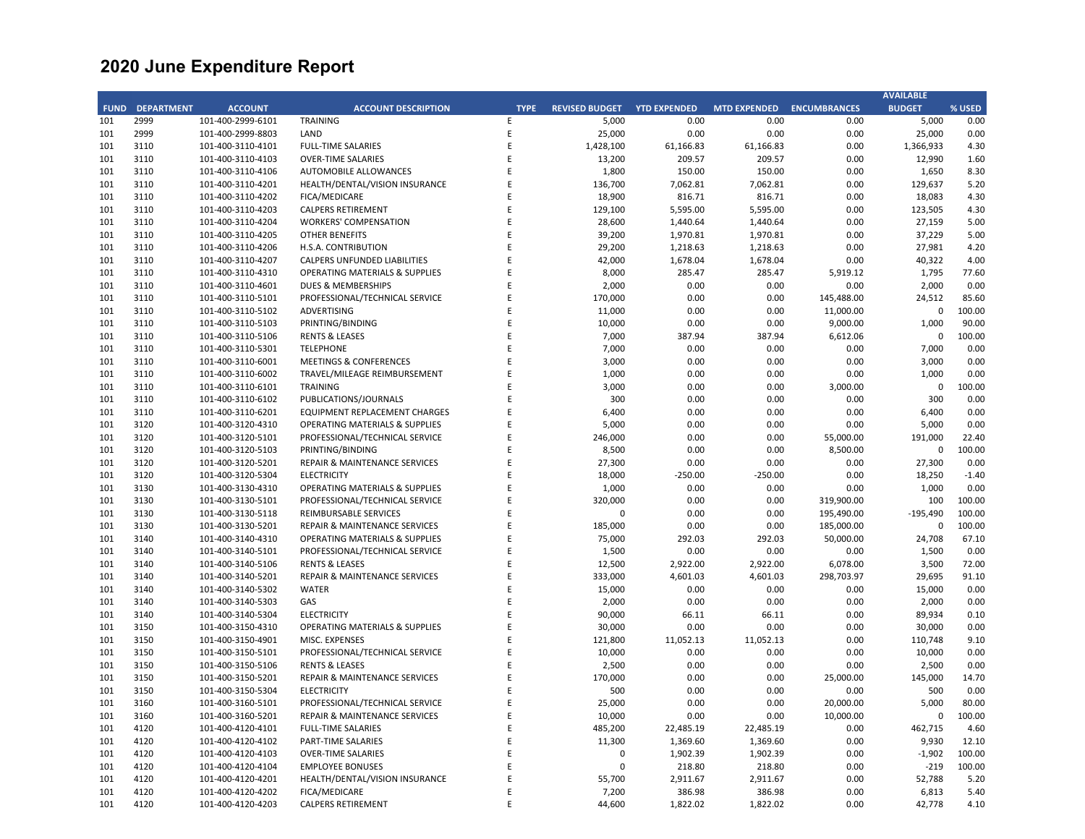|     |                        |                   |                                           |             |                       |                     |                     |                     | <b>AVAILABLE</b> |         |
|-----|------------------------|-------------------|-------------------------------------------|-------------|-----------------------|---------------------|---------------------|---------------------|------------------|---------|
|     | <b>FUND DEPARTMENT</b> | <b>ACCOUNT</b>    | <b>ACCOUNT DESCRIPTION</b>                | <b>TYPE</b> | <b>REVISED BUDGET</b> | <b>YTD EXPENDED</b> | <b>MTD EXPENDED</b> | <b>ENCUMBRANCES</b> | <b>BUDGET</b>    | % USED  |
| 101 | 2999                   | 101-400-2999-6101 | <b>TRAINING</b>                           | E.          | 5,000                 | 0.00                | 0.00                | 0.00                | 5,000            | 0.00    |
| 101 | 2999                   | 101-400-2999-8803 | LAND                                      | E           | 25,000                | 0.00                | 0.00                | 0.00                | 25,000           | 0.00    |
| 101 | 3110                   | 101-400-3110-4101 | <b>FULL-TIME SALARIES</b>                 | E           | 1,428,100             | 61,166.83           | 61,166.83           | 0.00                | 1,366,933        | 4.30    |
| 101 | 3110                   | 101-400-3110-4103 | <b>OVER-TIME SALARIES</b>                 | E           | 13,200                | 209.57              | 209.57              | 0.00                | 12,990           | 1.60    |
| 101 | 3110                   | 101-400-3110-4106 | AUTOMOBILE ALLOWANCES                     | E           | 1,800                 | 150.00              | 150.00              | 0.00                | 1,650            | 8.30    |
|     |                        |                   |                                           | E           |                       |                     |                     |                     |                  |         |
| 101 | 3110                   | 101-400-3110-4201 | HEALTH/DENTAL/VISION INSURANCE            |             | 136,700               | 7,062.81            | 7,062.81            | 0.00                | 129,637          | 5.20    |
| 101 | 3110                   | 101-400-3110-4202 | <b>FICA/MEDICARE</b>                      | E           | 18,900                | 816.71              | 816.71              | 0.00                | 18,083           | 4.30    |
| 101 | 3110                   | 101-400-3110-4203 | CALPERS RETIREMENT                        | E           | 129,100               | 5,595.00            | 5,595.00            | 0.00                | 123,505          | 4.30    |
| 101 | 3110                   | 101-400-3110-4204 | <b>WORKERS' COMPENSATION</b>              | E           | 28,600                | 1,440.64            | 1,440.64            | 0.00                | 27,159           | 5.00    |
| 101 | 3110                   | 101-400-3110-4205 | <b>OTHER BENEFITS</b>                     | E           | 39,200                | 1,970.81            | 1,970.81            | 0.00                | 37,229           | 5.00    |
| 101 | 3110                   | 101-400-3110-4206 | H.S.A. CONTRIBUTION                       | E           | 29,200                | 1,218.63            | 1,218.63            | 0.00                | 27,981           | 4.20    |
| 101 | 3110                   | 101-400-3110-4207 | <b>CALPERS UNFUNDED LIABILITIES</b>       | E           | 42,000                | 1,678.04            | 1,678.04            | 0.00                | 40,322           | 4.00    |
| 101 | 3110                   | 101-400-3110-4310 | <b>OPERATING MATERIALS &amp; SUPPLIES</b> | E           | 8,000                 | 285.47              | 285.47              | 5,919.12            | 1,795            | 77.60   |
| 101 | 3110                   | 101-400-3110-4601 | DUES & MEMBERSHIPS                        | E           | 2,000                 | 0.00                | 0.00                | 0.00                | 2,000            | 0.00    |
| 101 | 3110                   | 101-400-3110-5101 | PROFESSIONAL/TECHNICAL SERVICE            | E           | 170,000               | 0.00                | 0.00                | 145,488.00          | 24,512           | 85.60   |
| 101 | 3110                   | 101-400-3110-5102 | ADVERTISING                               | E           | 11,000                | 0.00                | 0.00                | 11,000.00           | $\mathbf 0$      | 100.00  |
| 101 | 3110                   | 101-400-3110-5103 | PRINTING/BINDING                          | E           | 10,000                | 0.00                | 0.00                | 9,000.00            | 1,000            | 90.00   |
|     |                        |                   |                                           | E           |                       |                     |                     |                     |                  |         |
| 101 | 3110                   | 101-400-3110-5106 | <b>RENTS &amp; LEASES</b>                 |             | 7,000                 | 387.94              | 387.94              | 6,612.06            | 0                | 100.00  |
| 101 | 3110                   | 101-400-3110-5301 | <b>TELEPHONE</b>                          | E           | 7,000                 | 0.00                | 0.00                | 0.00                | 7,000            | 0.00    |
| 101 | 3110                   | 101-400-3110-6001 | <b>MEETINGS &amp; CONFERENCES</b>         | E           | 3,000                 | 0.00                | 0.00                | 0.00                | 3,000            | 0.00    |
| 101 | 3110                   | 101-400-3110-6002 | TRAVEL/MILEAGE REIMBURSEMENT              | E           | 1,000                 | 0.00                | 0.00                | 0.00                | 1,000            | 0.00    |
| 101 | 3110                   | 101-400-3110-6101 | <b>TRAINING</b>                           | E           | 3,000                 | 0.00                | 0.00                | 3,000.00            | $\mathbf 0$      | 100.00  |
| 101 | 3110                   | 101-400-3110-6102 | PUBLICATIONS/JOURNALS                     | E           | 300                   | 0.00                | 0.00                | 0.00                | 300              | 0.00    |
| 101 | 3110                   | 101-400-3110-6201 | <b>EQUIPMENT REPLACEMENT CHARGES</b>      | E           | 6,400                 | 0.00                | 0.00                | 0.00                | 6,400            | 0.00    |
| 101 | 3120                   | 101-400-3120-4310 | <b>OPERATING MATERIALS &amp; SUPPLIES</b> | E           | 5,000                 | 0.00                | 0.00                | 0.00                | 5,000            | 0.00    |
| 101 | 3120                   | 101-400-3120-5101 | PROFESSIONAL/TECHNICAL SERVICE            | E           | 246,000               | 0.00                | 0.00                | 55,000.00           | 191,000          | 22.40   |
| 101 | 3120                   | 101-400-3120-5103 | PRINTING/BINDING                          | E           | 8,500                 | 0.00                | 0.00                | 8,500.00            | $\mathbf 0$      | 100.00  |
| 101 | 3120                   | 101-400-3120-5201 | REPAIR & MAINTENANCE SERVICES             | E           | 27,300                | 0.00                | 0.00                | 0.00                | 27,300           | 0.00    |
| 101 | 3120                   | 101-400-3120-5304 | <b>ELECTRICITY</b>                        | E           | 18,000                | $-250.00$           | $-250.00$           | 0.00                | 18,250           | $-1.40$ |
| 101 |                        | 101-400-3130-4310 |                                           | E           |                       |                     |                     |                     |                  |         |
|     | 3130                   |                   | <b>OPERATING MATERIALS &amp; SUPPLIES</b> |             | 1,000                 | 0.00                | 0.00                | 0.00                | 1,000            | 0.00    |
| 101 | 3130                   | 101-400-3130-5101 | PROFESSIONAL/TECHNICAL SERVICE            | E           | 320,000               | 0.00                | 0.00                | 319,900.00          | 100              | 100.00  |
| 101 | 3130                   | 101-400-3130-5118 | REIMBURSABLE SERVICES                     | E           | 0                     | 0.00                | 0.00                | 195,490.00          | $-195,490$       | 100.00  |
| 101 | 3130                   | 101-400-3130-5201 | REPAIR & MAINTENANCE SERVICES             | Ε           | 185,000               | 0.00                | 0.00                | 185,000.00          | 0                | 100.00  |
| 101 | 3140                   | 101-400-3140-4310 | <b>OPERATING MATERIALS &amp; SUPPLIES</b> | E           | 75,000                | 292.03              | 292.03              | 50,000.00           | 24,708           | 67.10   |
| 101 | 3140                   | 101-400-3140-5101 | PROFESSIONAL/TECHNICAL SERVICE            | E           | 1,500                 | 0.00                | 0.00                | 0.00                | 1,500            | 0.00    |
| 101 | 3140                   | 101-400-3140-5106 | <b>RENTS &amp; LEASES</b>                 | E           | 12,500                | 2,922.00            | 2,922.00            | 6,078.00            | 3,500            | 72.00   |
| 101 | 3140                   | 101-400-3140-5201 | REPAIR & MAINTENANCE SERVICES             | E           | 333,000               | 4,601.03            | 4,601.03            | 298,703.97          | 29,695           | 91.10   |
| 101 | 3140                   | 101-400-3140-5302 | <b>WATER</b>                              | Ε           | 15,000                | 0.00                | 0.00                | 0.00                | 15,000           | 0.00    |
| 101 | 3140                   | 101-400-3140-5303 | GAS                                       | Ε           | 2,000                 | 0.00                | 0.00                | 0.00                | 2,000            | 0.00    |
| 101 | 3140                   | 101-400-3140-5304 | <b>ELECTRICITY</b>                        | E           | 90,000                | 66.11               | 66.11               | 0.00                | 89,934           | 0.10    |
| 101 | 3150                   | 101-400-3150-4310 | <b>OPERATING MATERIALS &amp; SUPPLIES</b> | E           | 30,000                | 0.00                | 0.00                | 0.00                | 30,000           | 0.00    |
| 101 | 3150                   | 101-400-3150-4901 | MISC. EXPENSES                            | E           | 121,800               | 11,052.13           | 11,052.13           | 0.00                | 110,748          | 9.10    |
|     |                        |                   |                                           | E           |                       |                     |                     |                     |                  |         |
| 101 | 3150                   | 101-400-3150-5101 | PROFESSIONAL/TECHNICAL SERVICE            |             | 10,000                | 0.00                | 0.00                | 0.00                | 10,000           | 0.00    |
| 101 | 3150                   | 101-400-3150-5106 | <b>RENTS &amp; LEASES</b>                 | E           | 2,500                 | 0.00                | 0.00                | 0.00                | 2,500            | 0.00    |
| 101 | 3150                   | 101-400-3150-5201 | REPAIR & MAINTENANCE SERVICES             | E           | 170,000               | 0.00                | 0.00                | 25,000.00           | 145,000          | 14.70   |
| 101 | 3150                   | 101-400-3150-5304 | <b>ELECTRICITY</b>                        | E           | 500                   | 0.00                | 0.00                | 0.00                | 500              | 0.00    |
| 101 | 3160                   | 101-400-3160-5101 | PROFESSIONAL/TECHNICAL SERVICE            |             | 25,000                | 0.00                | 0.00                | 20,000.00           | 5,000            | 80.00   |
| 101 | 3160                   | 101-400-3160-5201 | REPAIR & MAINTENANCE SERVICES             | E           | 10,000                | 0.00                | 0.00                | 10,000.00           | 0                | 100.00  |
| 101 | 4120                   | 101-400-4120-4101 | <b>FULL-TIME SALARIES</b>                 | E           | 485,200               | 22,485.19           | 22,485.19           | 0.00                | 462,715          | 4.60    |
| 101 | 4120                   | 101-400-4120-4102 | PART-TIME SALARIES                        | Ε           | 11,300                | 1,369.60            | 1,369.60            | 0.00                | 9,930            | 12.10   |
| 101 | 4120                   | 101-400-4120-4103 | <b>OVER-TIME SALARIES</b>                 | Ε           | 0                     | 1,902.39            | 1,902.39            | 0.00                | $-1,902$         | 100.00  |
| 101 | 4120                   | 101-400-4120-4104 | <b>EMPLOYEE BONUSES</b>                   | E           | $\pmb{0}$             | 218.80              | 218.80              | 0.00                | $-219$           | 100.00  |
| 101 | 4120                   | 101-400-4120-4201 | HEALTH/DENTAL/VISION INSURANCE            | $\sf E$     | 55,700                | 2,911.67            | 2,911.67            | 0.00                | 52,788           | 5.20    |
| 101 | 4120                   | 101-400-4120-4202 | FICA/MEDICARE                             | Ε           | 7,200                 | 386.98              | 386.98              | 0.00                | 6,813            | 5.40    |
|     |                        |                   |                                           | E           |                       |                     |                     |                     |                  |         |
| 101 | 4120                   | 101-400-4120-4203 | CALPERS RETIREMENT                        |             | 44,600                | 1,822.02            | 1,822.02            | 0.00                | 42,778           | 4.10    |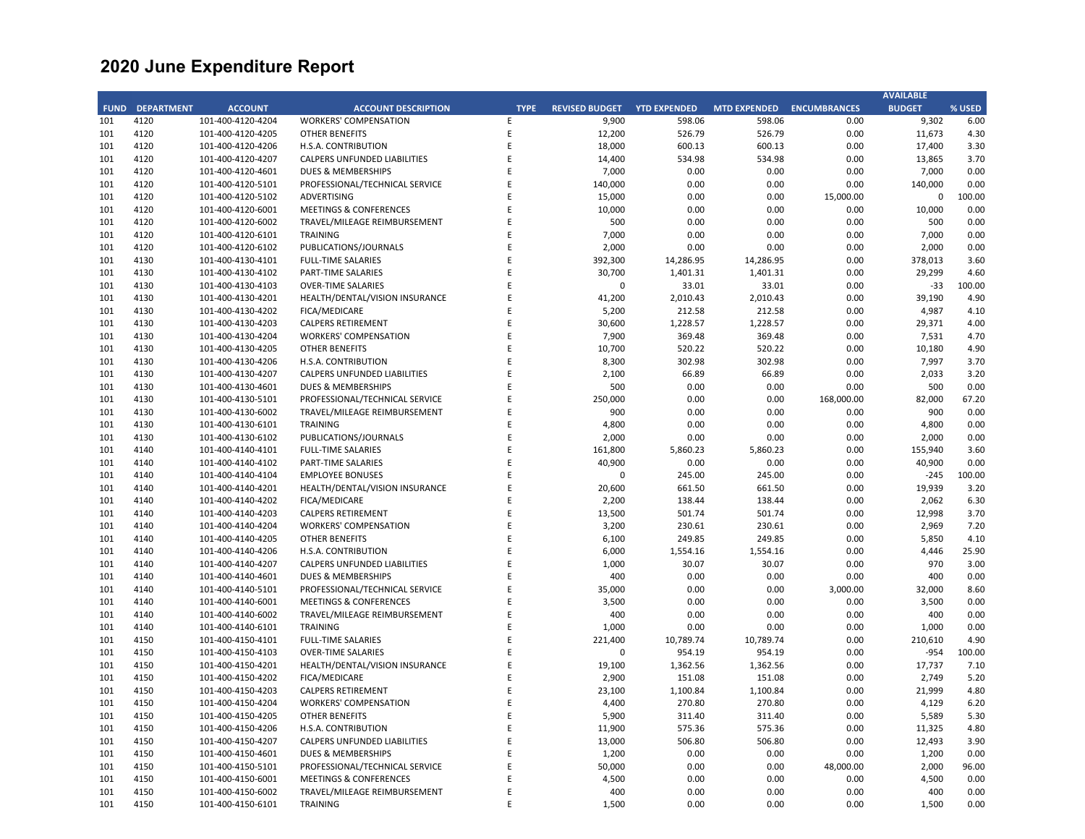|             |                   |                   |                                   |             |                       |                     |                     |                     | <b>AVAILABLE</b> |        |
|-------------|-------------------|-------------------|-----------------------------------|-------------|-----------------------|---------------------|---------------------|---------------------|------------------|--------|
| <b>FUND</b> | <b>DEPARTMENT</b> | <b>ACCOUNT</b>    | <b>ACCOUNT DESCRIPTION</b>        | <b>TYPE</b> | <b>REVISED BUDGET</b> | <b>YTD EXPENDED</b> | <b>MTD EXPENDED</b> | <b>ENCUMBRANCES</b> | <b>BUDGET</b>    | % USED |
| 101         | 4120              | 101-400-4120-4204 | <b>WORKERS' COMPENSATION</b>      | E           | 9,900                 | 598.06              | 598.06              | 0.00                | 9,302            | 6.00   |
| 101         | 4120              | 101-400-4120-4205 | <b>OTHER BENEFITS</b>             | E           | 12,200                | 526.79              | 526.79              | 0.00                | 11,673           | 4.30   |
| 101         | 4120              | 101-400-4120-4206 | H.S.A. CONTRIBUTION               | E           | 18,000                | 600.13              | 600.13              | 0.00                | 17,400           | 3.30   |
| 101         | 4120              | 101-400-4120-4207 | CALPERS UNFUNDED LIABILITIES      | E           | 14,400                | 534.98              | 534.98              | 0.00                | 13,865           | 3.70   |
| 101         | 4120              | 101-400-4120-4601 | <b>DUES &amp; MEMBERSHIPS</b>     | Ε           | 7,000                 | 0.00                | 0.00                | 0.00                | 7,000            | 0.00   |
| 101         | 4120              | 101-400-4120-5101 | PROFESSIONAL/TECHNICAL SERVICE    | E           | 140,000               | 0.00                | 0.00                | 0.00                | 140,000          | 0.00   |
| 101         | 4120              | 101-400-4120-5102 | <b>ADVERTISING</b>                | Ε           | 15,000                | 0.00                | 0.00                | 15,000.00           | $\mathbf 0$      | 100.00 |
| 101         | 4120              | 101-400-4120-6001 | <b>MEETINGS &amp; CONFERENCES</b> | E           | 10,000                | 0.00                | 0.00                | 0.00                | 10,000           | 0.00   |
| 101         | 4120              | 101-400-4120-6002 | TRAVEL/MILEAGE REIMBURSEMENT      | E           | 500                   | 0.00                | 0.00                | 0.00                | 500              | 0.00   |
| 101         | 4120              | 101-400-4120-6101 | <b>TRAINING</b>                   | E           | 7,000                 | 0.00                | 0.00                | 0.00                | 7,000            | 0.00   |
|             |                   |                   |                                   |             |                       |                     |                     |                     |                  |        |
| 101         | 4120              | 101-400-4120-6102 | PUBLICATIONS/JOURNALS             | E           | 2,000                 | 0.00                | 0.00                | 0.00                | 2,000            | 0.00   |
| 101         | 4130              | 101-400-4130-4101 | <b>FULL-TIME SALARIES</b>         | E           | 392,300               | 14,286.95           | 14,286.95           | 0.00                | 378,013          | 3.60   |
| 101         | 4130              | 101-400-4130-4102 | <b>PART-TIME SALARIES</b>         | E           | 30,700                | 1,401.31            | 1,401.31            | 0.00                | 29,299           | 4.60   |
| 101         | 4130              | 101-400-4130-4103 | <b>OVER-TIME SALARIES</b>         | E           | $\pmb{0}$             | 33.01               | 33.01               | 0.00                | $-33$            | 100.00 |
| 101         | 4130              | 101-400-4130-4201 | HEALTH/DENTAL/VISION INSURANCE    | E           | 41,200                | 2,010.43            | 2,010.43            | 0.00                | 39,190           | 4.90   |
| 101         | 4130              | 101-400-4130-4202 | FICA/MEDICARE                     | E           | 5,200                 | 212.58              | 212.58              | 0.00                | 4,987            | 4.10   |
| 101         | 4130              | 101-400-4130-4203 | <b>CALPERS RETIREMENT</b>         | E           | 30,600                | 1,228.57            | 1,228.57            | 0.00                | 29,371           | 4.00   |
| 101         | 4130              | 101-400-4130-4204 | <b>WORKERS' COMPENSATION</b>      | E           | 7,900                 | 369.48              | 369.48              | 0.00                | 7,531            | 4.70   |
| 101         | 4130              | 101-400-4130-4205 | <b>OTHER BENEFITS</b>             | E           | 10,700                | 520.22              | 520.22              | 0.00                | 10,180           | 4.90   |
| 101         | 4130              | 101-400-4130-4206 | <b>H.S.A. CONTRIBUTION</b>        | E           | 8,300                 | 302.98              | 302.98              | 0.00                | 7,997            | 3.70   |
| 101         | 4130              | 101-400-4130-4207 | CALPERS UNFUNDED LIABILITIES      | Ε           | 2,100                 | 66.89               | 66.89               | 0.00                | 2,033            | 3.20   |
| 101         | 4130              | 101-400-4130-4601 | DUES & MEMBERSHIPS                | E           | 500                   | 0.00                | 0.00                | 0.00                | 500              | 0.00   |
| 101         | 4130              | 101-400-4130-5101 | PROFESSIONAL/TECHNICAL SERVICE    | E           | 250,000               | 0.00                | 0.00                | 168,000.00          | 82,000           | 67.20  |
| 101         | 4130              | 101-400-4130-6002 | TRAVEL/MILEAGE REIMBURSEMENT      | E           | 900                   | 0.00                | 0.00                | 0.00                | 900              | 0.00   |
| 101         | 4130              | 101-400-4130-6101 | <b>TRAINING</b>                   | E           | 4,800                 | 0.00                | 0.00                | 0.00                | 4,800            | 0.00   |
| 101         | 4130              | 101-400-4130-6102 | PUBLICATIONS/JOURNALS             | E           | 2,000                 | 0.00                | 0.00                | 0.00                | 2,000            | 0.00   |
| 101         | 4140              | 101-400-4140-4101 | <b>FULL-TIME SALARIES</b>         | E           | 161,800               | 5,860.23            | 5,860.23            | 0.00                | 155,940          | 3.60   |
| 101         | 4140              | 101-400-4140-4102 | PART-TIME SALARIES                | E           | 40,900                | 0.00                | 0.00                | 0.00                | 40,900           | 0.00   |
| 101         | 4140              | 101-400-4140-4104 | <b>EMPLOYEE BONUSES</b>           | E           | $\mathbf 0$           | 245.00              | 245.00              | 0.00                | $-245$           | 100.00 |
| 101         | 4140              | 101-400-4140-4201 | HEALTH/DENTAL/VISION INSURANCE    | E           | 20,600                | 661.50              | 661.50              | 0.00                | 19,939           | 3.20   |
| 101         | 4140              | 101-400-4140-4202 | <b>FICA/MEDICARE</b>              | E           | 2,200                 | 138.44              | 138.44              | 0.00                | 2,062            | 6.30   |
| 101         |                   |                   | <b>CALPERS RETIREMENT</b>         | E           | 13,500                | 501.74              | 501.74              | 0.00                | 12,998           | 3.70   |
|             | 4140              | 101-400-4140-4203 |                                   |             |                       |                     |                     |                     |                  |        |
| 101         | 4140              | 101-400-4140-4204 | <b>WORKERS' COMPENSATION</b>      | Ε           | 3,200                 | 230.61              | 230.61              | 0.00                | 2,969            | 7.20   |
| 101         | 4140              | 101-400-4140-4205 | <b>OTHER BENEFITS</b>             | E           | 6,100                 | 249.85              | 249.85              | 0.00                | 5,850            | 4.10   |
| 101         | 4140              | 101-400-4140-4206 | H.S.A. CONTRIBUTION               | E           | 6,000                 | 1,554.16            | 1,554.16            | 0.00                | 4,446            | 25.90  |
| 101         | 4140              | 101-400-4140-4207 | CALPERS UNFUNDED LIABILITIES      | Ε           | 1,000                 | 30.07               | 30.07               | 0.00                | 970              | 3.00   |
| 101         | 4140              | 101-400-4140-4601 | <b>DUES &amp; MEMBERSHIPS</b>     | E           | 400                   | 0.00                | 0.00                | 0.00                | 400              | 0.00   |
| 101         | 4140              | 101-400-4140-5101 | PROFESSIONAL/TECHNICAL SERVICE    | E           | 35,000                | 0.00                | 0.00                | 3,000.00            | 32,000           | 8.60   |
| 101         | 4140              | 101-400-4140-6001 | <b>MEETINGS &amp; CONFERENCES</b> | Ε           | 3,500                 | 0.00                | 0.00                | 0.00                | 3,500            | 0.00   |
| 101         | 4140              | 101-400-4140-6002 | TRAVEL/MILEAGE REIMBURSEMENT      | E           | 400                   | 0.00                | 0.00                | 0.00                | 400              | 0.00   |
| 101         | 4140              | 101-400-4140-6101 | <b>TRAINING</b>                   | E           | 1,000                 | 0.00                | 0.00                | 0.00                | 1,000            | 0.00   |
| 101         | 4150              | 101-400-4150-4101 | <b>FULL-TIME SALARIES</b>         | E           | 221,400               | 10,789.74           | 10,789.74           | 0.00                | 210,610          | 4.90   |
| 101         | 4150              | 101-400-4150-4103 | <b>OVER-TIME SALARIES</b>         | E           | $\mathbf 0$           | 954.19              | 954.19              | 0.00                | $-954$           | 100.00 |
| 101         | 4150              | 101-400-4150-4201 | HEALTH/DENTAL/VISION INSURANCE    | E           | 19,100                | 1,362.56            | 1,362.56            | 0.00                | 17,737           | 7.10   |
| 101         | 4150              | 101-400-4150-4202 | <b>FICA/MEDICARE</b>              | E           | 2,900                 | 151.08              | 151.08              | 0.00                | 2,749            | 5.20   |
| 101         | 4150              | 101-400-4150-4203 | CALPERS RETIREMENT                | Ε           | 23,100                | 1,100.84            | 1,100.84            | 0.00                | 21,999           | 4.80   |
| 101         | 4150              | 101-400-4150-4204 | <b>WORKERS' COMPENSATION</b>      | Ε           | 4,400                 | 270.80              | 270.80              | 0.00                | 4,129            | 6.20   |
| 101         | 4150              | 101-400-4150-4205 | <b>OTHER BENEFITS</b>             | E           | 5,900                 | 311.40              | 311.40              | 0.00                | 5,589            | 5.30   |
| 101         | 4150              | 101-400-4150-4206 | H.S.A. CONTRIBUTION               | E           | 11,900                | 575.36              | 575.36              | 0.00                | 11,325           | 4.80   |
| 101         | 4150              | 101-400-4150-4207 | CALPERS UNFUNDED LIABILITIES      | E           | 13,000                | 506.80              | 506.80              | 0.00                | 12,493           | 3.90   |
| 101         | 4150              | 101-400-4150-4601 | <b>DUES &amp; MEMBERSHIPS</b>     | E           | 1,200                 | 0.00                | 0.00                | 0.00                | 1,200            | 0.00   |
| 101         | 4150              | 101-400-4150-5101 | PROFESSIONAL/TECHNICAL SERVICE    | E           | 50,000                | 0.00                | 0.00                | 48,000.00           | 2,000            | 96.00  |
| 101         | 4150              | 101-400-4150-6001 | <b>MEETINGS &amp; CONFERENCES</b> | Ε           | 4,500                 | 0.00                | 0.00                | 0.00                | 4,500            | 0.00   |
| 101         | 4150              |                   |                                   | E           | 400                   | 0.00                | 0.00                | 0.00                | 400              | 0.00   |
| 101         | 4150              | 101-400-4150-6002 | TRAVEL/MILEAGE REIMBURSEMENT      | E           | 1,500                 | 0.00                | 0.00                | 0.00                | 1,500            | 0.00   |
|             |                   | 101-400-4150-6101 | <b>TRAINING</b>                   |             |                       |                     |                     |                     |                  |        |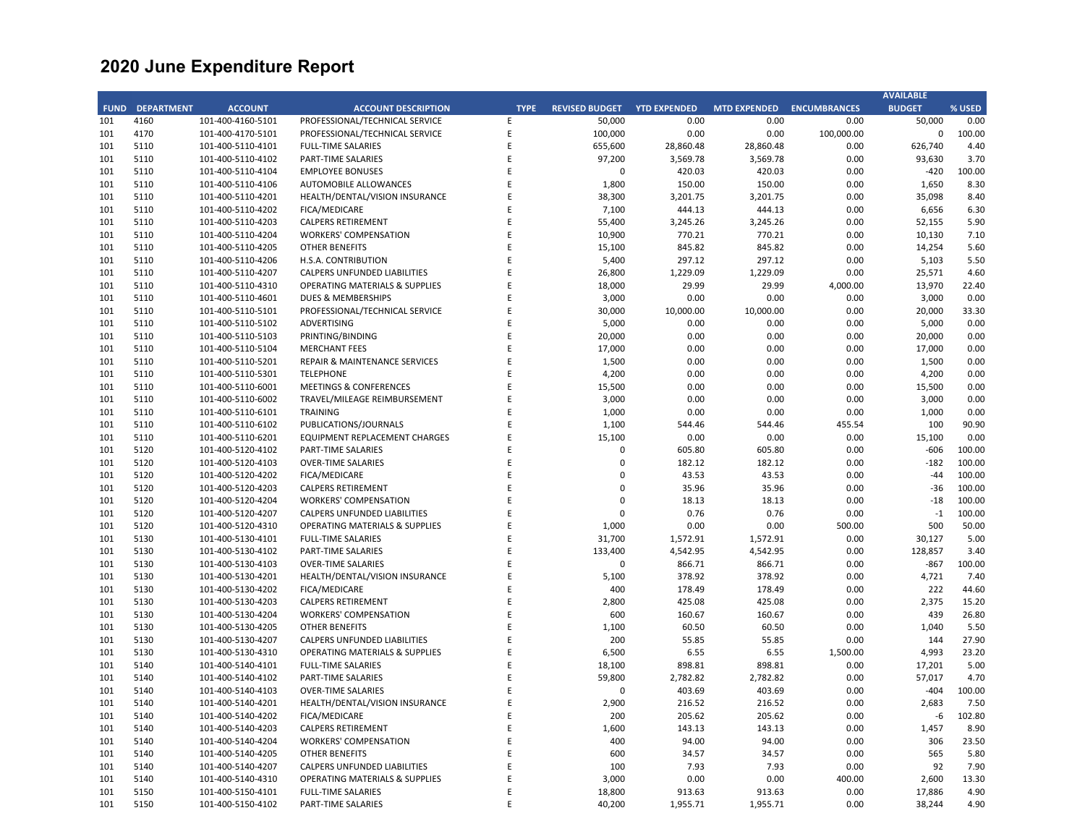|             |                   |                   |                                           |             |                       |                     |                     |                     | <b>AVAILABLE</b> |        |
|-------------|-------------------|-------------------|-------------------------------------------|-------------|-----------------------|---------------------|---------------------|---------------------|------------------|--------|
| <b>FUND</b> | <b>DEPARTMENT</b> | <b>ACCOUNT</b>    | <b>ACCOUNT DESCRIPTION</b>                | <b>TYPE</b> | <b>REVISED BUDGET</b> | <b>YTD EXPENDED</b> | <b>MTD EXPENDED</b> | <b>ENCUMBRANCES</b> | <b>BUDGET</b>    | % USED |
| 101         | 4160              | 101-400-4160-5101 | PROFESSIONAL/TECHNICAL SERVICE            | E           | 50,000                | 0.00                | 0.00                | 0.00                | 50,000           | 0.00   |
| 101         | 4170              | 101-400-4170-5101 | PROFESSIONAL/TECHNICAL SERVICE            | E           | 100,000               | 0.00                | 0.00                | 100,000.00          | $\Omega$         | 100.00 |
| 101         | 5110              | 101-400-5110-4101 | <b>FULL-TIME SALARIES</b>                 | E           | 655,600               | 28,860.48           | 28,860.48           | 0.00                | 626,740          | 4.40   |
| 101         | 5110              | 101-400-5110-4102 | <b>PART-TIME SALARIES</b>                 | E           | 97,200                | 3,569.78            | 3,569.78            | 0.00                | 93,630           | 3.70   |
| 101         | 5110              | 101-400-5110-4104 | <b>EMPLOYEE BONUSES</b>                   | E           | 0                     | 420.03              | 420.03              | 0.00                | $-420$           | 100.00 |
| 101         | 5110              | 101-400-5110-4106 | <b>AUTOMOBILE ALLOWANCES</b>              | E           | 1,800                 | 150.00              | 150.00              | 0.00                | 1,650            | 8.30   |
|             |                   |                   |                                           |             |                       |                     |                     |                     |                  |        |
| 101         | 5110              | 101-400-5110-4201 | HEALTH/DENTAL/VISION INSURANCE            | E           | 38,300                | 3,201.75            | 3,201.75            | 0.00                | 35,098           | 8.40   |
| 101         | 5110              | 101-400-5110-4202 | FICA/MEDICARE                             | E           | 7,100                 | 444.13              | 444.13              | 0.00                | 6,656            | 6.30   |
| 101         | 5110              | 101-400-5110-4203 | <b>CALPERS RETIREMENT</b>                 | E           | 55,400                | 3,245.26            | 3,245.26            | 0.00                | 52,155           | 5.90   |
| 101         | 5110              | 101-400-5110-4204 | <b>WORKERS' COMPENSATION</b>              | E           | 10,900                | 770.21              | 770.21              | 0.00                | 10,130           | 7.10   |
| 101         | 5110              | 101-400-5110-4205 | <b>OTHER BENEFITS</b>                     | E           | 15,100                | 845.82              | 845.82              | 0.00                | 14,254           | 5.60   |
| 101         | 5110              | 101-400-5110-4206 | H.S.A. CONTRIBUTION                       | E           | 5,400                 | 297.12              | 297.12              | 0.00                | 5,103            | 5.50   |
| 101         | 5110              | 101-400-5110-4207 | <b>CALPERS UNFUNDED LIABILITIES</b>       | E           | 26,800                | 1,229.09            | 1,229.09            | 0.00                | 25,571           | 4.60   |
| 101         | 5110              | 101-400-5110-4310 | <b>OPERATING MATERIALS &amp; SUPPLIES</b> | E           | 18,000                | 29.99               | 29.99               | 4,000.00            | 13,970           | 22.40  |
| 101         | 5110              | 101-400-5110-4601 | DUES & MEMBERSHIPS                        | E           | 3,000                 | 0.00                | 0.00                | 0.00                | 3,000            | 0.00   |
| 101         | 5110              | 101-400-5110-5101 | PROFESSIONAL/TECHNICAL SERVICE            | E           | 30,000                | 10,000.00           | 10,000.00           | 0.00                | 20,000           | 33.30  |
| 101         | 5110              | 101-400-5110-5102 | ADVERTISING                               | F           | 5,000                 | 0.00                | 0.00                | 0.00                | 5,000            | 0.00   |
| 101         | 5110              | 101-400-5110-5103 | PRINTING/BINDING                          | E           | 20,000                | 0.00                | 0.00                | 0.00                | 20,000           | 0.00   |
|             |                   |                   |                                           | E           | 17,000                |                     |                     |                     | 17,000           |        |
| 101         | 5110              | 101-400-5110-5104 | <b>MERCHANT FEES</b>                      |             |                       | 0.00                | 0.00                | 0.00                |                  | 0.00   |
| 101         | 5110              | 101-400-5110-5201 | <b>REPAIR &amp; MAINTENANCE SERVICES</b>  | E           | 1,500                 | 0.00                | 0.00                | 0.00                | 1,500            | 0.00   |
| 101         | 5110              | 101-400-5110-5301 | <b>TELEPHONE</b>                          | E           | 4,200                 | 0.00                | 0.00                | 0.00                | 4,200            | 0.00   |
| 101         | 5110              | 101-400-5110-6001 | <b>MEETINGS &amp; CONFERENCES</b>         | E           | 15,500                | 0.00                | 0.00                | 0.00                | 15,500           | 0.00   |
| 101         | 5110              | 101-400-5110-6002 | TRAVEL/MILEAGE REIMBURSEMENT              | E           | 3,000                 | 0.00                | 0.00                | 0.00                | 3,000            | 0.00   |
| 101         | 5110              | 101-400-5110-6101 | <b>TRAINING</b>                           | E           | 1,000                 | 0.00                | 0.00                | 0.00                | 1,000            | 0.00   |
| 101         | 5110              | 101-400-5110-6102 | PUBLICATIONS/JOURNALS                     | E           | 1,100                 | 544.46              | 544.46              | 455.54              | 100              | 90.90  |
| 101         | 5110              | 101-400-5110-6201 | EQUIPMENT REPLACEMENT CHARGES             | E           | 15,100                | 0.00                | 0.00                | 0.00                | 15,100           | 0.00   |
| 101         | 5120              | 101-400-5120-4102 | PART-TIME SALARIES                        | F           | $\Omega$              | 605.80              | 605.80              | 0.00                | $-606$           | 100.00 |
| 101         | 5120              | 101-400-5120-4103 | <b>OVER-TIME SALARIES</b>                 | E           | $\mathbf 0$           | 182.12              | 182.12              | 0.00                | $-182$           | 100.00 |
| 101         | 5120              | 101-400-5120-4202 | FICA/MEDICARE                             | E           | $\Omega$              | 43.53               | 43.53               | 0.00                | $-44$            | 100.00 |
| 101         | 5120              | 101-400-5120-4203 | <b>CALPERS RETIREMENT</b>                 | E           | $\Omega$              | 35.96               | 35.96               | 0.00                | $-36$            | 100.00 |
| 101         | 5120              | 101-400-5120-4204 | <b>WORKERS' COMPENSATION</b>              | E           | $\Omega$              | 18.13               | 18.13               | 0.00                | $-18$            | 100.00 |
| 101         | 5120              | 101-400-5120-4207 | CALPERS UNFUNDED LIABILITIES              | E           | $\overline{0}$        | 0.76                | 0.76                | 0.00                | $-1$             | 100.00 |
| 101         | 5120              | 101-400-5120-4310 | <b>OPERATING MATERIALS &amp; SUPPLIES</b> | E           | 1,000                 | 0.00                | 0.00                | 500.00              | 500              | 50.00  |
| 101         | 5130              | 101-400-5130-4101 | <b>FULL-TIME SALARIES</b>                 | E           | 31,700                | 1,572.91            | 1,572.91            | 0.00                | 30,127           | 5.00   |
| 101         | 5130              |                   |                                           | E           | 133,400               | 4,542.95            | 4,542.95            | 0.00                | 128,857          | 3.40   |
| 101         | 5130              | 101-400-5130-4102 | PART-TIME SALARIES                        | E           | $\mathbf 0$           |                     | 866.71              | 0.00                | $-867$           | 100.00 |
|             |                   | 101-400-5130-4103 | <b>OVER-TIME SALARIES</b>                 |             |                       | 866.71              |                     |                     |                  |        |
| 101         | 5130              | 101-400-5130-4201 | HEALTH/DENTAL/VISION INSURANCE            | E           | 5,100                 | 378.92              | 378.92              | 0.00                | 4.721            | 7.40   |
| 101         | 5130              | 101-400-5130-4202 | FICA/MEDICARE                             | E           | 400                   | 178.49              | 178.49              | 0.00                | 222              | 44.60  |
| 101         | 5130              | 101-400-5130-4203 | <b>CALPERS RETIREMENT</b>                 | E           | 2,800                 | 425.08              | 425.08              | 0.00                | 2,375            | 15.20  |
| 101         | 5130              | 101-400-5130-4204 | <b>WORKERS' COMPENSATION</b>              | E           | 600                   | 160.67              | 160.67              | 0.00                | 439              | 26.80  |
| 101         | 5130              | 101-400-5130-4205 | <b>OTHER BENEFITS</b>                     | F           | 1,100                 | 60.50               | 60.50               | 0.00                | 1,040            | 5.50   |
| 101         | 5130              | 101-400-5130-4207 | CALPERS UNFUNDED LIABILITIES              | E           | 200                   | 55.85               | 55.85               | 0.00                | 144              | 27.90  |
| 101         | 5130              | 101-400-5130-4310 | <b>OPERATING MATERIALS &amp; SUPPLIES</b> | E           | 6,500                 | 6.55                | 6.55                | 1,500.00            | 4,993            | 23.20  |
| 101         | 5140              | 101-400-5140-4101 | <b>FULL-TIME SALARIES</b>                 | E           | 18,100                | 898.81              | 898.81              | 0.00                | 17,201           | 5.00   |
| 101         | 5140              | 101-400-5140-4102 | PART-TIME SALARIES                        | E           | 59,800                | 2,782.82            | 2,782.82            | 0.00                | 57,017           | 4.70   |
| 101         | 5140              | 101-400-5140-4103 | <b>OVER-TIME SALARIES</b>                 | E           | $\Omega$              | 403.69              | 403.69              | 0.00                | $-404$           | 100.00 |
| 101         | 5140              | 101-400-5140-4201 | HEALTH/DENTAL/VISION INSURANCE            | E           | 2,900                 | 216.52              | 216.52              | 0.00                | 2,683            | 7.50   |
| 101         | 5140              | 101-400-5140-4202 | FICA/MEDICARE                             | E           | 200                   | 205.62              | 205.62              | 0.00                | -6               | 102.80 |
| 101         | 5140              | 101-400-5140-4203 | <b>CALPERS RETIREMENT</b>                 | E           | 1,600                 | 143.13              | 143.13              | 0.00                | 1,457            | 8.90   |
| 101         | 5140              | 101-400-5140-4204 | <b>WORKERS' COMPENSATION</b>              | E           | 400                   | 94.00               | 94.00               | 0.00                | 306              | 23.50  |
| 101         | 5140              | 101-400-5140-4205 | <b>OTHER BENEFITS</b>                     | E           | 600                   | 34.57               | 34.57               | 0.00                | 565              | 5.80   |
|             |                   |                   |                                           |             |                       |                     |                     |                     |                  |        |
| 101         | 5140              | 101-400-5140-4207 | CALPERS UNFUNDED LIABILITIES              | E           | 100                   | 7.93                | 7.93                | 0.00                | 92               | 7.90   |
| 101         | 5140              | 101-400-5140-4310 | <b>OPERATING MATERIALS &amp; SUPPLIES</b> | E           | 3,000                 | 0.00                | 0.00                | 400.00              | 2,600            | 13.30  |
| 101         | 5150              | 101-400-5150-4101 | <b>FULL-TIME SALARIES</b>                 | E           | 18,800                | 913.63              | 913.63              | 0.00                | 17,886           | 4.90   |
| 101         | 5150              | 101-400-5150-4102 | <b>PART-TIME SALARIES</b>                 | F           | 40,200                | 1,955.71            | 1,955.71            | 0.00                | 38,244           | 4.90   |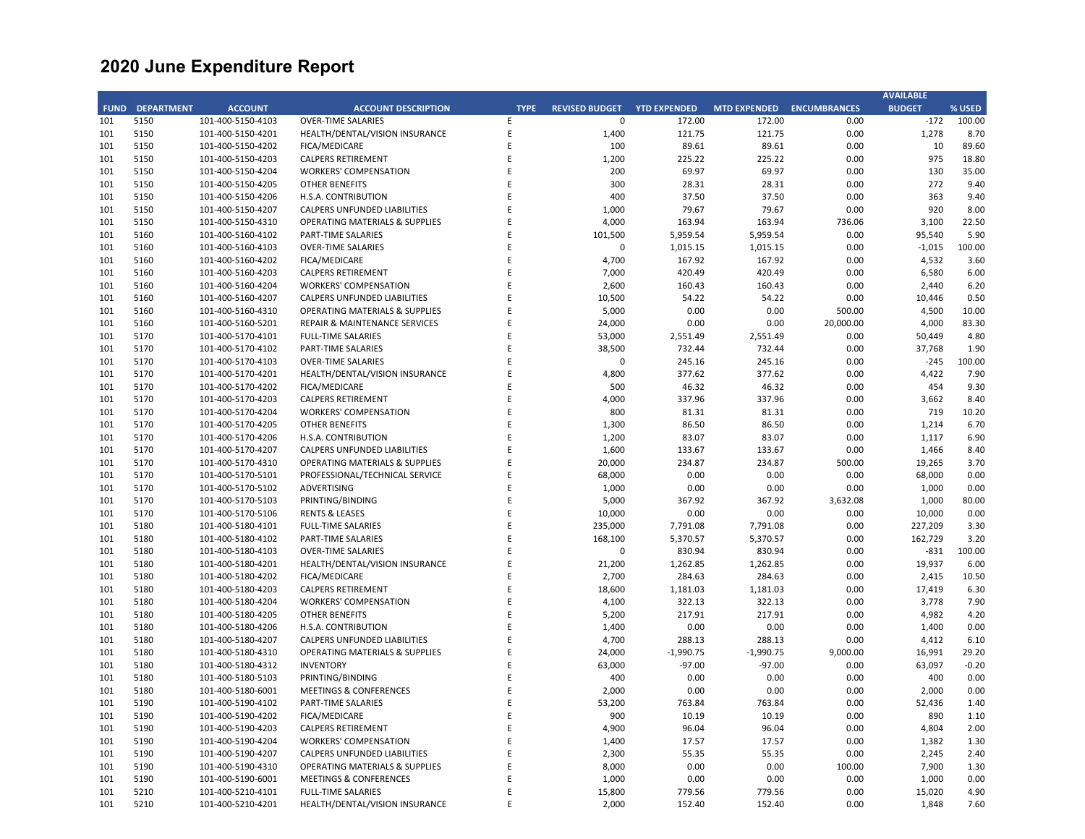|             |                   |                   |                                           |             |                       |                     |                     |                     | <b>AVAILABLE</b> |         |
|-------------|-------------------|-------------------|-------------------------------------------|-------------|-----------------------|---------------------|---------------------|---------------------|------------------|---------|
| <b>FUND</b> | <b>DEPARTMENT</b> | <b>ACCOUNT</b>    | <b>ACCOUNT DESCRIPTION</b>                | <b>TYPE</b> | <b>REVISED BUDGET</b> | <b>YTD EXPENDED</b> | <b>MTD EXPENDED</b> | <b>ENCUMBRANCES</b> | <b>BUDGET</b>    | % USED  |
| 101         | 5150              | 101-400-5150-4103 | <b>OVER-TIME SALARIES</b>                 | E           | $\mathbf 0$           | 172.00              | 172.00              | 0.00                | $-172$           | 100.00  |
| 101         | 5150              | 101-400-5150-4201 | HEALTH/DENTAL/VISION INSURANCE            | E           | 1,400                 | 121.75              | 121.75              | 0.00                | 1,278            | 8.70    |
| 101         | 5150              | 101-400-5150-4202 | FICA/MEDICARE                             | E           | 100                   | 89.61               | 89.61               | 0.00                | 10               | 89.60   |
| 101         | 5150              | 101-400-5150-4203 | <b>CALPERS RETIREMENT</b>                 | E           | 1,200                 | 225.22              | 225.22              | 0.00                | 975              | 18.80   |
| 101         | 5150              | 101-400-5150-4204 | <b>WORKERS' COMPENSATION</b>              | E           | 200                   | 69.97               | 69.97               | 0.00                | 130              | 35.00   |
| 101         | 5150              |                   | <b>OTHER BENEFITS</b>                     | E           | 300                   |                     |                     |                     | 272              | 9.40    |
|             |                   | 101-400-5150-4205 |                                           |             |                       | 28.31               | 28.31               | 0.00                |                  |         |
| 101         | 5150              | 101-400-5150-4206 | H.S.A. CONTRIBUTION                       | E           | 400                   | 37.50               | 37.50               | 0.00                | 363              | 9.40    |
| 101         | 5150              | 101-400-5150-4207 | CALPERS UNFUNDED LIABILITIES              | E           | 1,000                 | 79.67               | 79.67               | 0.00                | 920              | 8.00    |
| 101         | 5150              | 101-400-5150-4310 | <b>OPERATING MATERIALS &amp; SUPPLIES</b> | E           | 4,000                 | 163.94              | 163.94              | 736.06              | 3,100            | 22.50   |
| 101         | 5160              | 101-400-5160-4102 | <b>PART-TIME SALARIES</b>                 | E           | 101,500               | 5,959.54            | 5,959.54            | 0.00                | 95,540           | 5.90    |
| 101         | 5160              | 101-400-5160-4103 | <b>OVER-TIME SALARIES</b>                 | Ε           | $\mathbf 0$           | 1,015.15            | 1,015.15            | 0.00                | $-1,015$         | 100.00  |
| 101         | 5160              | 101-400-5160-4202 | <b>FICA/MEDICARE</b>                      | E           | 4,700                 | 167.92              | 167.92              | 0.00                | 4,532            | 3.60    |
| 101         | 5160              | 101-400-5160-4203 | <b>CALPERS RETIREMENT</b>                 | F           | 7,000                 | 420.49              | 420.49              | 0.00                | 6,580            | 6.00    |
| 101         | 5160              | 101-400-5160-4204 | <b>WORKERS' COMPENSATION</b>              | E           | 2,600                 | 160.43              | 160.43              | 0.00                | 2,440            | 6.20    |
| 101         | 5160              | 101-400-5160-4207 | <b>CALPERS UNFUNDED LIABILITIES</b>       | E           | 10,500                | 54.22               | 54.22               | 0.00                | 10,446           | 0.50    |
| 101         | 5160              | 101-400-5160-4310 | <b>OPERATING MATERIALS &amp; SUPPLIES</b> | E           | 5,000                 | 0.00                | 0.00                | 500.00              | 4,500            | 10.00   |
| 101         | 5160              | 101-400-5160-5201 | REPAIR & MAINTENANCE SERVICES             | E           | 24,000                | 0.00                | 0.00                | 20,000.00           | 4,000            | 83.30   |
| 101         | 5170              | 101-400-5170-4101 | <b>FULL-TIME SALARIES</b>                 | E           | 53,000                | 2,551.49            | 2,551.49            | 0.00                | 50,449           | 4.80    |
| 101         | 5170              | 101-400-5170-4102 | PART-TIME SALARIES                        | E           | 38,500                | 732.44              | 732.44              | 0.00                | 37,768           | 1.90    |
| 101         | 5170              | 101-400-5170-4103 | <b>OVER-TIME SALARIES</b>                 | E           | $\Omega$              | 245.16              | 245.16              | 0.00                | $-245$           | 100.00  |
|             |                   |                   |                                           |             |                       |                     |                     |                     |                  |         |
| 101         | 5170              | 101-400-5170-4201 | HEALTH/DENTAL/VISION INSURANCE            | E           | 4,800                 | 377.62              | 377.62              | 0.00                | 4,422            | 7.90    |
| 101         | 5170              | 101-400-5170-4202 | FICA/MEDICARE                             | E           | 500                   | 46.32               | 46.32               | 0.00                | 454              | 9.30    |
| 101         | 5170              | 101-400-5170-4203 | <b>CALPERS RETIREMENT</b>                 | E           | 4,000                 | 337.96              | 337.96              | 0.00                | 3,662            | 8.40    |
| 101         | 5170              | 101-400-5170-4204 | <b>WORKERS' COMPENSATION</b>              | E           | 800                   | 81.31               | 81.31               | 0.00                | 719              | 10.20   |
| 101         | 5170              | 101-400-5170-4205 | <b>OTHER BENEFITS</b>                     | Ε           | 1,300                 | 86.50               | 86.50               | 0.00                | 1,214            | 6.70    |
| 101         | 5170              | 101-400-5170-4206 | H.S.A. CONTRIBUTION                       | E           | 1,200                 | 83.07               | 83.07               | 0.00                | 1,117            | 6.90    |
| 101         | 5170              | 101-400-5170-4207 | <b>CALPERS UNFUNDED LIABILITIES</b>       | F           | 1,600                 | 133.67              | 133.67              | 0.00                | 1,466            | 8.40    |
| 101         | 5170              | 101-400-5170-4310 | <b>OPERATING MATERIALS &amp; SUPPLIES</b> | E           | 20,000                | 234.87              | 234.87              | 500.00              | 19,265           | 3.70    |
| 101         | 5170              | 101-400-5170-5101 | PROFESSIONAL/TECHNICAL SERVICE            | E           | 68,000                | 0.00                | 0.00                | 0.00                | 68,000           | 0.00    |
| 101         | 5170              | 101-400-5170-5102 | ADVERTISING                               | E           | 1,000                 | 0.00                | 0.00                | 0.00                | 1,000            | 0.00    |
| 101         | 5170              | 101-400-5170-5103 | PRINTING/BINDING                          | E           | 5,000                 | 367.92              | 367.92              | 3,632.08            | 1,000            | 80.00   |
| 101         | 5170              | 101-400-5170-5106 | <b>RENTS &amp; LEASES</b>                 | E           | 10,000                | 0.00                | 0.00                | 0.00                | 10,000           | 0.00    |
| 101         | 5180              | 101-400-5180-4101 | <b>FULL-TIME SALARIES</b>                 | E           | 235,000               | 7,791.08            | 7,791.08            | 0.00                | 227,209          | 3.30    |
| 101         | 5180              | 101-400-5180-4102 | <b>PART-TIME SALARIES</b>                 | E           | 168,100               | 5,370.57            | 5,370.57            | 0.00                | 162,729          | 3.20    |
| 101         | 5180              | 101-400-5180-4103 | <b>OVER-TIME SALARIES</b>                 | E           | 0                     | 830.94              | 830.94              | 0.00                | $-831$           | 100.00  |
| 101         | 5180              | 101-400-5180-4201 | HEALTH/DENTAL/VISION INSURANCE            | E           | 21,200                | 1,262.85            | 1,262.85            | 0.00                | 19,937           | 6.00    |
| 101         | 5180              | 101-400-5180-4202 | <b>FICA/MEDICARE</b>                      | E           | 2,700                 | 284.63              | 284.63              | 0.00                | 2,415            | 10.50   |
|             |                   |                   |                                           | E           |                       |                     |                     |                     |                  |         |
| 101         | 5180              | 101-400-5180-4203 | <b>CALPERS RETIREMENT</b>                 |             | 18,600                | 1,181.03            | 1,181.03            | 0.00                | 17,419           | 6.30    |
| 101         | 5180              | 101-400-5180-4204 | <b>WORKERS' COMPENSATION</b>              | E           | 4,100                 | 322.13              | 322.13              | 0.00                | 3,778            | 7.90    |
| 101         | 5180              | 101-400-5180-4205 | <b>OTHER BENEFITS</b>                     | E           | 5,200                 | 217.91              | 217.91              | 0.00                | 4,982            | 4.20    |
| 101         | 5180              | 101-400-5180-4206 | H.S.A. CONTRIBUTION                       | F           | 1,400                 | 0.00                | 0.00                | 0.00                | 1,400            | 0.00    |
| 101         | 5180              | 101-400-5180-4207 | CALPERS UNFUNDED LIABILITIES              | E           | 4,700                 | 288.13              | 288.13              | 0.00                | 4,412            | 6.10    |
| 101         | 5180              | 101-400-5180-4310 | <b>OPERATING MATERIALS &amp; SUPPLIES</b> | E           | 24,000                | $-1,990.75$         | $-1,990.75$         | 9,000.00            | 16,991           | 29.20   |
| 101         | 5180              | 101-400-5180-4312 | <b>INVENTORY</b>                          | E           | 63,000                | $-97.00$            | $-97.00$            | 0.00                | 63,097           | $-0.20$ |
| 101         | 5180              | 101-400-5180-5103 | PRINTING/BINDING                          | E           | 400                   | 0.00                | 0.00                | 0.00                | 400              | 0.00    |
| 101         | 5180              | 101-400-5180-6001 | <b>MEETINGS &amp; CONFERENCES</b>         | E           | 2,000                 | 0.00                | 0.00                | 0.00                | 2,000            | 0.00    |
| 101         | 5190              | 101-400-5190-4102 | <b>PART-TIME SALARIES</b>                 | E           | 53,200                | 763.84              | 763.84              | 0.00                | 52,436           | 1.40    |
| 101         | 5190              | 101-400-5190-4202 | FICA/MEDICARE                             | E           | 900                   | 10.19               | 10.19               | 0.00                | 890              | 1.10    |
| 101         | 5190              | 101-400-5190-4203 | <b>CALPERS RETIREMENT</b>                 | E           | 4,900                 | 96.04               | 96.04               | 0.00                | 4,804            | 2.00    |
| 101         | 5190              | 101-400-5190-4204 | <b>WORKERS' COMPENSATION</b>              | E           | 1,400                 | 17.57               | 17.57               | 0.00                | 1,382            | 1.30    |
| 101         | 5190              | 101-400-5190-4207 | <b>CALPERS UNFUNDED LIABILITIES</b>       | E           | 2,300                 | 55.35               | 55.35               | 0.00                | 2,245            | 2.40    |
| 101         | 5190              | 101-400-5190-4310 | <b>OPERATING MATERIALS &amp; SUPPLIES</b> | E           | 8,000                 | 0.00                | 0.00                | 100.00              | 7,900            | 1.30    |
| 101         | 5190              | 101-400-5190-6001 | <b>MEETINGS &amp; CONFERENCES</b>         | E           | 1,000                 | 0.00                | 0.00                | 0.00                | 1,000            | 0.00    |
| 101         | 5210              | 101-400-5210-4101 | <b>FULL-TIME SALARIES</b>                 | E           | 15,800                | 779.56              | 779.56              | 0.00                | 15,020           | 4.90    |
| 101         | 5210              | 101-400-5210-4201 | HEALTH/DENTAL/VISION INSURANCE            | F           | 2,000                 | 152.40              | 152.40              | 0.00                | 1,848            | 7.60    |
|             |                   |                   |                                           |             |                       |                     |                     |                     |                  |         |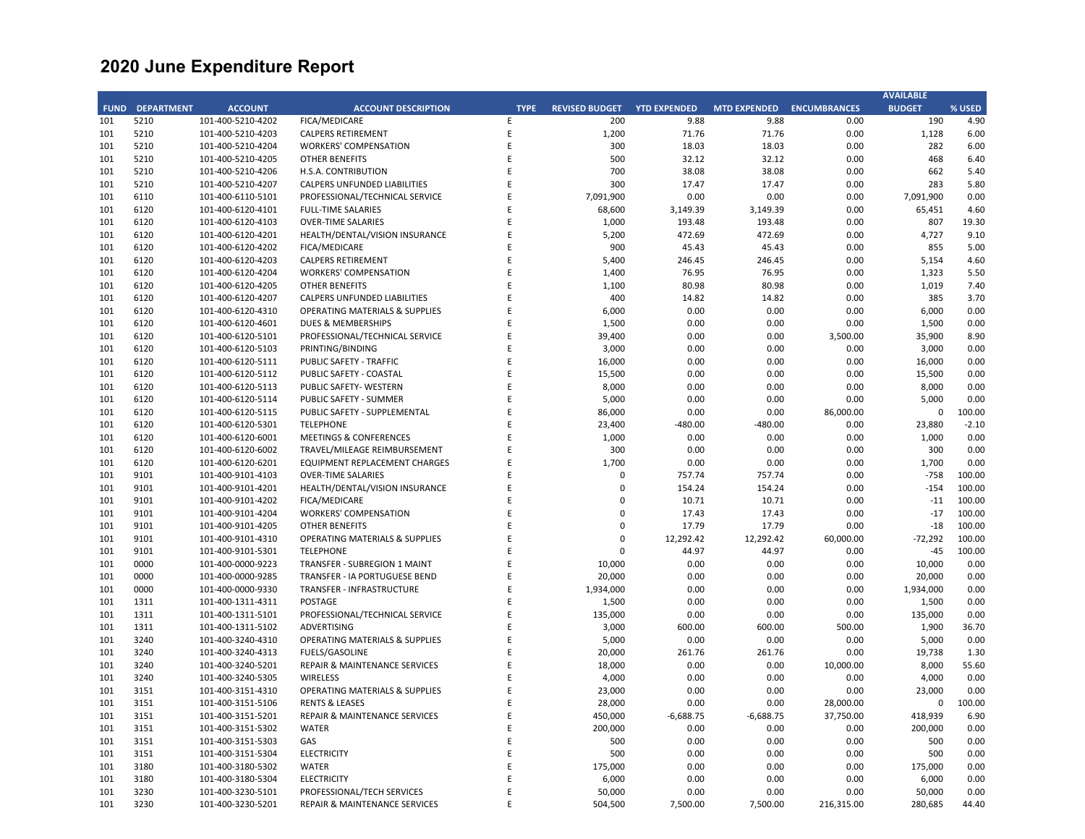|             |                   |                   |                                           |             |                       |                     |                     |                     | <b>AVAILABLE</b> |         |
|-------------|-------------------|-------------------|-------------------------------------------|-------------|-----------------------|---------------------|---------------------|---------------------|------------------|---------|
| <b>FUND</b> | <b>DEPARTMENT</b> | <b>ACCOUNT</b>    | <b>ACCOUNT DESCRIPTION</b>                | <b>TYPE</b> | <b>REVISED BUDGET</b> | <b>YTD EXPENDED</b> | <b>MTD EXPENDED</b> | <b>ENCUMBRANCES</b> | <b>BUDGET</b>    | % USED  |
| 101         | 5210              | 101-400-5210-4202 | <b>FICA/MEDICARE</b>                      | E           | 200                   | 9.88                | 9.88                | 0.00                | 190              | 4.90    |
| 101         | 5210              | 101-400-5210-4203 | <b>CALPERS RETIREMENT</b>                 | E           | 1,200                 | 71.76               | 71.76               | 0.00                | 1,128            | 6.00    |
| 101         | 5210              | 101-400-5210-4204 | <b>WORKERS' COMPENSATION</b>              | E           | 300                   | 18.03               | 18.03               | 0.00                | 282              | 6.00    |
| 101         | 5210              | 101-400-5210-4205 | <b>OTHER BENEFITS</b>                     | E           | 500                   | 32.12               | 32.12               | 0.00                | 468              | 6.40    |
| 101         | 5210              | 101-400-5210-4206 | H.S.A. CONTRIBUTION                       | E           | 700                   | 38.08               | 38.08               | 0.00                | 662              | 5.40    |
| 101         | 5210              |                   |                                           | E           | 300                   |                     | 17.47               | 0.00                |                  |         |
|             |                   | 101-400-5210-4207 | CALPERS UNFUNDED LIABILITIES              |             |                       | 17.47               |                     |                     | 283              | 5.80    |
| 101         | 6110              | 101-400-6110-5101 | PROFESSIONAL/TECHNICAL SERVICE            | E           | 7,091,900             | 0.00                | 0.00                | 0.00                | 7,091,900        | 0.00    |
| 101         | 6120              | 101-400-6120-4101 | <b>FULL-TIME SALARIES</b>                 | E           | 68,600                | 3,149.39            | 3,149.39            | 0.00                | 65,451           | 4.60    |
| 101         | 6120              | 101-400-6120-4103 | <b>OVER-TIME SALARIES</b>                 | E           | 1,000                 | 193.48              | 193.48              | 0.00                | 807              | 19.30   |
| 101         | 6120              | 101-400-6120-4201 | HEALTH/DENTAL/VISION INSURANCE            | E           | 5,200                 | 472.69              | 472.69              | 0.00                | 4,727            | 9.10    |
| 101         | 6120              | 101-400-6120-4202 | FICA/MEDICARE                             | E           | 900                   | 45.43               | 45.43               | 0.00                | 855              | 5.00    |
| 101         | 6120              | 101-400-6120-4203 | <b>CALPERS RETIREMENT</b>                 | E           | 5,400                 | 246.45              | 246.45              | 0.00                | 5,154            | 4.60    |
| 101         | 6120              | 101-400-6120-4204 | <b>WORKERS' COMPENSATION</b>              | F           | 1,400                 | 76.95               | 76.95               | 0.00                | 1,323            | 5.50    |
| 101         | 6120              | 101-400-6120-4205 | <b>OTHER BENEFITS</b>                     | E           | 1,100                 | 80.98               | 80.98               | 0.00                | 1,019            | 7.40    |
| 101         | 6120              | 101-400-6120-4207 | <b>CALPERS UNFUNDED LIABILITIES</b>       | E           | 400                   | 14.82               | 14.82               | 0.00                | 385              | 3.70    |
| 101         | 6120              | 101-400-6120-4310 | <b>OPERATING MATERIALS &amp; SUPPLIES</b> | E           | 6,000                 | 0.00                | 0.00                | 0.00                | 6,000            | 0.00    |
| 101         | 6120              | 101-400-6120-4601 | <b>DUES &amp; MEMBERSHIPS</b>             | F           | 1,500                 | 0.00                | 0.00                | 0.00                | 1,500            | 0.00    |
| 101         | 6120              | 101-400-6120-5101 | PROFESSIONAL/TECHNICAL SERVICE            | E           | 39,400                | 0.00                | 0.00                | 3,500.00            | 35,900           | 8.90    |
| 101         | 6120              | 101-400-6120-5103 | PRINTING/BINDING                          | E           | 3,000                 | 0.00                | 0.00                | 0.00                | 3,000            | 0.00    |
| 101         | 6120              | 101-400-6120-5111 | <b>PUBLIC SAFETY - TRAFFIC</b>            | E           | 16,000                | 0.00                | 0.00                | 0.00                | 16,000           | 0.00    |
|             |                   |                   |                                           |             |                       |                     |                     |                     |                  |         |
| 101         | 6120              | 101-400-6120-5112 | PUBLIC SAFETY - COASTAL                   | E           | 15,500                | 0.00                | 0.00                | 0.00                | 15,500           | 0.00    |
| 101         | 6120              | 101-400-6120-5113 | PUBLIC SAFETY- WESTERN                    | E           | 8,000                 | 0.00                | 0.00                | 0.00                | 8,000            | 0.00    |
| 101         | 6120              | 101-400-6120-5114 | PUBLIC SAFETY - SUMMER                    | E           | 5,000                 | 0.00                | 0.00                | 0.00                | 5,000            | 0.00    |
| 101         | 6120              | 101-400-6120-5115 | PUBLIC SAFETY - SUPPLEMENTAL              | E           | 86,000                | 0.00                | 0.00                | 86,000.00           | $\mathbf 0$      | 100.00  |
| 101         | 6120              | 101-400-6120-5301 | <b>TELEPHONE</b>                          | Ε           | 23,400                | $-480.00$           | $-480.00$           | 0.00                | 23,880           | $-2.10$ |
| 101         | 6120              | 101-400-6120-6001 | <b>MEETINGS &amp; CONFERENCES</b>         | E           | 1,000                 | 0.00                | 0.00                | 0.00                | 1,000            | 0.00    |
| 101         | 6120              | 101-400-6120-6002 | TRAVEL/MILEAGE REIMBURSEMENT              | F           | 300                   | 0.00                | 0.00                | 0.00                | 300              | 0.00    |
| 101         | 6120              | 101-400-6120-6201 | EQUIPMENT REPLACEMENT CHARGES             | E           | 1,700                 | 0.00                | 0.00                | 0.00                | 1,700            | 0.00    |
| 101         | 9101              | 101-400-9101-4103 | <b>OVER-TIME SALARIES</b>                 | E           | $\Omega$              | 757.74              | 757.74              | 0.00                | $-758$           | 100.00  |
| 101         | 9101              | 101-400-9101-4201 | HEALTH/DENTAL/VISION INSURANCE            | E           | $\Omega$              | 154.24              | 154.24              | 0.00                | $-154$           | 100.00  |
| 101         | 9101              | 101-400-9101-4202 | FICA/MEDICARE                             | F           | $\Omega$              | 10.71               | 10.71               | 0.00                | $-11$            | 100.00  |
| 101         | 9101              | 101-400-9101-4204 | <b>WORKERS' COMPENSATION</b>              | E           | $\Omega$              | 17.43               | 17.43               | 0.00                | $-17$            | 100.00  |
| 101         | 9101              | 101-400-9101-4205 | <b>OTHER BENEFITS</b>                     | E           | $\Omega$              | 17.79               | 17.79               | 0.00                | $-18$            | 100.00  |
| 101         | 9101              | 101-400-9101-4310 | <b>OPERATING MATERIALS &amp; SUPPLIES</b> | E           | $\Omega$              | 12,292.42           | 12,292.42           | 60,000.00           | $-72,292$        | 100.00  |
| 101         | 9101              | 101-400-9101-5301 | <b>TELEPHONE</b>                          | E           | $\Omega$              | 44.97               | 44.97               | 0.00                | $-45$            | 100.00  |
| 101         | 0000              | 101-400-0000-9223 | TRANSFER - SUBREGION 1 MAINT              | E           | 10,000                | 0.00                | 0.00                | 0.00                | 10,000           | 0.00    |
| 101         | 0000              | 101-400-0000-9285 | <b>TRANSFER - IA PORTUGUESE BEND</b>      | E           | 20,000                | 0.00                | 0.00                | 0.00                | 20,000           | 0.00    |
|             |                   |                   |                                           |             |                       |                     |                     |                     |                  |         |
| 101         | 0000              | 101-400-0000-9330 | TRANSFER - INFRASTRUCTURE                 | E           | 1,934,000             | 0.00                | 0.00                | 0.00                | 1,934,000        | 0.00    |
| 101         | 1311              | 101-400-1311-4311 | <b>POSTAGE</b>                            | E           | 1,500                 | 0.00                | 0.00                | 0.00                | 1,500            | 0.00    |
| 101         | 1311              | 101-400-1311-5101 | PROFESSIONAL/TECHNICAL SERVICE            | E           | 135,000               | 0.00                | 0.00                | 0.00                | 135,000          | 0.00    |
| 101         | 1311              | 101-400-1311-5102 | <b>ADVERTISING</b>                        | E           | 3,000                 | 600.00              | 600.00              | 500.00              | 1,900            | 36.70   |
| 101         | 3240              | 101-400-3240-4310 | <b>OPERATING MATERIALS &amp; SUPPLIES</b> | E           | 5,000                 | 0.00                | 0.00                | 0.00                | 5,000            | 0.00    |
| 101         | 3240              | 101-400-3240-4313 | <b>FUELS/GASOLINE</b>                     | E           | 20,000                | 261.76              | 261.76              | 0.00                | 19,738           | 1.30    |
| 101         | 3240              | 101-400-3240-5201 | REPAIR & MAINTENANCE SERVICES             | E           | 18,000                | 0.00                | 0.00                | 10,000.00           | 8,000            | 55.60   |
| 101         | 3240              | 101-400-3240-5305 | <b>WIRELESS</b>                           | E           | 4,000                 | 0.00                | 0.00                | 0.00                | 4,000            | 0.00    |
| 101         | 3151              | 101-400-3151-4310 | <b>OPERATING MATERIALS &amp; SUPPLIES</b> | E           | 23,000                | 0.00                | 0.00                | 0.00                | 23,000           | 0.00    |
| 101         | 3151              | 101-400-3151-5106 | <b>RENTS &amp; LEASES</b>                 | E           | 28,000                | 0.00                | 0.00                | 28,000.00           | $\mathbf 0$      | 100.00  |
| 101         | 3151              | 101-400-3151-5201 | <b>REPAIR &amp; MAINTENANCE SERVICES</b>  | E           | 450,000               | $-6,688.75$         | $-6,688.75$         | 37,750.00           | 418,939          | 6.90    |
| 101         | 3151              | 101-400-3151-5302 | <b>WATER</b>                              | E           | 200,000               | 0.00                | 0.00                | 0.00                | 200,000          | 0.00    |
| 101         | 3151              | 101-400-3151-5303 | GAS                                       | E           | 500                   | 0.00                | 0.00                | 0.00                | 500              | 0.00    |
| 101         | 3151              | 101-400-3151-5304 | <b>ELECTRICITY</b>                        | E           | 500                   | 0.00                | 0.00                | 0.00                | 500              | 0.00    |
| 101         | 3180              | 101-400-3180-5302 | <b>WATER</b>                              | E           | 175,000               | 0.00                | 0.00                | 0.00                | 175,000          | 0.00    |
| 101         | 3180              | 101-400-3180-5304 | <b>ELECTRICITY</b>                        | E           | 6,000                 | 0.00                | 0.00                | 0.00                | 6,000            | 0.00    |
| 101         | 3230              | 101-400-3230-5101 | PROFESSIONAL/TECH SERVICES                | E           | 50,000                | 0.00                | 0.00                | 0.00                | 50,000           | 0.00    |
| 101         | 3230              | 101-400-3230-5201 | <b>REPAIR &amp; MAINTENANCE SERVICES</b>  | F           | 504,500               | 7,500.00            | 7,500.00            | 216,315.00          | 280,685          | 44.40   |
|             |                   |                   |                                           |             |                       |                     |                     |                     |                  |         |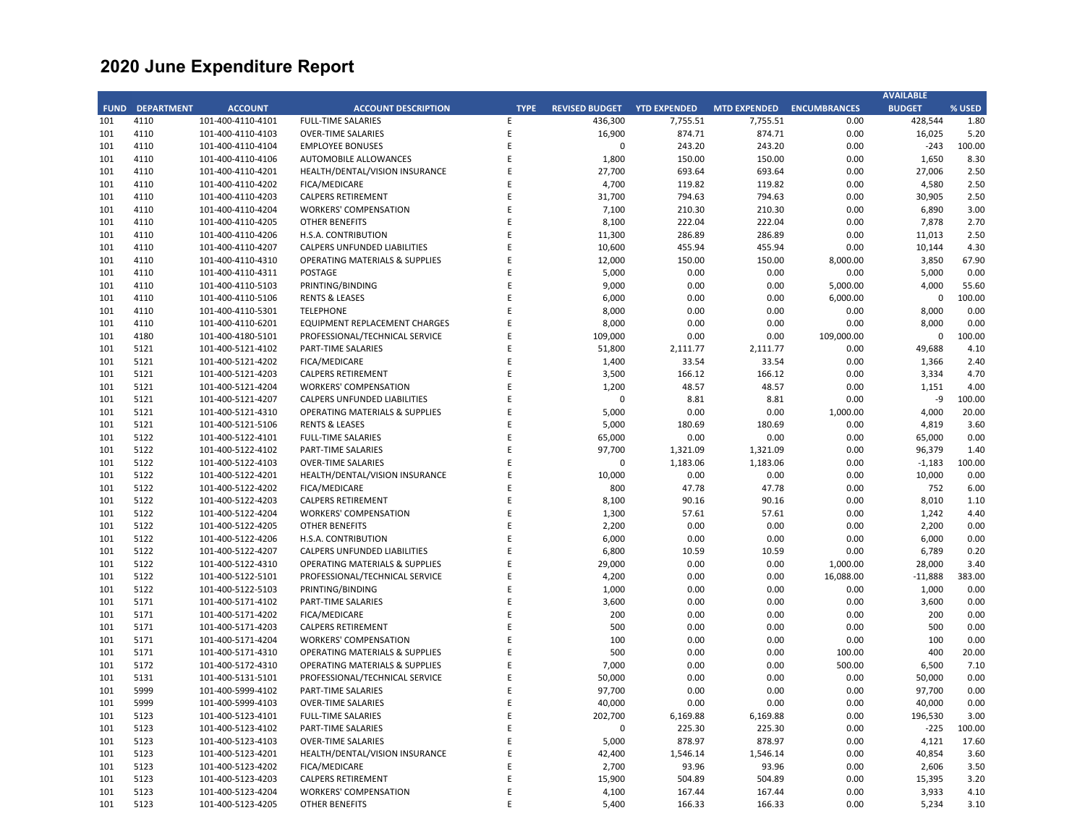|             |                   |                   |                                           |             |                       |                     |                           |            | <b>AVAILABLE</b> |        |
|-------------|-------------------|-------------------|-------------------------------------------|-------------|-----------------------|---------------------|---------------------------|------------|------------------|--------|
| <b>FUND</b> | <b>DEPARTMENT</b> | <b>ACCOUNT</b>    | <b>ACCOUNT DESCRIPTION</b>                | <b>TYPE</b> | <b>REVISED BUDGET</b> | <b>YTD EXPENDED</b> | MTD EXPENDED ENCUMBRANCES |            | <b>BUDGET</b>    | % USED |
| 101         | 4110              | 101-400-4110-4101 | <b>FULL-TIME SALARIES</b>                 | E           | 436,300               | 7,755.51            | 7,755.51                  | 0.00       | 428,544          | 1.80   |
| 101         | 4110              | 101-400-4110-4103 | <b>OVER-TIME SALARIES</b>                 | E           | 16,900                | 874.71              | 874.71                    | 0.00       | 16,025           | 5.20   |
| 101         | 4110              | 101-400-4110-4104 | <b>EMPLOYEE BONUSES</b>                   | E           | $\mathbf 0$           | 243.20              | 243.20                    | 0.00       | $-243$           | 100.00 |
| 101         | 4110              | 101-400-4110-4106 | <b>AUTOMOBILE ALLOWANCES</b>              | E           | 1,800                 | 150.00              | 150.00                    | 0.00       | 1,650            | 8.30   |
| 101         | 4110              | 101-400-4110-4201 | HEALTH/DENTAL/VISION INSURANCE            | E           | 27,700                | 693.64              | 693.64                    | 0.00       | 27,006           | 2.50   |
| 101         |                   |                   |                                           | E           |                       |                     |                           |            |                  |        |
|             | 4110              | 101-400-4110-4202 | <b>FICA/MEDICARE</b>                      |             | 4,700                 | 119.82              | 119.82                    | 0.00       | 4,580            | 2.50   |
| 101         | 4110              | 101-400-4110-4203 | <b>CALPERS RETIREMENT</b>                 | E           | 31,700                | 794.63              | 794.63                    | 0.00       | 30,905           | 2.50   |
| 101         | 4110              | 101-400-4110-4204 | <b>WORKERS' COMPENSATION</b>              | E           | 7,100                 | 210.30              | 210.30                    | 0.00       | 6,890            | 3.00   |
| 101         | 4110              | 101-400-4110-4205 | <b>OTHER BENEFITS</b>                     | E           | 8,100                 | 222.04              | 222.04                    | 0.00       | 7,878            | 2.70   |
| 101         | 4110              | 101-400-4110-4206 | H.S.A. CONTRIBUTION                       | E           | 11,300                | 286.89              | 286.89                    | 0.00       | 11,013           | 2.50   |
| 101         | 4110              | 101-400-4110-4207 | CALPERS UNFUNDED LIABILITIES              | Ε           | 10,600                | 455.94              | 455.94                    | 0.00       | 10,144           | 4.30   |
| 101         | 4110              | 101-400-4110-4310 | <b>OPERATING MATERIALS &amp; SUPPLIES</b> | E           | 12,000                | 150.00              | 150.00                    | 8,000.00   | 3,850            | 67.90  |
| 101         | 4110              | 101-400-4110-4311 | <b>POSTAGE</b>                            | E           | 5,000                 | 0.00                | 0.00                      | 0.00       | 5,000            | 0.00   |
| 101         | 4110              | 101-400-4110-5103 | PRINTING/BINDING                          | E           | 9,000                 | 0.00                | 0.00                      | 5,000.00   | 4,000            | 55.60  |
| 101         | 4110              | 101-400-4110-5106 | <b>RENTS &amp; LEASES</b>                 | E           | 6,000                 | 0.00                | 0.00                      | 6,000.00   | 0                | 100.00 |
| 101         | 4110              | 101-400-4110-5301 | <b>TELEPHONE</b>                          | E           | 8,000                 | 0.00                | 0.00                      | 0.00       | 8,000            | 0.00   |
| 101         | 4110              | 101-400-4110-6201 | EQUIPMENT REPLACEMENT CHARGES             | E           | 8,000                 | 0.00                | 0.00                      | 0.00       | 8,000            | 0.00   |
| 101         | 4180              | 101-400-4180-5101 | PROFESSIONAL/TECHNICAL SERVICE            | E           | 109,000               | 0.00                | 0.00                      | 109,000.00 | $\mathbf 0$      | 100.00 |
| 101         | 5121              | 101-400-5121-4102 | PART-TIME SALARIES                        | $\mathsf E$ | 51,800                | 2,111.77            | 2,111.77                  | 0.00       | 49,688           | 4.10   |
| 101         | 5121              | 101-400-5121-4202 | <b>FICA/MEDICARE</b>                      | E           | 1,400                 |                     | 33.54                     | 0.00       | 1,366            | 2.40   |
|             |                   |                   |                                           |             |                       | 33.54               |                           |            |                  |        |
| 101         | 5121              | 101-400-5121-4203 | <b>CALPERS RETIREMENT</b>                 | E           | 3,500                 | 166.12              | 166.12                    | 0.00       | 3,334            | 4.70   |
| 101         | 5121              | 101-400-5121-4204 | <b>WORKERS' COMPENSATION</b>              | E           | 1,200                 | 48.57               | 48.57                     | 0.00       | 1,151            | 4.00   |
| 101         | 5121              | 101-400-5121-4207 | <b>CALPERS UNFUNDED LIABILITIES</b>       | E           | 0                     | 8.81                | 8.81                      | 0.00       | -9               | 100.00 |
| 101         | 5121              | 101-400-5121-4310 | <b>OPERATING MATERIALS &amp; SUPPLIES</b> | E           | 5,000                 | 0.00                | 0.00                      | 1,000.00   | 4,000            | 20.00  |
| 101         | 5121              | 101-400-5121-5106 | <b>RENTS &amp; LEASES</b>                 | E           | 5,000                 | 180.69              | 180.69                    | 0.00       | 4,819            | 3.60   |
| 101         | 5122              | 101-400-5122-4101 | <b>FULL-TIME SALARIES</b>                 | E           | 65,000                | 0.00                | 0.00                      | 0.00       | 65,000           | 0.00   |
| 101         | 5122              | 101-400-5122-4102 | PART-TIME SALARIES                        | F           | 97,700                | 1,321.09            | 1,321.09                  | 0.00       | 96,379           | 1.40   |
| 101         | 5122              | 101-400-5122-4103 | <b>OVER-TIME SALARIES</b>                 | E           | $\mathbf 0$           | 1,183.06            | 1,183.06                  | 0.00       | $-1,183$         | 100.00 |
| 101         | 5122              | 101-400-5122-4201 | HEALTH/DENTAL/VISION INSURANCE            | E           | 10,000                | 0.00                | 0.00                      | 0.00       | 10,000           | 0.00   |
| 101         | 5122              | 101-400-5122-4202 | FICA/MEDICARE                             | E           | 800                   | 47.78               | 47.78                     | 0.00       | 752              | 6.00   |
| 101         | 5122              | 101-400-5122-4203 | CALPERS RETIREMENT                        | E           | 8,100                 | 90.16               | 90.16                     | 0.00       | 8,010            | 1.10   |
| 101         | 5122              | 101-400-5122-4204 | <b>WORKERS' COMPENSATION</b>              | E           | 1,300                 | 57.61               | 57.61                     | 0.00       | 1,242            | 4.40   |
| 101         | 5122              | 101-400-5122-4205 | <b>OTHER BENEFITS</b>                     | E           | 2,200                 | 0.00                | 0.00                      | 0.00       | 2,200            | 0.00   |
| 101         | 5122              | 101-400-5122-4206 | H.S.A. CONTRIBUTION                       | E           | 6,000                 | 0.00                | 0.00                      | 0.00       | 6,000            | 0.00   |
| 101         | 5122              | 101-400-5122-4207 | CALPERS UNFUNDED LIABILITIES              | E           | 6,800                 | 10.59               | 10.59                     | 0.00       | 6,789            | 0.20   |
| 101         | 5122              | 101-400-5122-4310 | <b>OPERATING MATERIALS &amp; SUPPLIES</b> | E           | 29,000                | 0.00                | 0.00                      | 1,000.00   | 28,000           | 3.40   |
| 101         | 5122              | 101-400-5122-5101 | PROFESSIONAL/TECHNICAL SERVICE            | E           | 4,200                 | 0.00                | 0.00                      | 16,088.00  | $-11,888$        | 383.00 |
| 101         | 5122              | 101-400-5122-5103 | PRINTING/BINDING                          | E           | 1,000                 | 0.00                | 0.00                      | 0.00       | 1,000            | 0.00   |
| 101         | 5171              | 101-400-5171-4102 | PART-TIME SALARIES                        | E           | 3,600                 | 0.00                | 0.00                      | 0.00       | 3,600            | 0.00   |
| 101         | 5171              | 101-400-5171-4202 | <b>FICA/MEDICARE</b>                      | E           | 200                   | 0.00                | 0.00                      | 0.00       | 200              | 0.00   |
|             | 5171              |                   |                                           | E           | 500                   |                     |                           |            | 500              |        |
| 101         |                   | 101-400-5171-4203 | <b>CALPERS RETIREMENT</b>                 |             |                       | 0.00                | 0.00                      | 0.00       |                  | 0.00   |
| 101         | 5171              | 101-400-5171-4204 | <b>WORKERS' COMPENSATION</b>              | E           | 100                   | 0.00                | 0.00                      | 0.00       | 100              | 0.00   |
| 101         | 5171              | 101-400-5171-4310 | OPERATING MATERIALS & SUPPLIES            | E           | 500                   | 0.00                | 0.00                      | 100.00     | 400              | 20.00  |
| 101         | 5172              | 101-400-5172-4310 | <b>OPERATING MATERIALS &amp; SUPPLIES</b> | E           | 7,000                 | 0.00                | 0.00                      | 500.00     | 6,500            | 7.10   |
| 101         | 5131              | 101-400-5131-5101 | PROFESSIONAL/TECHNICAL SERVICE            | E           | 50,000                | 0.00                | 0.00                      | 0.00       | 50,000           | 0.00   |
| 101         | 5999              | 101-400-5999-4102 | PART-TIME SALARIES                        | E           | 97,700                | 0.00                | 0.00                      | 0.00       | 97,700           | 0.00   |
| 101         | 5999              | 101-400-5999-4103 | <b>OVER-TIME SALARIES</b>                 | E           | 40,000                | 0.00                | 0.00                      | 0.00       | 40,000           | 0.00   |
| 101         | 5123              | 101-400-5123-4101 | <b>FULL-TIME SALARIES</b>                 | E           | 202,700               | 6,169.88            | 6,169.88                  | 0.00       | 196,530          | 3.00   |
| 101         | 5123              | 101-400-5123-4102 | PART-TIME SALARIES                        | E           | $\Omega$              | 225.30              | 225.30                    | 0.00       | $-225$           | 100.00 |
| 101         | 5123              | 101-400-5123-4103 | <b>OVER-TIME SALARIES</b>                 | E           | 5,000                 | 878.97              | 878.97                    | 0.00       | 4,121            | 17.60  |
| 101         | 5123              | 101-400-5123-4201 | HEALTH/DENTAL/VISION INSURANCE            | E           | 42,400                | 1,546.14            | 1,546.14                  | 0.00       | 40,854           | 3.60   |
| 101         | 5123              | 101-400-5123-4202 | <b>FICA/MEDICARE</b>                      | E           | 2,700                 | 93.96               | 93.96                     | 0.00       | 2,606            | 3.50   |
| 101         | 5123              | 101-400-5123-4203 | <b>CALPERS RETIREMENT</b>                 | E           | 15,900                | 504.89              | 504.89                    | 0.00       | 15,395           | 3.20   |
| 101         | 5123              | 101-400-5123-4204 | <b>WORKERS' COMPENSATION</b>              | E           | 4,100                 | 167.44              | 167.44                    | 0.00       | 3,933            | 4.10   |
| 101         | 5123              | 101-400-5123-4205 | OTHER BENEFITS                            | F           | 5,400                 | 166.33              | 166.33                    | 0.00       | 5,234            | 3.10   |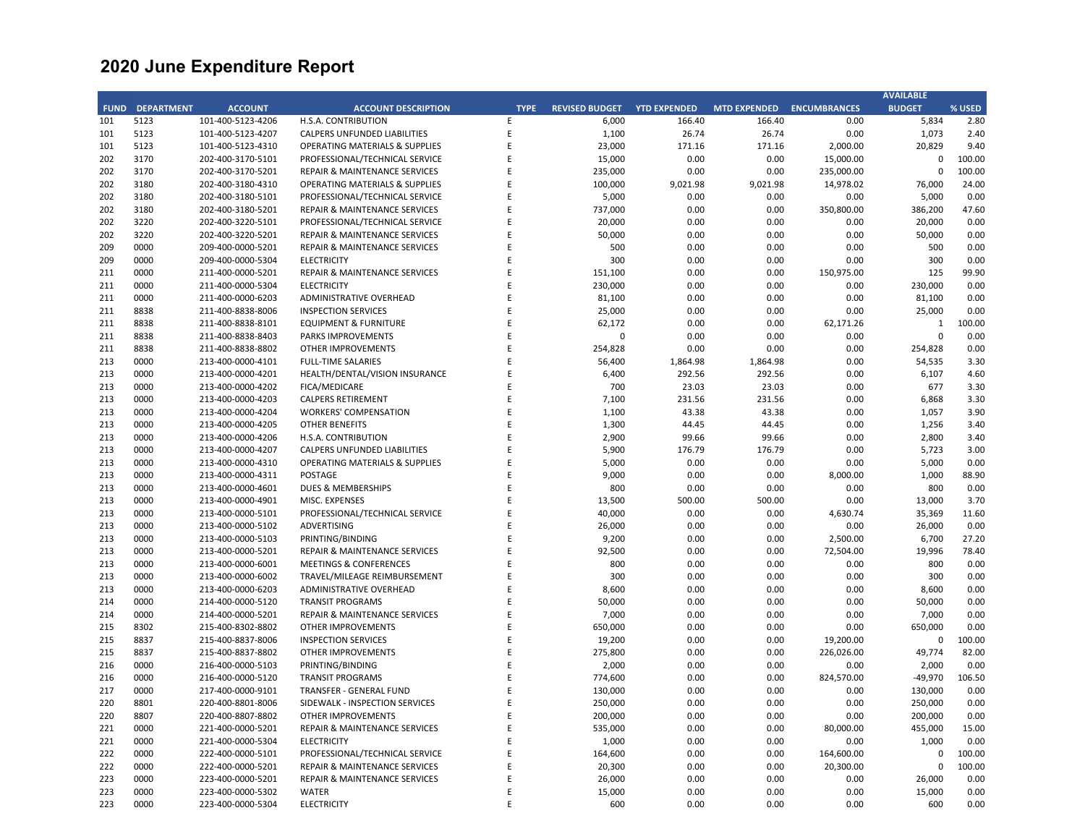| <b>BUDGET</b><br><b>ENCUMBRANCES</b> |                                                                                                                                                                                                                                                                                                                                                                                             |
|--------------------------------------|---------------------------------------------------------------------------------------------------------------------------------------------------------------------------------------------------------------------------------------------------------------------------------------------------------------------------------------------------------------------------------------------|
|                                      | % USED                                                                                                                                                                                                                                                                                                                                                                                      |
| 0.00<br>5,834                        | 2.80                                                                                                                                                                                                                                                                                                                                                                                        |
| 1,073<br>0.00                        | 2.40                                                                                                                                                                                                                                                                                                                                                                                        |
| 2,000.00<br>20,829                   | 9.40                                                                                                                                                                                                                                                                                                                                                                                        |
| 15,000.00<br>$\Omega$                | 100.00                                                                                                                                                                                                                                                                                                                                                                                      |
| 235,000.00<br>$\Omega$               | 100.00                                                                                                                                                                                                                                                                                                                                                                                      |
| 14,978.02<br>76,000                  | 24.00                                                                                                                                                                                                                                                                                                                                                                                       |
| 0.00<br>5,000                        | 0.00                                                                                                                                                                                                                                                                                                                                                                                        |
| 350,800.00<br>386,200                | 47.60                                                                                                                                                                                                                                                                                                                                                                                       |
| 0.00<br>20,000                       | 0.00                                                                                                                                                                                                                                                                                                                                                                                        |
| 0.00<br>50,000                       | 0.00                                                                                                                                                                                                                                                                                                                                                                                        |
| 0.00<br>500                          | 0.00                                                                                                                                                                                                                                                                                                                                                                                        |
| 0.00<br>300                          | 0.00                                                                                                                                                                                                                                                                                                                                                                                        |
| 125                                  | 99.90                                                                                                                                                                                                                                                                                                                                                                                       |
| 150,975.00                           |                                                                                                                                                                                                                                                                                                                                                                                             |
| 230,000<br>0.00                      | 0.00                                                                                                                                                                                                                                                                                                                                                                                        |
| 0.00<br>81,100                       | 0.00                                                                                                                                                                                                                                                                                                                                                                                        |
| 0.00<br>25,000                       | 0.00                                                                                                                                                                                                                                                                                                                                                                                        |
| 62,171.26<br>$\mathbf{1}$            | 100.00                                                                                                                                                                                                                                                                                                                                                                                      |
| 0.00<br>$\mathbf 0$                  | 0.00                                                                                                                                                                                                                                                                                                                                                                                        |
|                                      | 0.00                                                                                                                                                                                                                                                                                                                                                                                        |
| 0.00<br>54,535                       | 3.30                                                                                                                                                                                                                                                                                                                                                                                        |
| 0.00<br>6,107                        | 4.60                                                                                                                                                                                                                                                                                                                                                                                        |
| 0.00<br>677                          | 3.30                                                                                                                                                                                                                                                                                                                                                                                        |
| 0.00<br>6,868                        | 3.30                                                                                                                                                                                                                                                                                                                                                                                        |
| 0.00<br>1,057                        | 3.90                                                                                                                                                                                                                                                                                                                                                                                        |
| 0.00<br>1,256                        | 3.40                                                                                                                                                                                                                                                                                                                                                                                        |
| 2,800<br>0.00                        | 3.40                                                                                                                                                                                                                                                                                                                                                                                        |
|                                      | 3.00                                                                                                                                                                                                                                                                                                                                                                                        |
|                                      | 0.00                                                                                                                                                                                                                                                                                                                                                                                        |
|                                      | 88.90                                                                                                                                                                                                                                                                                                                                                                                       |
|                                      | 0.00                                                                                                                                                                                                                                                                                                                                                                                        |
|                                      | 3.70                                                                                                                                                                                                                                                                                                                                                                                        |
|                                      | 11.60                                                                                                                                                                                                                                                                                                                                                                                       |
|                                      | 0.00                                                                                                                                                                                                                                                                                                                                                                                        |
|                                      | 27.20                                                                                                                                                                                                                                                                                                                                                                                       |
|                                      | 78.40                                                                                                                                                                                                                                                                                                                                                                                       |
|                                      | 0.00                                                                                                                                                                                                                                                                                                                                                                                        |
|                                      |                                                                                                                                                                                                                                                                                                                                                                                             |
|                                      | 0.00                                                                                                                                                                                                                                                                                                                                                                                        |
|                                      | 0.00                                                                                                                                                                                                                                                                                                                                                                                        |
|                                      | 0.00                                                                                                                                                                                                                                                                                                                                                                                        |
|                                      | 0.00                                                                                                                                                                                                                                                                                                                                                                                        |
|                                      | 0.00                                                                                                                                                                                                                                                                                                                                                                                        |
|                                      | 100.00                                                                                                                                                                                                                                                                                                                                                                                      |
| 49,774                               | 82.00                                                                                                                                                                                                                                                                                                                                                                                       |
| 0.00<br>2,000                        | 0.00                                                                                                                                                                                                                                                                                                                                                                                        |
| 824,570.00<br>$-49,970$              | 106.50                                                                                                                                                                                                                                                                                                                                                                                      |
| 0.00<br>130,000                      | 0.00                                                                                                                                                                                                                                                                                                                                                                                        |
| 250,000<br>0.00                      | 0.00                                                                                                                                                                                                                                                                                                                                                                                        |
| 0.00<br>200,000                      | 0.00                                                                                                                                                                                                                                                                                                                                                                                        |
| 80,000.00<br>455,000                 | 15.00                                                                                                                                                                                                                                                                                                                                                                                       |
| 0.00<br>1,000                        | 0.00                                                                                                                                                                                                                                                                                                                                                                                        |
| 164,600.00<br>$\mathbf 0$            | 100.00                                                                                                                                                                                                                                                                                                                                                                                      |
| $\Omega$                             | 100.00                                                                                                                                                                                                                                                                                                                                                                                      |
|                                      | 0.00                                                                                                                                                                                                                                                                                                                                                                                        |
|                                      | 0.00                                                                                                                                                                                                                                                                                                                                                                                        |
| 0.00<br>600                          | 0.00                                                                                                                                                                                                                                                                                                                                                                                        |
|                                      | 0.00<br>254,828<br>0.00<br>5,723<br>0.00<br>5,000<br>8,000.00<br>1,000<br>800<br>0.00<br>0.00<br>13,000<br>4,630.74<br>35,369<br>0.00<br>26,000<br>2,500.00<br>6,700<br>72,504.00<br>19,996<br>800<br>0.00<br>0.00<br>300<br>8,600<br>0.00<br>0.00<br>50,000<br>7,000<br>0.00<br>0.00<br>650,000<br>19,200.00<br>$\mathbf 0$<br>226,026.00<br>20,300.00<br>0.00<br>26,000<br>0.00<br>15,000 |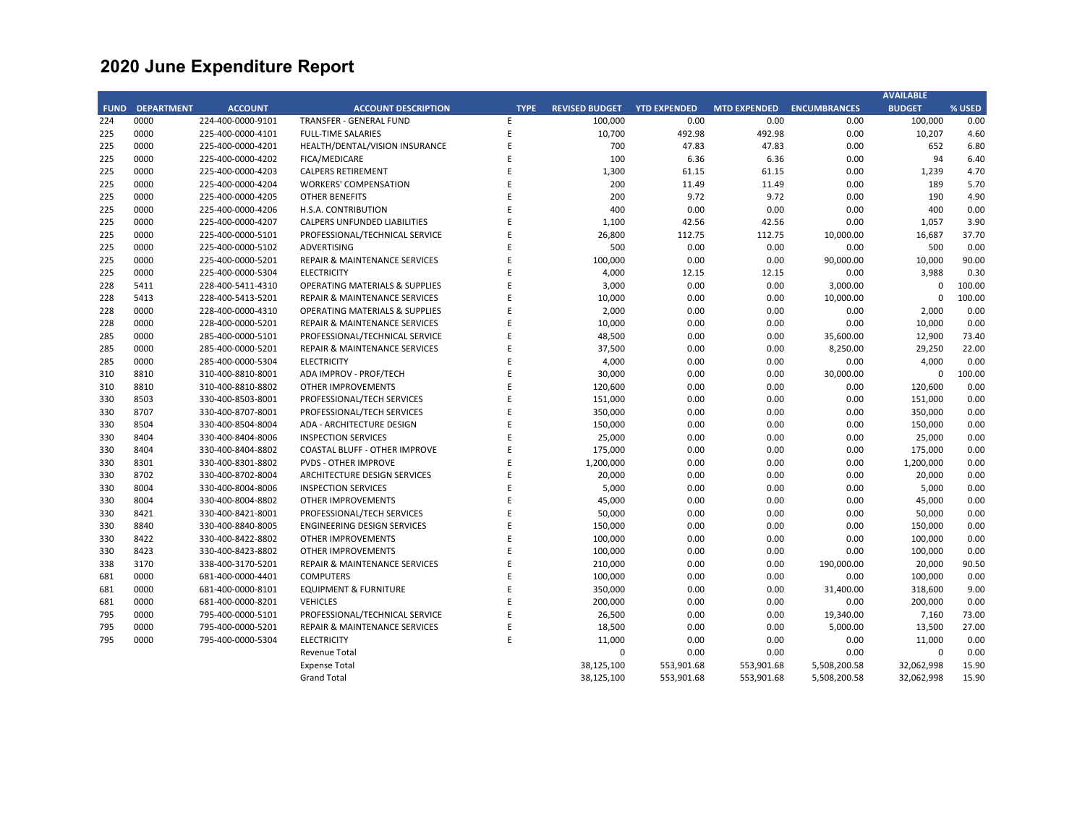|             |                   |                   |                                           |             |                       |                     |                     |                     | <b>AVAILABLE</b> |        |
|-------------|-------------------|-------------------|-------------------------------------------|-------------|-----------------------|---------------------|---------------------|---------------------|------------------|--------|
| <b>FUND</b> | <b>DEPARTMENT</b> | <b>ACCOUNT</b>    | <b>ACCOUNT DESCRIPTION</b>                | <b>TYPE</b> | <b>REVISED BUDGET</b> | <b>YTD EXPENDED</b> | <b>MTD EXPENDED</b> | <b>ENCUMBRANCES</b> | <b>BUDGET</b>    | % USED |
| 224         | 0000              | 224-400-0000-9101 | <b>TRANSFER - GENERAL FUND</b>            | E           | 100,000               | 0.00                | 0.00                | 0.00                | 100,000          | 0.00   |
| 225         | 0000              | 225-400-0000-4101 | <b>FULL-TIME SALARIES</b>                 | E           | 10,700                | 492.98              | 492.98              | 0.00                | 10,207           | 4.60   |
| 225         | 0000              | 225-400-0000-4201 | HEALTH/DENTAL/VISION INSURANCE            | E           | 700                   | 47.83               | 47.83               | 0.00                | 652              | 6.80   |
| 225         | 0000              | 225-400-0000-4202 | FICA/MEDICARE                             | E           | 100                   | 6.36                | 6.36                | 0.00                | 94               | 6.40   |
| 225         | 0000              | 225-400-0000-4203 | <b>CALPERS RETIREMENT</b>                 | E           | 1,300                 | 61.15               | 61.15               | 0.00                | 1,239            | 4.70   |
| 225         | 0000              | 225-400-0000-4204 | <b>WORKERS' COMPENSATION</b>              | E           | 200                   | 11.49               | 11.49               | 0.00                | 189              | 5.70   |
| 225         | 0000              | 225-400-0000-4205 | <b>OTHER BENEFITS</b>                     | F           | 200                   | 9.72                | 9.72                | 0.00                | 190              | 4.90   |
| 225         | 0000              | 225-400-0000-4206 | H.S.A. CONTRIBUTION                       | E           | 400                   | 0.00                | 0.00                | 0.00                | 400              | 0.00   |
| 225         | 0000              | 225-400-0000-4207 | CALPERS UNFUNDED LIABILITIES              | E           | 1,100                 | 42.56               | 42.56               | 0.00                | 1,057            | 3.90   |
| 225         | 0000              | 225-400-0000-5101 | PROFESSIONAL/TECHNICAL SERVICE            | E           | 26,800                | 112.75              | 112.75              | 10,000.00           | 16,687           | 37.70  |
| 225         | 0000              | 225-400-0000-5102 | <b>ADVERTISING</b>                        | E           | 500                   | 0.00                | 0.00                | 0.00                | 500              | 0.00   |
| 225         | 0000              | 225-400-0000-5201 | REPAIR & MAINTENANCE SERVICES             | E           | 100,000               | 0.00                | 0.00                | 90,000.00           | 10,000           | 90.00  |
| 225         | 0000              | 225-400-0000-5304 | <b>ELECTRICITY</b>                        | E           | 4,000                 | 12.15               | 12.15               | 0.00                | 3,988            | 0.30   |
| 228         | 5411              | 228-400-5411-4310 | <b>OPERATING MATERIALS &amp; SUPPLIES</b> | E           | 3,000                 | 0.00                | 0.00                | 3,000.00            | $\Omega$         | 100.00 |
| 228         | 5413              | 228-400-5413-5201 | REPAIR & MAINTENANCE SERVICES             | E           | 10,000                | 0.00                | 0.00                | 10,000.00           | $\Omega$         | 100.00 |
| 228         | 0000              | 228-400-0000-4310 | <b>OPERATING MATERIALS &amp; SUPPLIES</b> | E           | 2,000                 | 0.00                | 0.00                | 0.00                | 2,000            | 0.00   |
| 228         | 0000              | 228-400-0000-5201 | REPAIR & MAINTENANCE SERVICES             | E           | 10,000                | 0.00                | 0.00                | 0.00                | 10,000           | 0.00   |
| 285         | 0000              | 285-400-0000-5101 | PROFESSIONAL/TECHNICAL SERVICE            | E           | 48,500                | 0.00                | 0.00                | 35,600.00           | 12,900           | 73.40  |
| 285         | 0000              | 285-400-0000-5201 | REPAIR & MAINTENANCE SERVICES             | E           | 37,500                | 0.00                | 0.00                | 8,250.00            | 29,250           | 22.00  |
| 285         | 0000              | 285-400-0000-5304 | <b>ELECTRICITY</b>                        | E           | 4,000                 | 0.00                | 0.00                | 0.00                | 4,000            | 0.00   |
| 310         | 8810              | 310-400-8810-8001 | ADA IMPROV - PROF/TECH                    | E           | 30,000                | 0.00                | 0.00                | 30,000.00           | $\mathbf 0$      | 100.00 |
| 310         | 8810              | 310-400-8810-8802 | <b>OTHER IMPROVEMENTS</b>                 | E           | 120,600               | 0.00                | 0.00                | 0.00                | 120,600          | 0.00   |
| 330         | 8503              | 330-400-8503-8001 | PROFESSIONAL/TECH SERVICES                | E           | 151,000               | 0.00                | 0.00                | 0.00                | 151,000          | 0.00   |
| 330         | 8707              | 330-400-8707-8001 | PROFESSIONAL/TECH SERVICES                | E           | 350,000               | 0.00                | 0.00                | 0.00                | 350,000          | 0.00   |
| 330         | 8504              | 330-400-8504-8004 | ADA - ARCHITECTURE DESIGN                 | E           | 150,000               | 0.00                | 0.00                | 0.00                | 150,000          | 0.00   |
| 330         | 8404              | 330-400-8404-8006 | <b>INSPECTION SERVICES</b>                | F           | 25,000                | 0.00                | 0.00                | 0.00                | 25,000           | 0.00   |
| 330         | 8404              | 330-400-8404-8802 | <b>COASTAL BLUFF - OTHER IMPROVE</b>      | F           | 175,000               | 0.00                | 0.00                | 0.00                | 175,000          | 0.00   |
| 330         | 8301              | 330-400-8301-8802 | <b>PVDS - OTHER IMPROVE</b>               | E           | 1,200,000             | 0.00                | 0.00                | 0.00                | 1,200,000        | 0.00   |
| 330         | 8702              | 330-400-8702-8004 | ARCHITECTURE DESIGN SERVICES              | E           | 20,000                | 0.00                | 0.00                | 0.00                | 20,000           | 0.00   |
| 330         | 8004              | 330-400-8004-8006 | <b>INSPECTION SERVICES</b>                | E           | 5,000                 | 0.00                | 0.00                | 0.00                | 5,000            | 0.00   |
| 330         | 8004              | 330-400-8004-8802 | <b>OTHER IMPROVEMENTS</b>                 | F           | 45,000                | 0.00                | 0.00                | 0.00                | 45,000           | 0.00   |
| 330         | 8421              | 330-400-8421-8001 | PROFESSIONAL/TECH SERVICES                | E           | 50,000                | 0.00                | 0.00                | 0.00                | 50,000           | 0.00   |
| 330         | 8840              | 330-400-8840-8005 | <b>ENGINEERING DESIGN SERVICES</b>        | E           | 150,000               | 0.00                | 0.00                | 0.00                | 150,000          | 0.00   |
| 330         | 8422              | 330-400-8422-8802 | <b>OTHER IMPROVEMENTS</b>                 | E           | 100,000               | 0.00                | 0.00                | 0.00                | 100,000          | 0.00   |
| 330         | 8423              | 330-400-8423-8802 | <b>OTHER IMPROVEMENTS</b>                 | F           | 100,000               | 0.00                | 0.00                | 0.00                | 100,000          | 0.00   |
| 338         | 3170              | 338-400-3170-5201 | <b>REPAIR &amp; MAINTENANCE SERVICES</b>  | E           | 210,000               | 0.00                | 0.00                | 190,000.00          | 20,000           | 90.50  |
| 681         | 0000              | 681-400-0000-4401 | <b>COMPUTERS</b>                          | E           | 100,000               | 0.00                | 0.00                | 0.00                | 100,000          | 0.00   |
| 681         | 0000              | 681-400-0000-8101 | <b>EQUIPMENT &amp; FURNITURE</b>          | E           | 350,000               | 0.00                | 0.00                | 31,400.00           | 318,600          | 9.00   |
| 681         | 0000              | 681-400-0000-8201 | <b>VEHICLES</b>                           | E           | 200,000               | 0.00                | 0.00                | 0.00                | 200,000          | 0.00   |
| 795         | 0000              | 795-400-0000-5101 | PROFESSIONAL/TECHNICAL SERVICE            | E           | 26,500                | 0.00                | 0.00                | 19,340.00           | 7,160            | 73.00  |
| 795         | 0000              | 795-400-0000-5201 | <b>REPAIR &amp; MAINTENANCE SERVICES</b>  | E           | 18,500                | 0.00                | 0.00                | 5,000.00            | 13,500           | 27.00  |
| 795         | 0000              | 795-400-0000-5304 | <b>ELECTRICITY</b>                        | E           | 11,000                | 0.00                | 0.00                | 0.00                | 11,000           | 0.00   |
|             |                   |                   | <b>Revenue Total</b>                      |             | $\mathbf 0$           | 0.00                | 0.00                | 0.00                | $\mathbf 0$      | 0.00   |
|             |                   |                   | <b>Expense Total</b>                      |             | 38,125,100            | 553,901.68          | 553,901.68          | 5,508,200.58        | 32,062,998       | 15.90  |
|             |                   |                   | <b>Grand Total</b>                        |             | 38,125,100            | 553,901.68          | 553,901.68          | 5,508,200.58        | 32,062,998       | 15.90  |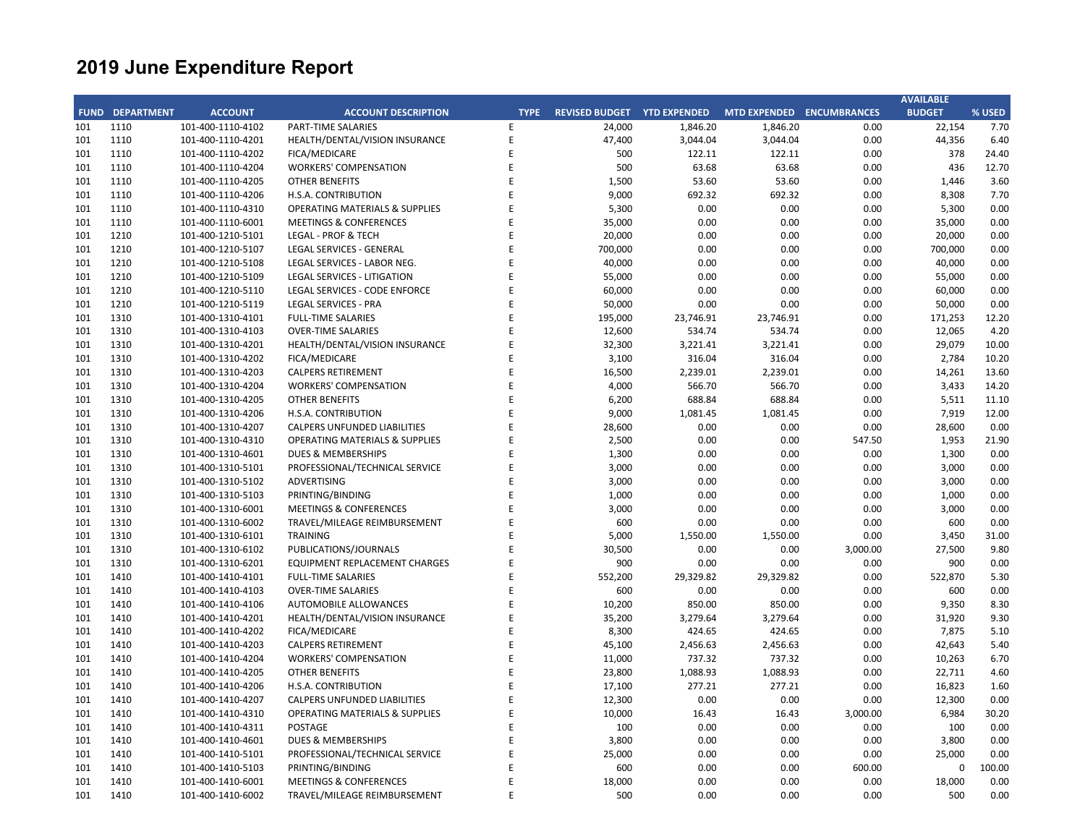|     |                        |                   |                                           |             |                             |           |                           |          | <b>AVAILABLE</b> |        |
|-----|------------------------|-------------------|-------------------------------------------|-------------|-----------------------------|-----------|---------------------------|----------|------------------|--------|
|     | <b>FUND DEPARTMENT</b> | <b>ACCOUNT</b>    | <b>ACCOUNT DESCRIPTION</b>                | <b>TYPE</b> | REVISED BUDGET YTD EXPENDED |           | MTD EXPENDED ENCUMBRANCES |          | <b>BUDGET</b>    | % USED |
| 101 | 1110                   | 101-400-1110-4102 | PART-TIME SALARIES                        | E           | 24,000                      | 1,846.20  | 1,846.20                  | 0.00     | 22,154           | 7.70   |
| 101 | 1110                   | 101-400-1110-4201 | HEALTH/DENTAL/VISION INSURANCE            | E           | 47,400                      | 3,044.04  | 3,044.04                  | 0.00     | 44,356           | 6.40   |
| 101 | 1110                   | 101-400-1110-4202 | FICA/MEDICARE                             | E           | 500                         | 122.11    | 122.11                    | 0.00     | 378              | 24.40  |
| 101 | 1110                   | 101-400-1110-4204 | <b>WORKERS' COMPENSATION</b>              | F           | 500                         | 63.68     | 63.68                     | 0.00     | 436              | 12.70  |
| 101 | 1110                   | 101-400-1110-4205 | <b>OTHER BENEFITS</b>                     | E           | 1,500                       | 53.60     | 53.60                     | 0.00     | 1,446            | 3.60   |
| 101 | 1110                   | 101-400-1110-4206 | H.S.A. CONTRIBUTION                       | F           | 9,000                       | 692.32    | 692.32                    | 0.00     | 8,308            | 7.70   |
| 101 | 1110                   | 101-400-1110-4310 | <b>OPERATING MATERIALS &amp; SUPPLIES</b> | E           | 5,300                       | 0.00      | 0.00                      | 0.00     | 5,300            | 0.00   |
| 101 | 1110                   | 101-400-1110-6001 | <b>MEETINGS &amp; CONFERENCES</b>         | F           | 35,000                      | 0.00      | 0.00                      | 0.00     | 35,000           | 0.00   |
| 101 | 1210                   | 101-400-1210-5101 | LEGAL - PROF & TECH                       | E           | 20,000                      | 0.00      | 0.00                      | 0.00     | 20,000           | 0.00   |
| 101 | 1210                   | 101-400-1210-5107 | LEGAL SERVICES - GENERAL                  | F           | 700,000                     | 0.00      | 0.00                      | 0.00     | 700,000          | 0.00   |
| 101 | 1210                   | 101-400-1210-5108 | LEGAL SERVICES - LABOR NEG.               | E           | 40,000                      | 0.00      | 0.00                      | 0.00     | 40,000           | 0.00   |
| 101 | 1210                   | 101-400-1210-5109 | LEGAL SERVICES - LITIGATION               |             | 55,000                      | 0.00      | 0.00                      | 0.00     | 55,000           | 0.00   |
| 101 | 1210                   | 101-400-1210-5110 | LEGAL SERVICES - CODE ENFORCE             | E           | 60,000                      | 0.00      | 0.00                      | 0.00     | 60,000           | 0.00   |
| 101 | 1210                   | 101-400-1210-5119 | <b>LEGAL SERVICES - PRA</b>               | E           | 50,000                      | 0.00      | 0.00                      | 0.00     | 50,000           | 0.00   |
| 101 | 1310                   | 101-400-1310-4101 | <b>FULL-TIME SALARIES</b>                 | E           | 195,000                     | 23,746.91 | 23,746.91                 | 0.00     | 171,253          | 12.20  |
| 101 | 1310                   | 101-400-1310-4103 | <b>OVER-TIME SALARIES</b>                 | E           | 12,600                      | 534.74    | 534.74                    | 0.00     | 12,065           | 4.20   |
| 101 | 1310                   | 101-400-1310-4201 | HEALTH/DENTAL/VISION INSURANCE            | E           | 32,300                      | 3,221.41  | 3,221.41                  | 0.00     | 29,079           | 10.00  |
| 101 | 1310                   | 101-400-1310-4202 | FICA/MEDICARE                             | F           | 3,100                       | 316.04    | 316.04                    | 0.00     | 2,784            | 10.20  |
| 101 | 1310                   | 101-400-1310-4203 | <b>CALPERS RETIREMENT</b>                 | F           | 16,500                      | 2,239.01  | 2,239.01                  | 0.00     | 14,261           | 13.60  |
| 101 | 1310                   | 101-400-1310-4204 | <b>WORKERS' COMPENSATION</b>              | F           | 4,000                       | 566.70    | 566.70                    | 0.00     | 3,433            | 14.20  |
| 101 | 1310                   | 101-400-1310-4205 | <b>OTHER BENEFITS</b>                     | F           | 6,200                       | 688.84    | 688.84                    | 0.00     | 5,511            | 11.10  |
| 101 | 1310                   | 101-400-1310-4206 | H.S.A. CONTRIBUTION                       | F           | 9,000                       | 1,081.45  | 1,081.45                  | 0.00     | 7,919            | 12.00  |
| 101 | 1310                   | 101-400-1310-4207 | <b>CALPERS UNFUNDED LIABILITIES</b>       | F           | 28,600                      | 0.00      | 0.00                      | 0.00     | 28,600           | 0.00   |
| 101 | 1310                   | 101-400-1310-4310 | <b>OPERATING MATERIALS &amp; SUPPLIES</b> |             | 2,500                       | 0.00      | 0.00                      | 547.50   | 1,953            | 21.90  |
| 101 | 1310                   | 101-400-1310-4601 | <b>DUES &amp; MEMBERSHIPS</b>             | E           | 1,300                       | 0.00      | 0.00                      | 0.00     | 1,300            | 0.00   |
| 101 | 1310                   | 101-400-1310-5101 | PROFESSIONAL/TECHNICAL SERVICE            | F           | 3,000                       | 0.00      | 0.00                      | 0.00     | 3,000            | 0.00   |
| 101 | 1310                   | 101-400-1310-5102 | <b>ADVERTISING</b>                        | F           | 3,000                       | 0.00      | 0.00                      | 0.00     | 3,000            | 0.00   |
| 101 | 1310                   | 101-400-1310-5103 | PRINTING/BINDING                          | F           | 1,000                       | 0.00      | 0.00                      | 0.00     | 1,000            | 0.00   |
| 101 | 1310                   | 101-400-1310-6001 | <b>MEETINGS &amp; CONFERENCES</b>         | E           | 3,000                       | 0.00      | 0.00                      | 0.00     | 3,000            | 0.00   |
| 101 | 1310                   | 101-400-1310-6002 | TRAVEL/MILEAGE REIMBURSEMENT              | F           | 600                         | 0.00      | 0.00                      | 0.00     | 600              | 0.00   |
| 101 | 1310                   | 101-400-1310-6101 | <b>TRAINING</b>                           | F           | 5,000                       | 1,550.00  | 1,550.00                  | 0.00     | 3,450            | 31.00  |
| 101 | 1310                   | 101-400-1310-6102 | PUBLICATIONS/JOURNALS                     | F           | 30,500                      | 0.00      | 0.00                      | 3,000.00 | 27,500           | 9.80   |
| 101 | 1310                   | 101-400-1310-6201 | <b>EQUIPMENT REPLACEMENT CHARGES</b>      | E           | 900                         | 0.00      | 0.00                      | 0.00     | 900              | 0.00   |
| 101 | 1410                   | 101-400-1410-4101 | <b>FULL-TIME SALARIES</b>                 | F           | 552,200                     | 29,329.82 | 29,329.82                 | 0.00     | 522,870          | 5.30   |
| 101 | 1410                   | 101-400-1410-4103 | <b>OVER-TIME SALARIES</b>                 | F           | 600                         | 0.00      | 0.00                      | 0.00     | 600              | 0.00   |
| 101 | 1410                   | 101-400-1410-4106 | <b>AUTOMOBILE ALLOWANCES</b>              | F           | 10,200                      | 850.00    | 850.00                    | 0.00     | 9,350            | 8.30   |
| 101 | 1410                   | 101-400-1410-4201 | HEALTH/DENTAL/VISION INSURANCE            | E           | 35,200                      | 3,279.64  | 3,279.64                  | 0.00     | 31,920           | 9.30   |
| 101 | 1410                   | 101-400-1410-4202 | FICA/MEDICARE                             | F           | 8,300                       | 424.65    | 424.65                    | 0.00     | 7,875            | 5.10   |
| 101 | 1410                   | 101-400-1410-4203 | <b>CALPERS RETIREMENT</b>                 | E           | 45,100                      | 2,456.63  | 2,456.63                  | 0.00     | 42,643           | 5.40   |
| 101 | 1410                   | 101-400-1410-4204 | <b>WORKERS' COMPENSATION</b>              | F           | 11,000                      | 737.32    | 737.32                    | 0.00     | 10,263           | 6.70   |
| 101 | 1410                   | 101-400-1410-4205 | <b>OTHER BENEFITS</b>                     | E           | 23,800                      | 1,088.93  | 1,088.93                  | 0.00     | 22,711           | 4.60   |
| 101 | 1410                   | 101-400-1410-4206 | H.S.A. CONTRIBUTION                       | F           | 17,100                      | 277.21    | 277.21                    | 0.00     | 16,823           | 1.60   |
| 101 | 1410                   | 101-400-1410-4207 | <b>CALPERS UNFUNDED LIABILITIES</b>       | E           | 12,300                      | 0.00      | 0.00                      | 0.00     | 12,300           | 0.00   |
| 101 | 1410                   | 101-400-1410-4310 | <b>OPERATING MATERIALS &amp; SUPPLIES</b> | F           | 10,000                      | 16.43     | 16.43                     | 3,000.00 | 6,984            | 30.20  |
| 101 | 1410                   | 101-400-1410-4311 | POSTAGE                                   | E           | 100                         | 0.00      | 0.00                      | 0.00     | 100              | 0.00   |
| 101 | 1410                   | 101-400-1410-4601 | <b>DUES &amp; MEMBERSHIPS</b>             |             | 3,800                       | 0.00      | 0.00                      | 0.00     | 3,800            | 0.00   |
| 101 | 1410                   | 101-400-1410-5101 | PROFESSIONAL/TECHNICAL SERVICE            | E           | 25,000                      | 0.00      | 0.00                      | 0.00     | 25,000           | 0.00   |
| 101 | 1410                   | 101-400-1410-5103 | PRINTING/BINDING                          | F           | 600                         | 0.00      | 0.00                      | 600.00   | 0                | 100.00 |
| 101 | 1410                   | 101-400-1410-6001 | <b>MEETINGS &amp; CONFERENCES</b>         | E           | 18,000                      | 0.00      | 0.00                      | 0.00     | 18,000           | 0.00   |
| 101 | 1410                   | 101-400-1410-6002 | TRAVEL/MILEAGE REIMBURSEMENT              | F           | 500                         | 0.00      | 0.00                      | 0.00     | 500              | 0.00   |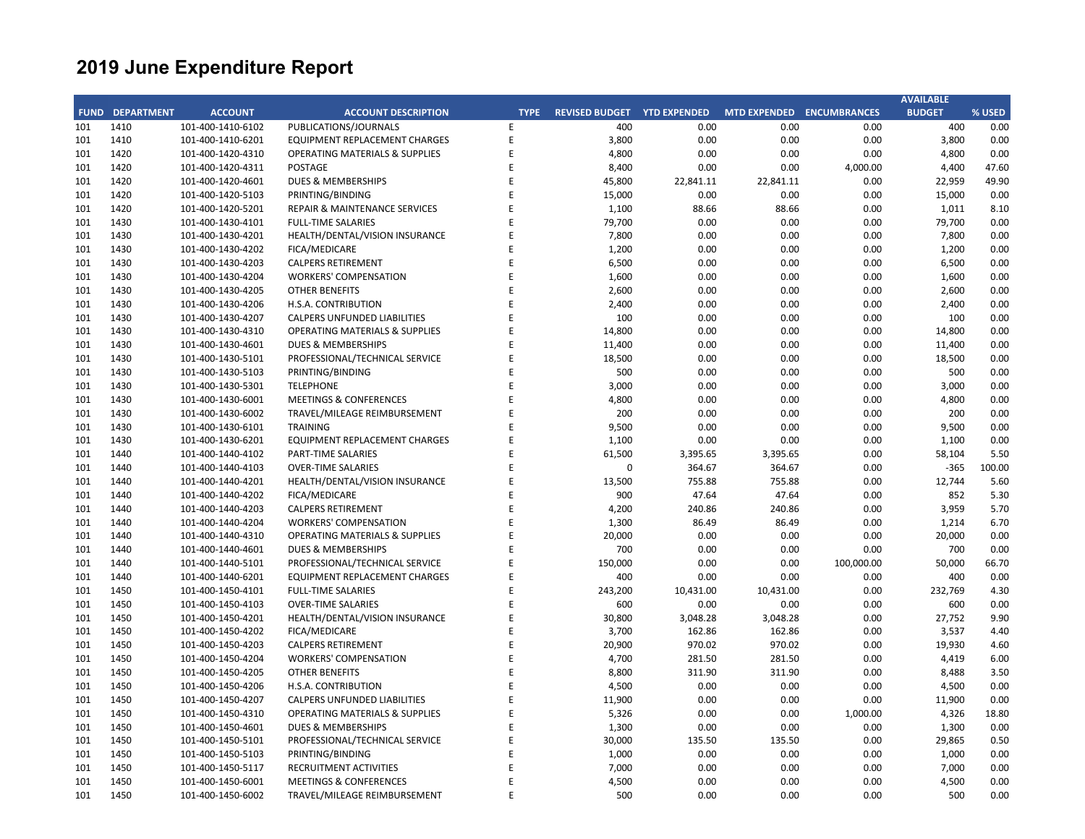|             |                   |                                        |                                                 |             |                             |           |                     |                     | <b>AVAILABLE</b> |        |
|-------------|-------------------|----------------------------------------|-------------------------------------------------|-------------|-----------------------------|-----------|---------------------|---------------------|------------------|--------|
| <b>FUND</b> | <b>DEPARTMENT</b> | <b>ACCOUNT</b>                         | <b>ACCOUNT DESCRIPTION</b>                      | <b>TYPE</b> | REVISED BUDGET YTD EXPENDED |           | <b>MTD EXPENDED</b> | <b>ENCUMBRANCES</b> | <b>BUDGET</b>    | % USED |
| 101         | 1410              | 101-400-1410-6102                      | PUBLICATIONS/JOURNALS                           | E           | 400                         | 0.00      | 0.00                | 0.00                | 400              | 0.00   |
| 101         | 1410              | 101-400-1410-6201                      | EQUIPMENT REPLACEMENT CHARGES                   | E           | 3,800                       | 0.00      | 0.00                | 0.00                | 3,800            | 0.00   |
| 101         | 1420              | 101-400-1420-4310                      | <b>OPERATING MATERIALS &amp; SUPPLIES</b>       | E           | 4,800                       | 0.00      | 0.00                | 0.00                | 4,800            | 0.00   |
| 101         | 1420              | 101-400-1420-4311                      | <b>POSTAGE</b>                                  | E           | 8,400                       | 0.00      | 0.00                | 4,000.00            | 4,400            | 47.60  |
| 101         | 1420              | 101-400-1420-4601                      | <b>DUES &amp; MEMBERSHIPS</b>                   | F           | 45,800                      | 22,841.11 | 22,841.11           | 0.00                | 22,959           | 49.90  |
| 101         | 1420              | 101-400-1420-5103                      | PRINTING/BINDING                                | E           | 15,000                      | 0.00      | 0.00                | 0.00                | 15,000           | 0.00   |
| 101         | 1420              | 101-400-1420-5201                      | REPAIR & MAINTENANCE SERVICES                   | F           | 1,100                       | 88.66     | 88.66               | 0.00                | 1,011            | 8.10   |
| 101         | 1430              | 101-400-1430-4101                      | <b>FULL-TIME SALARIES</b>                       | E           | 79,700                      | 0.00      | 0.00                | 0.00                | 79,700           | 0.00   |
| 101         | 1430              | 101-400-1430-4201                      | HEALTH/DENTAL/VISION INSURANCE                  | F           | 7,800                       | 0.00      | 0.00                | 0.00                | 7,800            | 0.00   |
| 101         | 1430              | 101-400-1430-4202                      | FICA/MEDICARE                                   |             | 1,200                       | 0.00      | 0.00                | 0.00                | 1,200            | 0.00   |
| 101         | 1430              | 101-400-1430-4203                      | <b>CALPERS RETIREMENT</b>                       | F           | 6,500                       | 0.00      | 0.00                | 0.00                | 6,500            | 0.00   |
| 101         | 1430              | 101-400-1430-4204                      | <b>WORKERS' COMPENSATION</b>                    | E           | 1,600                       | 0.00      | 0.00                | 0.00                | 1,600            | 0.00   |
| 101         | 1430              | 101-400-1430-4205                      | <b>OTHER BENEFITS</b>                           | F           | 2,600                       | 0.00      | 0.00                | 0.00                | 2,600            | 0.00   |
| 101         | 1430              | 101-400-1430-4206                      | H.S.A. CONTRIBUTION                             | E           | 2,400                       | 0.00      | 0.00                | 0.00                | 2,400            | 0.00   |
| 101         | 1430              | 101-400-1430-4207                      | <b>CALPERS UNFUNDED LIABILITIES</b>             | F           | 100                         | 0.00      | 0.00                | 0.00                | 100              | 0.00   |
| 101         | 1430              | 101-400-1430-4310                      | <b>OPERATING MATERIALS &amp; SUPPLIES</b>       | E           | 14,800                      | 0.00      | 0.00                | 0.00                | 14,800           | 0.00   |
| 101         | 1430              | 101-400-1430-4601                      | <b>DUES &amp; MEMBERSHIPS</b>                   | F           | 11,400                      | 0.00      | 0.00                | 0.00                | 11,400           | 0.00   |
| 101         | 1430              | 101-400-1430-5101                      | PROFESSIONAL/TECHNICAL SERVICE                  | F           | 18,500                      | 0.00      | 0.00                | 0.00                | 18,500           | 0.00   |
| 101         | 1430              | 101-400-1430-5103                      | PRINTING/BINDING                                | F           | 500                         | 0.00      | 0.00                | 0.00                | 500              | 0.00   |
| 101         | 1430              | 101-400-1430-5301                      | <b>TELEPHONE</b>                                | F           | 3,000                       | 0.00      | 0.00                | 0.00                | 3,000            | 0.00   |
| 101         | 1430              | 101-400-1430-6001                      | <b>MEETINGS &amp; CONFERENCES</b>               | E           | 4,800                       | 0.00      | 0.00                | 0.00                | 4,800            | 0.00   |
| 101         | 1430              | 101-400-1430-6002                      | TRAVEL/MILEAGE REIMBURSEMENT                    | F           | 200                         | 0.00      | 0.00                | 0.00                | 200              | 0.00   |
| 101         | 1430              | 101-400-1430-6101                      | <b>TRAINING</b>                                 | E           | 9,500                       | 0.00      | 0.00                | 0.00                | 9,500            | 0.00   |
| 101         | 1430              | 101-400-1430-6201                      | EQUIPMENT REPLACEMENT CHARGES                   | F           | 1,100                       | 0.00      | 0.00                | 0.00                | 1,100            | 0.00   |
| 101         | 1440              | 101-400-1440-4102                      | <b>PART-TIME SALARIES</b>                       | E           | 61,500                      | 3,395.65  | 3,395.65            | 0.00                | 58,104           | 5.50   |
| 101         | 1440              | 101-400-1440-4103                      | <b>OVER-TIME SALARIES</b>                       | F           | $\mathbf 0$                 | 364.67    | 364.67              | 0.00                | $-365$           | 100.00 |
| 101         | 1440              | 101-400-1440-4201                      | HEALTH/DENTAL/VISION INSURANCE                  | E           | 13,500                      | 755.88    | 755.88              | 0.00                | 12,744           | 5.60   |
| 101         | 1440              | 101-400-1440-4202                      | FICA/MEDICARE                                   | F           | 900                         | 47.64     | 47.64               | 0.00                | 852              | 5.30   |
| 101         | 1440              | 101-400-1440-4203                      | <b>CALPERS RETIREMENT</b>                       | E           | 4,200                       | 240.86    | 240.86              | 0.00                | 3,959            | 5.70   |
| 101         | 1440              | 101-400-1440-4204                      | <b>WORKERS' COMPENSATION</b>                    | F           | 1,300                       | 86.49     | 86.49               | 0.00                | 1,214            | 6.70   |
| 101         | 1440              | 101-400-1440-4310                      | <b>OPERATING MATERIALS &amp; SUPPLIES</b>       | F           | 20,000                      | 0.00      | 0.00                | 0.00                | 20,000           | 0.00   |
| 101         | 1440              | 101-400-1440-4601                      | <b>DUES &amp; MEMBERSHIPS</b>                   | E           | 700                         | 0.00      | 0.00                | 0.00                | 700              | 0.00   |
| 101         | 1440              | 101-400-1440-5101                      | PROFESSIONAL/TECHNICAL SERVICE                  | F           | 150,000                     | 0.00      | 0.00                | 100,000.00          | 50,000           | 66.70  |
| 101         | 1440              | 101-400-1440-6201                      | EQUIPMENT REPLACEMENT CHARGES                   | E           | 400                         | 0.00      | 0.00                | 0.00                | 400              | 0.00   |
| 101         | 1450              | 101-400-1450-4101                      | <b>FULL-TIME SALARIES</b>                       | F           | 243,200                     | 10,431.00 | 10,431.00           | 0.00                | 232,769          | 4.30   |
| 101         | 1450              | 101-400-1450-4103                      | <b>OVER-TIME SALARIES</b>                       | E           | 600                         | 0.00      | 0.00                | 0.00                | 600              | 0.00   |
|             | 1450              |                                        |                                                 |             | 30,800                      | 3,048.28  | 3,048.28            | 0.00                | 27,752           | 9.90   |
| 101<br>101  | 1450              | 101-400-1450-4201<br>101-400-1450-4202 | HEALTH/DENTAL/VISION INSURANCE<br>FICA/MEDICARE | E           | 3,700                       | 162.86    | 162.86              | 0.00                | 3,537            | 4.40   |
|             |                   |                                        |                                                 | F           |                             |           |                     |                     |                  |        |
| 101         | 1450<br>1450      | 101-400-1450-4203                      | <b>CALPERS RETIREMENT</b>                       | E           | 20,900                      | 970.02    | 970.02              | 0.00                | 19,930           | 4.60   |
| 101         |                   | 101-400-1450-4204                      | <b>WORKERS' COMPENSATION</b>                    | F           | 4,700                       | 281.50    | 281.50              | 0.00                | 4,419            | 6.00   |
| 101         | 1450              | 101-400-1450-4205                      | <b>OTHER BENEFITS</b>                           | E           | 8,800                       | 311.90    | 311.90              | 0.00                | 8,488            | 3.50   |
| 101         | 1450              | 101-400-1450-4206                      | H.S.A. CONTRIBUTION                             | F           | 4,500                       | 0.00      | 0.00                | 0.00                | 4,500            | 0.00   |
| 101         | 1450              | 101-400-1450-4207                      | <b>CALPERS UNFUNDED LIABILITIES</b>             | F           | 11,900                      | 0.00      | 0.00                | 0.00                | 11,900           | 0.00   |
| 101         | 1450              | 101-400-1450-4310                      | <b>OPERATING MATERIALS &amp; SUPPLIES</b>       | E           | 5,326                       | 0.00      | 0.00                | 1,000.00            | 4,326            | 18.80  |
| 101         | 1450              | 101-400-1450-4601                      | <b>DUES &amp; MEMBERSHIPS</b>                   |             | 1,300                       | 0.00      | 0.00                | 0.00                | 1,300            | 0.00   |
| 101         | 1450              | 101-400-1450-5101                      | PROFESSIONAL/TECHNICAL SERVICE                  |             | 30,000                      | 135.50    | 135.50              | 0.00                | 29,865           | 0.50   |
| 101         | 1450              | 101-400-1450-5103                      | PRINTING/BINDING                                | E           | 1,000                       | 0.00      | 0.00                | 0.00                | 1,000            | 0.00   |
| 101         | 1450              | 101-400-1450-5117                      | RECRUITMENT ACTIVITIES                          | F           | 7,000                       | 0.00      | 0.00                | 0.00                | 7,000            | 0.00   |
| 101         | 1450              | 101-400-1450-6001                      | <b>MEETINGS &amp; CONFERENCES</b>               | E           | 4,500                       | 0.00      | 0.00                | 0.00                | 4,500            | 0.00   |
| 101         | 1450              | 101-400-1450-6002                      | TRAVEL/MILEAGE REIMBURSEMENT                    | F           | 500                         | 0.00      | 0.00                | 0.00                | 500              | 0.00   |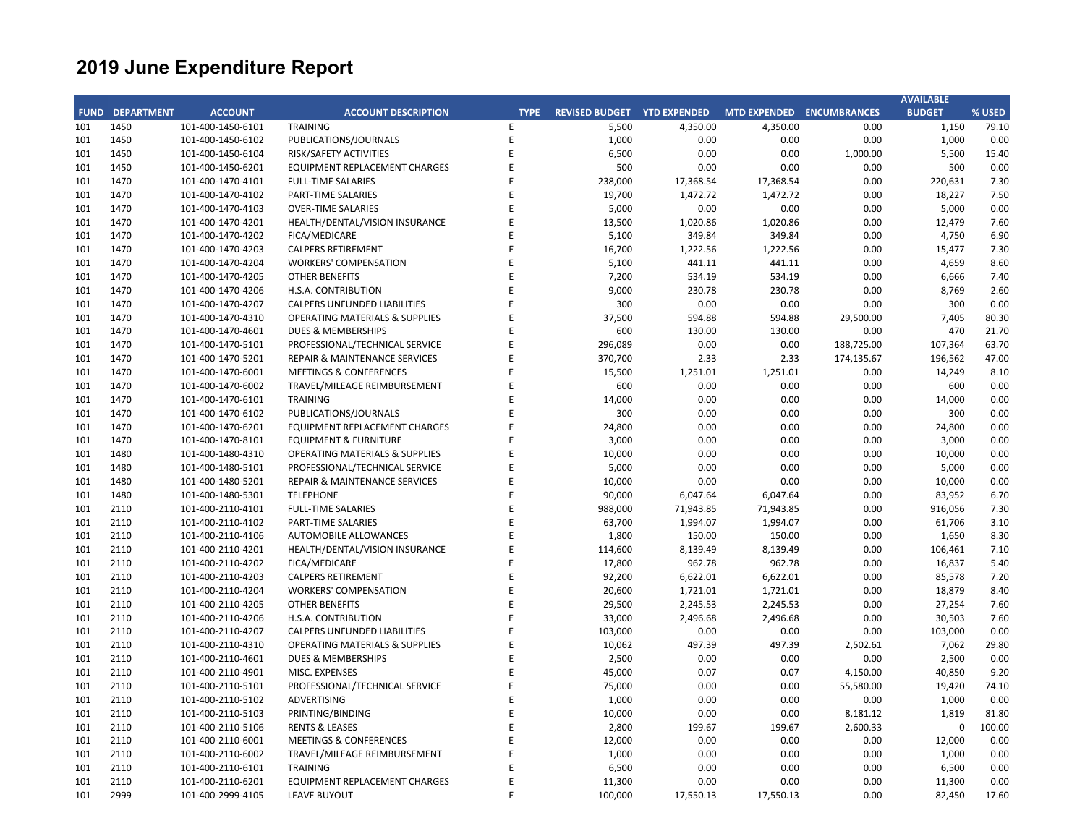|     |                        |                   |                                           |             |                                    |           |           |                           | <b>AVAILABLE</b> |        |
|-----|------------------------|-------------------|-------------------------------------------|-------------|------------------------------------|-----------|-----------|---------------------------|------------------|--------|
|     | <b>FUND DEPARTMENT</b> | <b>ACCOUNT</b>    | <b>ACCOUNT DESCRIPTION</b>                | <b>TYPE</b> | <b>REVISED BUDGET YTD EXPENDED</b> |           |           | MTD EXPENDED ENCUMBRANCES | <b>BUDGET</b>    | % USED |
| 101 | 1450                   | 101-400-1450-6101 | <b>TRAINING</b>                           | E           | 5,500                              | 4,350.00  | 4,350.00  | 0.00                      | 1,150            | 79.10  |
| 101 | 1450                   | 101-400-1450-6102 | PUBLICATIONS/JOURNALS                     | Ε           | 1,000                              | 0.00      | 0.00      | 0.00                      | 1,000            | 0.00   |
| 101 | 1450                   | 101-400-1450-6104 | RISK/SAFETY ACTIVITIES                    | F           | 6,500                              | 0.00      | 0.00      | 1,000.00                  | 5,500            | 15.40  |
| 101 | 1450                   | 101-400-1450-6201 | EQUIPMENT REPLACEMENT CHARGES             | E           | 500                                | 0.00      | 0.00      | 0.00                      | 500              | 0.00   |
| 101 | 1470                   | 101-400-1470-4101 | <b>FULL-TIME SALARIES</b>                 | E           | 238,000                            | 17,368.54 | 17,368.54 | 0.00                      | 220,631          | 7.30   |
| 101 | 1470                   | 101-400-1470-4102 | PART-TIME SALARIES                        | E           | 19,700                             | 1,472.72  | 1,472.72  | 0.00                      | 18,227           | 7.50   |
| 101 | 1470                   | 101-400-1470-4103 | <b>OVER-TIME SALARIES</b>                 | E           | 5,000                              | 0.00      | 0.00      | 0.00                      | 5,000            | 0.00   |
| 101 | 1470                   | 101-400-1470-4201 | HEALTH/DENTAL/VISION INSURANCE            | E           | 13,500                             | 1,020.86  | 1,020.86  | 0.00                      | 12,479           | 7.60   |
| 101 | 1470                   | 101-400-1470-4202 | FICA/MEDICARE                             | E           | 5,100                              | 349.84    | 349.84    | 0.00                      | 4,750            | 6.90   |
| 101 | 1470                   | 101-400-1470-4203 | <b>CALPERS RETIREMENT</b>                 | F           | 16,700                             | 1,222.56  | 1,222.56  | 0.00                      | 15,477           | 7.30   |
| 101 | 1470                   | 101-400-1470-4204 | <b>WORKERS' COMPENSATION</b>              | F           | 5,100                              | 441.11    | 441.11    | 0.00                      | 4,659            | 8.60   |
| 101 | 1470                   | 101-400-1470-4205 | <b>OTHER BENEFITS</b>                     | F           | 7,200                              | 534.19    | 534.19    | 0.00                      | 6,666            | 7.40   |
| 101 | 1470                   | 101-400-1470-4206 | H.S.A. CONTRIBUTION                       |             | 9,000                              | 230.78    | 230.78    | 0.00                      | 8,769            | 2.60   |
| 101 | 1470                   | 101-400-1470-4207 | <b>CALPERS UNFUNDED LIABILITIES</b>       | F           | 300                                | 0.00      | 0.00      | 0.00                      | 300              | 0.00   |
| 101 | 1470                   | 101-400-1470-4310 | <b>OPERATING MATERIALS &amp; SUPPLIES</b> | F           | 37,500                             | 594.88    | 594.88    | 29,500.00                 | 7,405            | 80.30  |
| 101 | 1470                   | 101-400-1470-4601 | <b>DUES &amp; MEMBERSHIPS</b>             | F           | 600                                | 130.00    | 130.00    | 0.00                      | 470              | 21.70  |
| 101 | 1470                   | 101-400-1470-5101 | PROFESSIONAL/TECHNICAL SERVICE            | E           | 296,089                            | 0.00      | 0.00      | 188,725.00                | 107,364          | 63.70  |
| 101 | 1470                   | 101-400-1470-5201 | <b>REPAIR &amp; MAINTENANCE SERVICES</b>  | E           | 370,700                            | 2.33      | 2.33      | 174,135.67                | 196,562          | 47.00  |
| 101 | 1470                   | 101-400-1470-6001 | <b>MEETINGS &amp; CONFERENCES</b>         | F           | 15,500                             | 1,251.01  | 1,251.01  | 0.00                      | 14,249           | 8.10   |
| 101 | 1470                   | 101-400-1470-6002 | TRAVEL/MILEAGE REIMBURSEMENT              | E           | 600                                | 0.00      | 0.00      | 0.00                      | 600              | 0.00   |
| 101 | 1470                   | 101-400-1470-6101 | <b>TRAINING</b>                           |             | 14,000                             | 0.00      | 0.00      | 0.00                      | 14,000           | 0.00   |
| 101 | 1470                   | 101-400-1470-6102 | PUBLICATIONS/JOURNALS                     | E           | 300                                | 0.00      | 0.00      | 0.00                      | 300              | 0.00   |
| 101 | 1470                   | 101-400-1470-6201 | EQUIPMENT REPLACEMENT CHARGES             | F           | 24,800                             | 0.00      | 0.00      | 0.00                      | 24,800           | 0.00   |
| 101 | 1470                   | 101-400-1470-8101 | <b>EQUIPMENT &amp; FURNITURE</b>          | E           | 3,000                              | 0.00      | 0.00      | 0.00                      | 3,000            | 0.00   |
| 101 | 1480                   | 101-400-1480-4310 | <b>OPERATING MATERIALS &amp; SUPPLIES</b> | F           | 10,000                             | 0.00      | 0.00      | 0.00                      | 10,000           | 0.00   |
| 101 | 1480                   | 101-400-1480-5101 | PROFESSIONAL/TECHNICAL SERVICE            | E           | 5,000                              | 0.00      | 0.00      | 0.00                      | 5,000            | 0.00   |
| 101 | 1480                   | 101-400-1480-5201 | REPAIR & MAINTENANCE SERVICES             | F           | 10,000                             | 0.00      | 0.00      | 0.00                      | 10,000           | 0.00   |
| 101 | 1480                   | 101-400-1480-5301 | <b>TELEPHONE</b>                          | E           | 90,000                             | 6,047.64  | 6,047.64  | 0.00                      | 83,952           | 6.70   |
| 101 | 2110                   | 101-400-2110-4101 | <b>FULL-TIME SALARIES</b>                 | F           | 988,000                            | 71,943.85 | 71,943.85 | 0.00                      | 916,056          | 7.30   |
| 101 | 2110                   | 101-400-2110-4102 | PART-TIME SALARIES                        | F           | 63,700                             | 1,994.07  | 1,994.07  | 0.00                      | 61,706           | 3.10   |
| 101 | 2110                   | 101-400-2110-4106 | AUTOMOBILE ALLOWANCES                     | E           | 1,800                              | 150.00    | 150.00    | 0.00                      | 1,650            | 8.30   |
| 101 | 2110                   | 101-400-2110-4201 | HEALTH/DENTAL/VISION INSURANCE            | F           | 114,600                            | 8,139.49  | 8,139.49  | 0.00                      | 106,461          | 7.10   |
| 101 | 2110                   | 101-400-2110-4202 | FICA/MEDICARE                             | F           | 17,800                             | 962.78    | 962.78    | 0.00                      | 16,837           | 5.40   |
| 101 | 2110                   | 101-400-2110-4203 | <b>CALPERS RETIREMENT</b>                 | F           | 92,200                             | 6,622.01  | 6,622.01  | 0.00                      | 85,578           | 7.20   |
| 101 | 2110                   | 101-400-2110-4204 | <b>WORKERS' COMPENSATION</b>              |             | 20,600                             | 1,721.01  | 1,721.01  | 0.00                      | 18,879           | 8.40   |
| 101 | 2110                   | 101-400-2110-4205 | <b>OTHER BENEFITS</b>                     | F           | 29,500                             | 2,245.53  | 2,245.53  | 0.00                      | 27,254           | 7.60   |
| 101 | 2110                   | 101-400-2110-4206 | H.S.A. CONTRIBUTION                       | F           | 33,000                             | 2,496.68  | 2,496.68  | 0.00                      | 30,503           | 7.60   |
| 101 | 2110                   | 101-400-2110-4207 | CALPERS UNFUNDED LIABILITIES              | F           | 103,000                            | 0.00      | 0.00      | 0.00                      | 103,000          | 0.00   |
| 101 | 2110                   | 101-400-2110-4310 | <b>OPERATING MATERIALS &amp; SUPPLIES</b> | E           | 10,062                             | 497.39    | 497.39    | 2,502.61                  | 7,062            | 29.80  |
| 101 | 2110                   | 101-400-2110-4601 | <b>DUES &amp; MEMBERSHIPS</b>             | E           | 2,500                              | 0.00      | 0.00      | 0.00                      | 2,500            | 0.00   |
| 101 | 2110                   | 101-400-2110-4901 | MISC. EXPENSES                            | E           | 45,000                             | 0.07      | 0.07      | 4,150.00                  | 40,850           | 9.20   |
| 101 | 2110                   | 101-400-2110-5101 | PROFESSIONAL/TECHNICAL SERVICE            | E           | 75,000                             | 0.00      | 0.00      | 55,580.00                 | 19,420           | 74.10  |
| 101 | 2110                   | 101-400-2110-5102 | ADVERTISING                               | F           | 1,000                              | 0.00      | 0.00      | 0.00                      | 1,000            | 0.00   |
| 101 | 2110                   | 101-400-2110-5103 | PRINTING/BINDING                          | E           | 10,000                             | 0.00      | 0.00      | 8,181.12                  | 1,819            | 81.80  |
| 101 | 2110                   | 101-400-2110-5106 | <b>RENTS &amp; LEASES</b>                 | F           | 2,800                              | 199.67    | 199.67    | 2,600.33                  | 0                | 100.00 |
| 101 | 2110                   | 101-400-2110-6001 | <b>MEETINGS &amp; CONFERENCES</b>         | E           | 12,000                             | 0.00      | 0.00      | 0.00                      | 12,000           | 0.00   |
| 101 | 2110                   | 101-400-2110-6002 | TRAVEL/MILEAGE REIMBURSEMENT              | F           | 1,000                              | 0.00      | 0.00      | 0.00                      | 1,000            | 0.00   |
| 101 | 2110                   | 101-400-2110-6101 | <b>TRAINING</b>                           | F           | 6,500                              | 0.00      | 0.00      | 0.00                      | 6,500            | 0.00   |
| 101 | 2110                   | 101-400-2110-6201 | EQUIPMENT REPLACEMENT CHARGES             | F           | 11,300                             | 0.00      | 0.00      | 0.00                      | 11,300           | 0.00   |
| 101 | 2999                   | 101-400-2999-4105 | <b>LEAVE BUYOUT</b>                       | F           | 100,000                            | 17,550.13 | 17,550.13 | 0.00                      | 82,450           | 17.60  |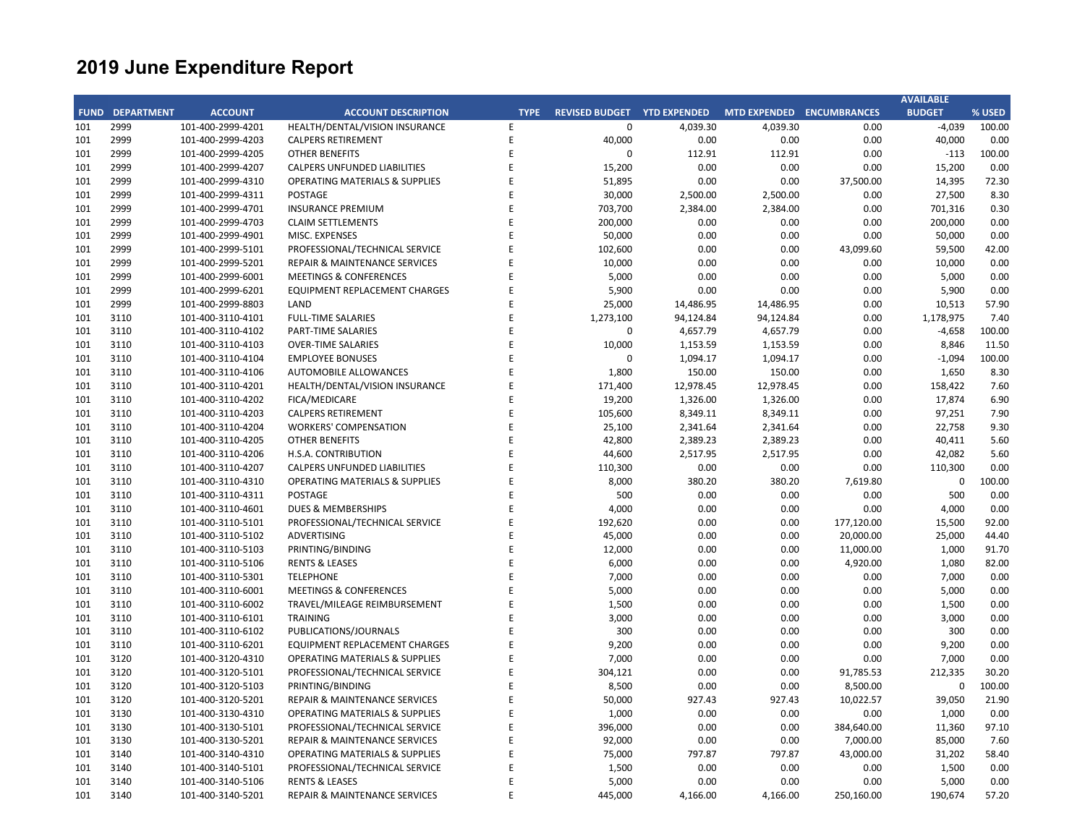|     |                        |                   |                                           |             |                                    |           |           |                           | <b>AVAILABLE</b> |        |
|-----|------------------------|-------------------|-------------------------------------------|-------------|------------------------------------|-----------|-----------|---------------------------|------------------|--------|
|     | <b>FUND DEPARTMENT</b> | <b>ACCOUNT</b>    | <b>ACCOUNT DESCRIPTION</b>                | <b>TYPE</b> | <b>REVISED BUDGET YTD EXPENDED</b> |           |           | MTD EXPENDED ENCUMBRANCES | <b>BUDGET</b>    | % USED |
| 101 | 2999                   | 101-400-2999-4201 | HEALTH/DENTAL/VISION INSURANCE            | E           | 0                                  | 4,039.30  | 4,039.30  | 0.00                      | $-4,039$         | 100.00 |
| 101 | 2999                   | 101-400-2999-4203 | <b>CALPERS RETIREMENT</b>                 | E           | 40,000                             | 0.00      | 0.00      | 0.00                      | 40,000           | 0.00   |
| 101 | 2999                   | 101-400-2999-4205 | <b>OTHER BENEFITS</b>                     | E           | $\Omega$                           | 112.91    | 112.91    | 0.00                      | $-113$           | 100.00 |
| 101 | 2999                   | 101-400-2999-4207 | CALPERS UNFUNDED LIABILITIES              | F           | 15,200                             | 0.00      | 0.00      | 0.00                      | 15,200           | 0.00   |
| 101 | 2999                   | 101-400-2999-4310 | <b>OPERATING MATERIALS &amp; SUPPLIES</b> | E           | 51,895                             | 0.00      | 0.00      | 37,500.00                 | 14,395           | 72.30  |
| 101 | 2999                   | 101-400-2999-4311 | <b>POSTAGE</b>                            | F           | 30,000                             | 2,500.00  | 2,500.00  | 0.00                      | 27,500           | 8.30   |
| 101 | 2999                   | 101-400-2999-4701 | <b>INSURANCE PREMIUM</b>                  | E           | 703,700                            | 2,384.00  | 2,384.00  | 0.00                      | 701,316          | 0.30   |
| 101 | 2999                   | 101-400-2999-4703 | <b>CLAIM SETTLEMENTS</b>                  | F           | 200,000                            | 0.00      | 0.00      | 0.00                      | 200,000          | 0.00   |
| 101 | 2999                   | 101-400-2999-4901 | MISC. EXPENSES                            | E           | 50,000                             | 0.00      | 0.00      | 0.00                      | 50,000           | 0.00   |
| 101 | 2999                   | 101-400-2999-5101 | PROFESSIONAL/TECHNICAL SERVICE            | F           | 102,600                            | 0.00      | 0.00      | 43,099.60                 | 59,500           | 42.00  |
| 101 | 2999                   | 101-400-2999-5201 | <b>REPAIR &amp; MAINTENANCE SERVICES</b>  | E           | 10,000                             | 0.00      | 0.00      | 0.00                      | 10,000           | 0.00   |
| 101 | 2999                   | 101-400-2999-6001 | <b>MEETINGS &amp; CONFERENCES</b>         | F           | 5,000                              | 0.00      | 0.00      | 0.00                      | 5,000            | 0.00   |
| 101 | 2999                   | 101-400-2999-6201 | EQUIPMENT REPLACEMENT CHARGES             | E           | 5,900                              | 0.00      | 0.00      | 0.00                      | 5,900            | 0.00   |
| 101 | 2999                   | 101-400-2999-8803 | LAND                                      | E           | 25,000                             | 14,486.95 | 14,486.95 | 0.00                      | 10,513           | 57.90  |
| 101 | 3110                   | 101-400-3110-4101 | <b>FULL-TIME SALARIES</b>                 | E           | 1,273,100                          | 94,124.84 | 94,124.84 | 0.00                      | 1,178,975        | 7.40   |
| 101 | 3110                   | 101-400-3110-4102 | <b>PART-TIME SALARIES</b>                 | E           | $\mathbf 0$                        | 4,657.79  | 4,657.79  | 0.00                      | $-4,658$         | 100.00 |
| 101 | 3110                   | 101-400-3110-4103 | <b>OVER-TIME SALARIES</b>                 | E           | 10,000                             | 1,153.59  | 1,153.59  | 0.00                      | 8,846            | 11.50  |
| 101 | 3110                   | 101-400-3110-4104 | <b>EMPLOYEE BONUSES</b>                   | F           | $\mathbf 0$                        | 1,094.17  | 1,094.17  | 0.00                      | $-1,094$         | 100.00 |
| 101 | 3110                   | 101-400-3110-4106 | <b>AUTOMOBILE ALLOWANCES</b>              | F           | 1,800                              | 150.00    | 150.00    | 0.00                      | 1,650            | 8.30   |
| 101 | 3110                   | 101-400-3110-4201 | HEALTH/DENTAL/VISION INSURANCE            | E           | 171,400                            | 12,978.45 | 12,978.45 | 0.00                      | 158,422          | 7.60   |
| 101 | 3110                   | 101-400-3110-4202 | FICA/MEDICARE                             |             | 19,200                             | 1,326.00  | 1,326.00  | 0.00                      | 17,874           | 6.90   |
| 101 | 3110                   | 101-400-3110-4203 | <b>CALPERS RETIREMENT</b>                 | E           | 105,600                            | 8,349.11  | 8,349.11  | 0.00                      | 97,251           | 7.90   |
| 101 | 3110                   | 101-400-3110-4204 | <b>WORKERS' COMPENSATION</b>              | F           | 25,100                             | 2,341.64  | 2,341.64  | 0.00                      | 22,758           | 9.30   |
| 101 | 3110                   | 101-400-3110-4205 | <b>OTHER BENEFITS</b>                     | F           | 42,800                             | 2,389.23  | 2,389.23  | 0.00                      | 40,411           | 5.60   |
| 101 | 3110                   | 101-400-3110-4206 | H.S.A. CONTRIBUTION                       |             | 44,600                             | 2,517.95  | 2,517.95  | 0.00                      | 42,082           | 5.60   |
| 101 | 3110                   | 101-400-3110-4207 | <b>CALPERS UNFUNDED LIABILITIES</b>       | F           | 110,300                            | 0.00      | 0.00      | 0.00                      | 110,300          | 0.00   |
| 101 | 3110                   | 101-400-3110-4310 | OPERATING MATERIALS & SUPPLIES            | F           | 8,000                              | 380.20    | 380.20    | 7,619.80                  | 0                | 100.00 |
| 101 | 3110                   | 101-400-3110-4311 | POSTAGE                                   | F           | 500                                | 0.00      | 0.00      | 0.00                      | 500              | 0.00   |
| 101 | 3110                   | 101-400-3110-4601 | <b>DUES &amp; MEMBERSHIPS</b>             | F           | 4,000                              | 0.00      | 0.00      | 0.00                      | 4,000            | 0.00   |
| 101 | 3110                   | 101-400-3110-5101 | PROFESSIONAL/TECHNICAL SERVICE            |             | 192,620                            | 0.00      | 0.00      | 177,120.00                | 15,500           | 92.00  |
| 101 | 3110                   | 101-400-3110-5102 | ADVERTISING                               | E           | 45,000                             | 0.00      | 0.00      | 20,000.00                 | 25,000           | 44.40  |
| 101 | 3110                   | 101-400-3110-5103 | PRINTING/BINDING                          | F           | 12,000                             | 0.00      | 0.00      | 11,000.00                 | 1,000            | 91.70  |
| 101 | 3110                   | 101-400-3110-5106 | <b>RENTS &amp; LEASES</b>                 | F           | 6,000                              | 0.00      | 0.00      | 4,920.00                  | 1,080            | 82.00  |
| 101 | 3110                   | 101-400-3110-5301 | <b>TELEPHONE</b>                          | E           | 7,000                              | 0.00      | 0.00      | 0.00                      | 7,000            | 0.00   |
| 101 | 3110                   | 101-400-3110-6001 | <b>MEETINGS &amp; CONFERENCES</b>         | F           | 5,000                              | 0.00      | 0.00      | 0.00                      | 5,000            | 0.00   |
| 101 | 3110                   | 101-400-3110-6002 | TRAVEL/MILEAGE REIMBURSEMENT              | F           | 1,500                              | 0.00      | 0.00      | 0.00                      | 1,500            | 0.00   |
| 101 | 3110                   | 101-400-3110-6101 | <b>TRAINING</b>                           | F           | 3,000                              | 0.00      | 0.00      | 0.00                      | 3,000            | 0.00   |
| 101 | 3110                   | 101-400-3110-6102 | PUBLICATIONS/JOURNALS                     | E           | 300                                | 0.00      | 0.00      | 0.00                      | 300              | 0.00   |
| 101 | 3110                   | 101-400-3110-6201 | EQUIPMENT REPLACEMENT CHARGES             | F           | 9,200                              | 0.00      | 0.00      | 0.00                      | 9,200            | 0.00   |
| 101 | 3120                   | 101-400-3120-4310 | OPERATING MATERIALS & SUPPLIES            | E           | 7,000                              | 0.00      | 0.00      | 0.00                      | 7,000            | 0.00   |
| 101 | 3120                   | 101-400-3120-5101 | PROFESSIONAL/TECHNICAL SERVICE            | F           | 304,121                            | 0.00      | 0.00      | 91,785.53                 | 212,335          | 30.20  |
| 101 | 3120                   | 101-400-3120-5103 | PRINTING/BINDING                          |             | 8,500                              | 0.00      | 0.00      | 8,500.00                  | $\mathbf 0$      | 100.00 |
| 101 | 3120                   | 101-400-3120-5201 | <b>REPAIR &amp; MAINTENANCE SERVICES</b>  | F           | 50,000                             | 927.43    | 927.43    | 10,022.57                 | 39,050           | 21.90  |
| 101 | 3130                   | 101-400-3130-4310 | <b>OPERATING MATERIALS &amp; SUPPLIES</b> | E           | 1,000                              | 0.00      | 0.00      | 0.00                      | 1,000            | 0.00   |
| 101 | 3130                   | 101-400-3130-5101 | PROFESSIONAL/TECHNICAL SERVICE            | F           | 396,000                            | 0.00      | 0.00      | 384,640.00                | 11,360           | 97.10  |
| 101 | 3130                   | 101-400-3130-5201 | <b>REPAIR &amp; MAINTENANCE SERVICES</b>  | E           | 92,000                             | 0.00      | 0.00      | 7,000.00                  | 85,000           | 7.60   |
| 101 | 3140                   | 101-400-3140-4310 | <b>OPERATING MATERIALS &amp; SUPPLIES</b> | E           | 75,000                             | 797.87    | 797.87    | 43,000.00                 | 31,202           | 58.40  |
| 101 | 3140                   | 101-400-3140-5101 | PROFESSIONAL/TECHNICAL SERVICE            | E           | 1,500                              | 0.00      | 0.00      | 0.00                      | 1,500            | 0.00   |
| 101 | 3140                   | 101-400-3140-5106 | <b>RENTS &amp; LEASES</b>                 | F           | 5,000                              | 0.00      | 0.00      | 0.00                      | 5,000            | 0.00   |
| 101 | 3140                   | 101-400-3140-5201 | REPAIR & MAINTENANCE SERVICES             | F           | 445,000                            | 4,166.00  | 4,166.00  | 250,160.00                | 190,674          | 57.20  |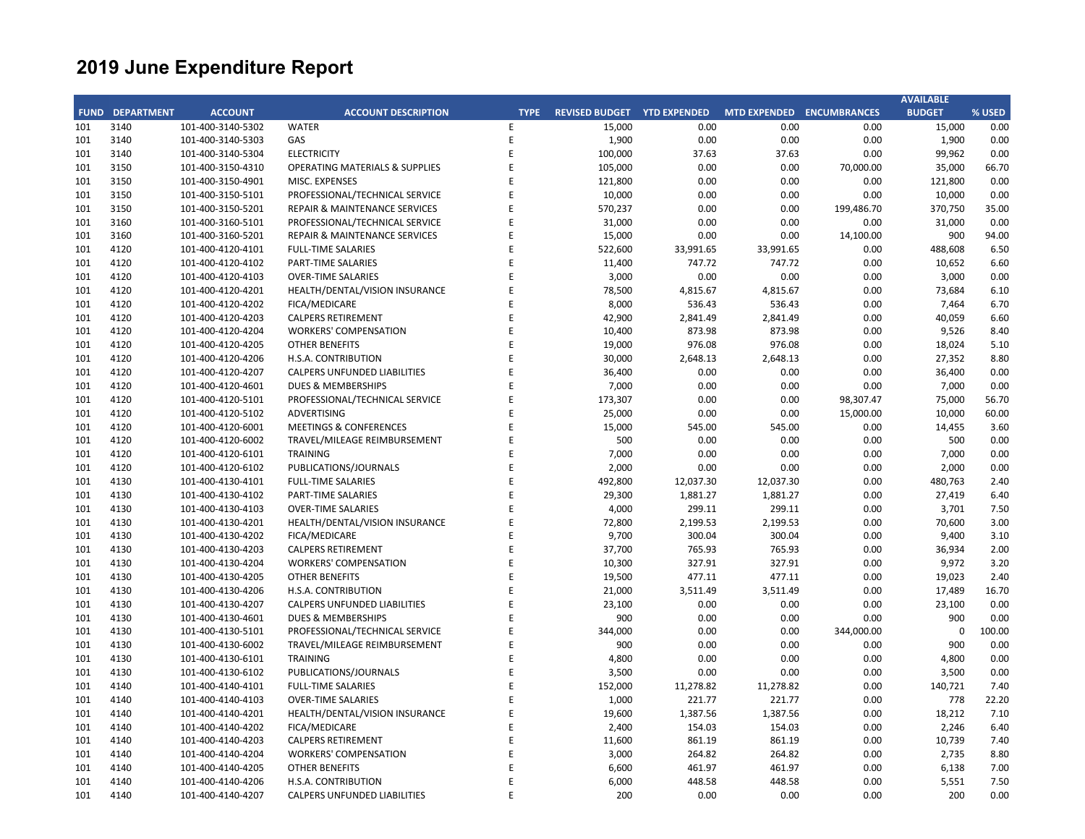|     |                        |                   |                                           |             |                                    |           |                     |                     | <b>AVAILABLE</b> |        |
|-----|------------------------|-------------------|-------------------------------------------|-------------|------------------------------------|-----------|---------------------|---------------------|------------------|--------|
|     | <b>FUND DEPARTMENT</b> | <b>ACCOUNT</b>    | <b>ACCOUNT DESCRIPTION</b>                | <b>TYPE</b> | <b>REVISED BUDGET YTD EXPENDED</b> |           | <b>MTD EXPENDED</b> | <b>ENCUMBRANCES</b> | <b>BUDGET</b>    | % USED |
| 101 | 3140                   | 101-400-3140-5302 | <b>WATER</b>                              | Ε           | 15,000                             | 0.00      | 0.00                | 0.00                | 15,000           | 0.00   |
| 101 | 3140                   | 101-400-3140-5303 | GAS                                       | E           | 1,900                              | 0.00      | 0.00                | 0.00                | 1,900            | 0.00   |
| 101 | 3140                   | 101-400-3140-5304 | <b>ELECTRICITY</b>                        | E           | 100,000                            | 37.63     | 37.63               | 0.00                | 99,962           | 0.00   |
| 101 | 3150                   | 101-400-3150-4310 | <b>OPERATING MATERIALS &amp; SUPPLIES</b> | E           | 105,000                            | 0.00      | 0.00                | 70,000.00           | 35,000           | 66.70  |
| 101 | 3150                   | 101-400-3150-4901 | MISC. EXPENSES                            | E           | 121,800                            | 0.00      | 0.00                | 0.00                | 121,800          | 0.00   |
| 101 | 3150                   | 101-400-3150-5101 | PROFESSIONAL/TECHNICAL SERVICE            | E           | 10,000                             | 0.00      | 0.00                | 0.00                | 10,000           | 0.00   |
| 101 | 3150                   | 101-400-3150-5201 | REPAIR & MAINTENANCE SERVICES             | E           | 570,237                            | 0.00      | 0.00                | 199,486.70          | 370,750          | 35.00  |
| 101 | 3160                   | 101-400-3160-5101 | PROFESSIONAL/TECHNICAL SERVICE            | F           | 31,000                             | 0.00      | 0.00                | 0.00                | 31,000           | 0.00   |
| 101 | 3160                   | 101-400-3160-5201 | REPAIR & MAINTENANCE SERVICES             | Ė           | 15,000                             | 0.00      | 0.00                | 14,100.00           | 900              | 94.00  |
| 101 | 4120                   | 101-400-4120-4101 | <b>FULL-TIME SALARIES</b>                 | E           | 522,600                            | 33,991.65 | 33,991.65           | 0.00                | 488,608          | 6.50   |
| 101 | 4120                   | 101-400-4120-4102 | PART-TIME SALARIES                        | E           | 11,400                             | 747.72    | 747.72              | 0.00                | 10,652           | 6.60   |
| 101 | 4120                   | 101-400-4120-4103 | <b>OVER-TIME SALARIES</b>                 | E           | 3,000                              | 0.00      | 0.00                | 0.00                | 3,000            | 0.00   |
| 101 | 4120                   | 101-400-4120-4201 | HEALTH/DENTAL/VISION INSURANCE            | F           | 78,500                             | 4,815.67  | 4,815.67            | 0.00                | 73,684           | 6.10   |
| 101 | 4120                   | 101-400-4120-4202 | FICA/MEDICARE                             | F           | 8,000                              | 536.43    | 536.43              | 0.00                | 7,464            | 6.70   |
| 101 | 4120                   | 101-400-4120-4203 | <b>CALPERS RETIREMENT</b>                 |             | 42,900                             | 2,841.49  | 2,841.49            | 0.00                | 40,059           | 6.60   |
| 101 | 4120                   | 101-400-4120-4204 | <b>WORKERS' COMPENSATION</b>              | F           | 10,400                             | 873.98    | 873.98              | 0.00                | 9,526            | 8.40   |
| 101 | 4120                   | 101-400-4120-4205 | <b>OTHER BENEFITS</b>                     | F           | 19,000                             | 976.08    | 976.08              | 0.00                | 18,024           | 5.10   |
| 101 | 4120                   | 101-400-4120-4206 | H.S.A. CONTRIBUTION                       | F           | 30,000                             | 2,648.13  | 2,648.13            | 0.00                | 27,352           | 8.80   |
| 101 | 4120                   | 101-400-4120-4207 | <b>CALPERS UNFUNDED LIABILITIES</b>       | F           | 36,400                             | 0.00      | 0.00                | 0.00                | 36,400           | 0.00   |
| 101 | 4120                   | 101-400-4120-4601 | <b>DUES &amp; MEMBERSHIPS</b>             | E           | 7,000                              | 0.00      | 0.00                | 0.00                | 7,000            | 0.00   |
| 101 | 4120                   | 101-400-4120-5101 | PROFESSIONAL/TECHNICAL SERVICE            | F           | 173,307                            | 0.00      | 0.00                | 98,307.47           | 75,000           | 56.70  |
| 101 | 4120                   | 101-400-4120-5102 | <b>ADVERTISING</b>                        | E           | 25,000                             | 0.00      | 0.00                | 15,000.00           | 10,000           | 60.00  |
| 101 | 4120                   | 101-400-4120-6001 | <b>MEETINGS &amp; CONFERENCES</b>         | F           | 15,000                             | 545.00    | 545.00              | 0.00                | 14,455           | 3.60   |
| 101 | 4120                   | 101-400-4120-6002 | TRAVEL/MILEAGE REIMBURSEMENT              | E           | 500                                | 0.00      | 0.00                | 0.00                | 500              | 0.00   |
| 101 | 4120                   | 101-400-4120-6101 | <b>TRAINING</b>                           | F           | 7,000                              | 0.00      | 0.00                | 0.00                | 7,000            | 0.00   |
| 101 | 4120                   | 101-400-4120-6102 | PUBLICATIONS/JOURNALS                     | F           | 2,000                              | 0.00      | 0.00                | 0.00                | 2,000            | 0.00   |
| 101 | 4130                   | 101-400-4130-4101 | <b>FULL-TIME SALARIES</b>                 | F           | 492,800                            | 12,037.30 | 12,037.30           | 0.00                | 480,763          | 2.40   |
| 101 | 4130                   | 101-400-4130-4102 | PART-TIME SALARIES                        | E           | 29,300                             | 1,881.27  | 1,881.27            | 0.00                | 27,419           | 6.40   |
| 101 | 4130                   | 101-400-4130-4103 | <b>OVER-TIME SALARIES</b>                 | E           | 4,000                              | 299.11    | 299.11              | 0.00                | 3,701            | 7.50   |
| 101 | 4130                   | 101-400-4130-4201 | HEALTH/DENTAL/VISION INSURANCE            | E           | 72,800                             | 2,199.53  | 2,199.53            | 0.00                | 70,600           | 3.00   |
| 101 | 4130                   | 101-400-4130-4202 | FICA/MEDICARE                             | F           | 9,700                              | 300.04    | 300.04              | 0.00                | 9,400            | 3.10   |
| 101 | 4130                   | 101-400-4130-4203 | <b>CALPERS RETIREMENT</b>                 | E           | 37,700                             | 765.93    | 765.93              | 0.00                | 36,934           | 2.00   |
| 101 | 4130                   | 101-400-4130-4204 | <b>WORKERS' COMPENSATION</b>              | F           | 10,300                             | 327.91    | 327.91              | 0.00                | 9,972            | 3.20   |
| 101 | 4130                   | 101-400-4130-4205 | <b>OTHER BENEFITS</b>                     | E           | 19,500                             | 477.11    | 477.11              | 0.00                | 19,023           | 2.40   |
| 101 | 4130                   | 101-400-4130-4206 | H.S.A. CONTRIBUTION                       | F           | 21,000                             | 3,511.49  | 3,511.49            | 0.00                | 17,489           | 16.70  |
| 101 | 4130                   | 101-400-4130-4207 | <b>CALPERS UNFUNDED LIABILITIES</b>       | E           | 23,100                             | 0.00      | 0.00                | 0.00                | 23,100           | 0.00   |
| 101 | 4130                   | 101-400-4130-4601 | <b>DUES &amp; MEMBERSHIPS</b>             | F           | 900                                | 0.00      | 0.00                | 0.00                | 900              | 0.00   |
| 101 | 4130                   | 101-400-4130-5101 | PROFESSIONAL/TECHNICAL SERVICE            | E           | 344,000                            | 0.00      | 0.00                | 344,000.00          | 0                | 100.00 |
| 101 | 4130                   | 101-400-4130-6002 | TRAVEL/MILEAGE REIMBURSEMENT              | E           | 900                                | 0.00      | 0.00                | 0.00                | 900              | 0.00   |
| 101 | 4130                   | 101-400-4130-6101 | <b>TRAINING</b>                           | F           | 4,800                              | 0.00      | 0.00                | 0.00                | 4,800            | 0.00   |
| 101 | 4130                   | 101-400-4130-6102 | PUBLICATIONS/JOURNALS                     | E           | 3,500                              | 0.00      | 0.00                | 0.00                | 3,500            | 0.00   |
| 101 | 4140                   | 101-400-4140-4101 | <b>FULL-TIME SALARIES</b>                 | F           | 152,000                            | 11,278.82 | 11,278.82           | 0.00                | 140,721          | 7.40   |
| 101 | 4140                   | 101-400-4140-4103 | <b>OVER-TIME SALARIES</b>                 | E           | 1,000                              | 221.77    | 221.77              | 0.00                | 778              | 22.20  |
| 101 | 4140                   | 101-400-4140-4201 | HEALTH/DENTAL/VISION INSURANCE            | F           | 19,600                             | 1,387.56  | 1,387.56            | 0.00                | 18,212           | 7.10   |
| 101 | 4140                   | 101-400-4140-4202 | FICA/MEDICARE                             | E           | 2,400                              | 154.03    | 154.03              | 0.00                | 2,246            | 6.40   |
| 101 | 4140                   | 101-400-4140-4203 | <b>CALPERS RETIREMENT</b>                 |             | 11,600                             | 861.19    | 861.19              | 0.00                | 10,739           | 7.40   |
| 101 | 4140                   | 101-400-4140-4204 | <b>WORKERS' COMPENSATION</b>              | E           | 3,000                              | 264.82    | 264.82              | 0.00                | 2,735            | 8.80   |
| 101 | 4140                   | 101-400-4140-4205 | OTHER BENEFITS                            | F           | 6,600                              | 461.97    | 461.97              | 0.00                | 6,138            | 7.00   |
| 101 | 4140                   | 101-400-4140-4206 | <b>H.S.A. CONTRIBUTION</b>                | E           | 6,000                              | 448.58    | 448.58              | 0.00                | 5,551            | 7.50   |
| 101 | 4140                   | 101-400-4140-4207 | <b>CALPERS UNFUNDED LIABILITIES</b>       | F           | 200                                | 0.00      | 0.00                | 0.00                | 200              | 0.00   |
|     |                        |                   |                                           |             |                                    |           |                     |                     |                  |        |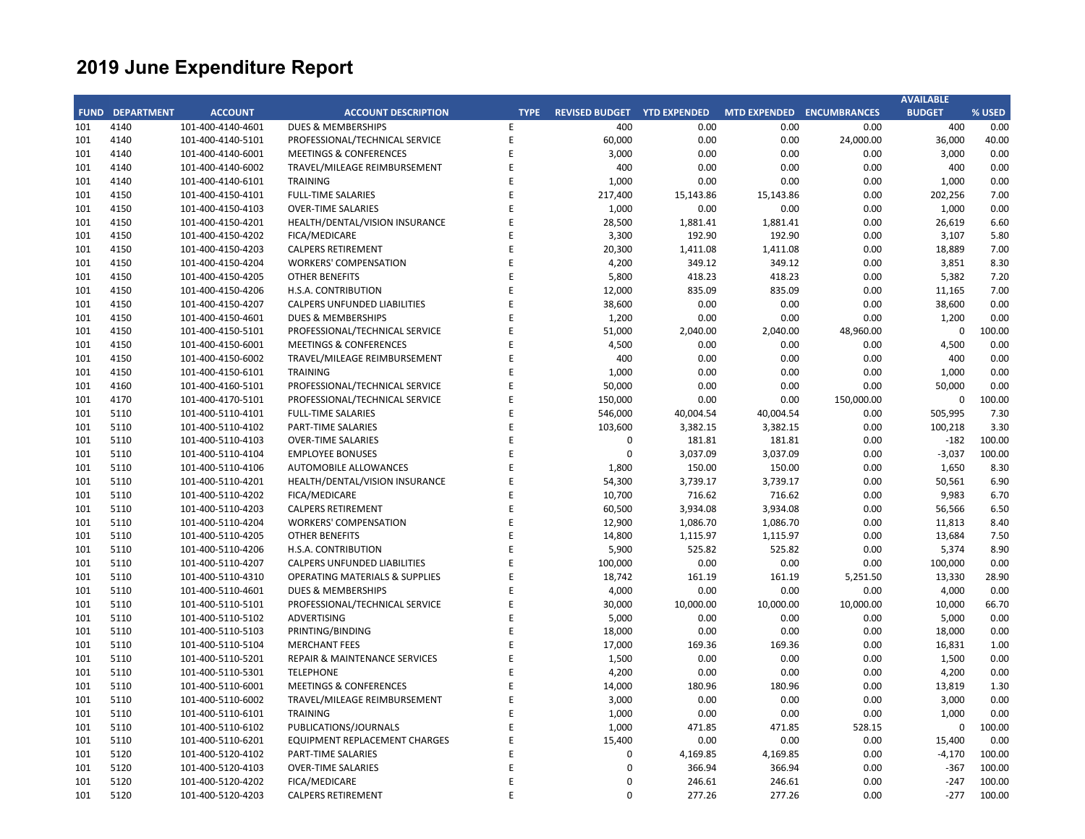|             |                   |                                        |                                           |             |                             |                |                     |                     | <b>AVAILABLE</b> |              |
|-------------|-------------------|----------------------------------------|-------------------------------------------|-------------|-----------------------------|----------------|---------------------|---------------------|------------------|--------------|
| <b>FUND</b> | <b>DEPARTMENT</b> | <b>ACCOUNT</b>                         | <b>ACCOUNT DESCRIPTION</b>                | <b>TYPE</b> | REVISED BUDGET YTD EXPENDED |                | <b>MTD EXPENDED</b> | <b>ENCUMBRANCES</b> | <b>BUDGET</b>    | % USED       |
| 101         | 4140              | 101-400-4140-4601                      | <b>DUES &amp; MEMBERSHIPS</b>             | E           | 400                         | 0.00           | 0.00                | 0.00                | 400              | 0.00         |
| 101         | 4140              | 101-400-4140-5101                      | PROFESSIONAL/TECHNICAL SERVICE            | E           | 60,000                      | 0.00           | 0.00                | 24,000.00           | 36,000           | 40.00        |
| 101         | 4140              | 101-400-4140-6001                      | <b>MEETINGS &amp; CONFERENCES</b>         | E           | 3,000                       | 0.00           | 0.00                | 0.00                | 3,000            | 0.00         |
| 101         | 4140              | 101-400-4140-6002                      | TRAVEL/MILEAGE REIMBURSEMENT              | E           | 400                         | 0.00           | 0.00                | 0.00                | 400              | 0.00         |
| 101         | 4140              | 101-400-4140-6101                      | <b>TRAINING</b>                           | F           | 1,000                       | 0.00           | 0.00                | 0.00                | 1,000            | 0.00         |
| 101         | 4150              | 101-400-4150-4101                      | <b>FULL-TIME SALARIES</b>                 | E           | 217,400                     | 15,143.86      | 15,143.86           | 0.00                | 202,256          | 7.00         |
| 101         | 4150              | 101-400-4150-4103                      | <b>OVER-TIME SALARIES</b>                 | F           | 1,000                       | 0.00           | 0.00                | 0.00                | 1,000            | 0.00         |
| 101         | 4150              | 101-400-4150-4201                      | HEALTH/DENTAL/VISION INSURANCE            | F           | 28,500                      | 1,881.41       | 1,881.41            | 0.00                | 26,619           | 6.60         |
| 101         | 4150              | 101-400-4150-4202                      | FICA/MEDICARE                             | F           | 3,300                       | 192.90         | 192.90              | 0.00                | 3,107            | 5.80         |
| 101         | 4150              | 101-400-4150-4203                      | <b>CALPERS RETIREMENT</b>                 |             | 20,300                      | 1,411.08       | 1,411.08            | 0.00                | 18,889           | 7.00         |
| 101         | 4150              | 101-400-4150-4204                      | <b>WORKERS' COMPENSATION</b>              | F           | 4,200                       | 349.12         | 349.12              | 0.00                | 3,851            | 8.30         |
| 101         | 4150              | 101-400-4150-4205                      | <b>OTHER BENEFITS</b>                     | E           | 5,800                       | 418.23         | 418.23              | 0.00                | 5,382            | 7.20         |
| 101         | 4150              | 101-400-4150-4206                      | H.S.A. CONTRIBUTION                       | F           | 12,000                      | 835.09         | 835.09              | 0.00                | 11,165           | 7.00         |
| 101         | 4150              | 101-400-4150-4207                      | CALPERS UNFUNDED LIABILITIES              | E           | 38,600                      | 0.00           | 0.00                | 0.00                | 38,600           | 0.00         |
| 101         | 4150              | 101-400-4150-4601                      | <b>DUES &amp; MEMBERSHIPS</b>             | F           | 1,200                       | 0.00           | 0.00                | 0.00                | 1,200            | 0.00         |
| 101         | 4150              | 101-400-4150-5101                      | PROFESSIONAL/TECHNICAL SERVICE            | E           | 51,000                      | 2,040.00       | 2,040.00            | 48,960.00           | 0                | 100.00       |
| 101         | 4150              | 101-400-4150-6001                      | <b>MEETINGS &amp; CONFERENCES</b>         | F           | 4,500                       | 0.00           | 0.00                | 0.00                | 4,500            | 0.00         |
| 101         | 4150              | 101-400-4150-6002                      | TRAVEL/MILEAGE REIMBURSEMENT              | F           | 400                         | 0.00           | 0.00                | 0.00                | 400              | 0.00         |
| 101         | 4150              | 101-400-4150-6101                      | <b>TRAINING</b>                           | F           | 1,000                       | 0.00           | 0.00                | 0.00                | 1,000            | 0.00         |
| 101         | 4160              | 101-400-4160-5101                      | PROFESSIONAL/TECHNICAL SERVICE            | F           | 50,000                      | 0.00           | 0.00                | 0.00                | 50,000           | 0.00         |
| 101         | 4170              | 101-400-4170-5101                      | PROFESSIONAL/TECHNICAL SERVICE            | E           | 150,000                     | 0.00           | 0.00                | 150,000.00          | 0                | 100.00       |
| 101         | 5110              | 101-400-5110-4101                      | <b>FULL-TIME SALARIES</b>                 | F           | 546,000                     | 40,004.54      | 40,004.54           | 0.00                | 505,995          | 7.30         |
| 101         | 5110              | 101-400-5110-4102                      | PART-TIME SALARIES                        | E           | 103,600                     | 3,382.15       | 3,382.15            | 0.00                | 100,218          | 3.30         |
| 101         | 5110              | 101-400-5110-4103                      | <b>OVER-TIME SALARIES</b>                 | F           | $\pmb{0}$                   | 181.81         | 181.81              | 0.00                | $-182$           | 100.00       |
| 101         | 5110              | 101-400-5110-4104                      | <b>EMPLOYEE BONUSES</b>                   | E           | $\mathbf 0$                 | 3,037.09       | 3,037.09            | 0.00                | $-3,037$         | 100.00       |
| 101         | 5110              | 101-400-5110-4106                      | AUTOMOBILE ALLOWANCES                     | F           | 1,800                       | 150.00         | 150.00              | 0.00                | 1,650            | 8.30         |
| 101         | 5110              | 101-400-5110-4201                      | HEALTH/DENTAL/VISION INSURANCE            | E           | 54,300                      | 3,739.17       | 3,739.17            | 0.00                | 50,561           | 6.90         |
| 101         | 5110              | 101-400-5110-4202                      | FICA/MEDICARE                             |             | 10,700                      | 716.62         | 716.62              | 0.00                | 9,983            | 6.70         |
| 101         | 5110              | 101-400-5110-4203                      | <b>CALPERS RETIREMENT</b>                 | E           | 60,500                      | 3,934.08       | 3,934.08            | 0.00                | 56,566           | 6.50         |
| 101         | 5110              | 101-400-5110-4204                      | <b>WORKERS' COMPENSATION</b>              | F           | 12,900                      | 1,086.70       | 1,086.70            | 0.00                | 11,813           | 8.40         |
| 101         | 5110              | 101-400-5110-4205                      | OTHER BENEFITS                            | F           | 14,800                      | 1,115.97       | 1,115.97            | 0.00                | 13,684           | 7.50         |
| 101         | 5110              | 101-400-5110-4206                      | H.S.A. CONTRIBUTION                       | F           | 5,900                       | 525.82         | 525.82              | 0.00                | 5,374            | 8.90         |
| 101         | 5110              | 101-400-5110-4207                      | CALPERS UNFUNDED LIABILITIES              | F           | 100,000                     | 0.00           | 0.00                | 0.00                | 100,000          | 0.00         |
| 101         | 5110              | 101-400-5110-4310                      | <b>OPERATING MATERIALS &amp; SUPPLIES</b> | E           | 18,742                      | 161.19         | 161.19              | 5,251.50            | 13,330           | 28.90        |
| 101         | 5110              | 101-400-5110-4601                      | <b>DUES &amp; MEMBERSHIPS</b>             | F           | 4,000                       | 0.00           | 0.00                | 0.00                | 4,000            | 0.00         |
| 101         | 5110              | 101-400-5110-5101                      | PROFESSIONAL/TECHNICAL SERVICE            | E           | 30,000                      | 10,000.00      | 10,000.00           | 10,000.00           | 10,000           | 66.70        |
| 101         | 5110              | 101-400-5110-5102                      | ADVERTISING                               |             | 5,000                       | 0.00           | 0.00                | 0.00                | 5,000            | 0.00         |
| 101         | 5110              | 101-400-5110-5103                      | PRINTING/BINDING                          | E           | 18,000                      | 0.00           | 0.00                | 0.00                | 18,000           | 0.00         |
|             |                   |                                        | <b>MERCHANT FEES</b>                      | F           | 17,000                      |                |                     |                     |                  | 1.00         |
| 101<br>101  | 5110<br>5110      | 101-400-5110-5104<br>101-400-5110-5201 | <b>REPAIR &amp; MAINTENANCE SERVICES</b>  | E           |                             | 169.36<br>0.00 | 169.36<br>0.00      | 0.00<br>0.00        | 16,831           | 0.00         |
| 101         | 5110              |                                        | <b>TELEPHONE</b>                          | E           | 1,500                       | 0.00           | 0.00                |                     | 1,500            |              |
| 101         | 5110              | 101-400-5110-5301                      | <b>MEETINGS &amp; CONFERENCES</b>         | E           | 4,200                       |                |                     | 0.00                | 4,200            | 0.00         |
|             | 5110              | 101-400-5110-6001                      |                                           | E           | 14,000                      | 180.96<br>0.00 | 180.96<br>0.00      | 0.00                | 13,819<br>3,000  | 1.30<br>0.00 |
| 101         |                   | 101-400-5110-6002                      | TRAVEL/MILEAGE REIMBURSEMENT              | F           | 3,000                       |                |                     | 0.00                |                  |              |
| 101         | 5110              | 101-400-5110-6101                      | <b>TRAINING</b>                           | E           | 1,000                       | 0.00           | 0.00                | 0.00                | 1,000            | 0.00         |
| 101         | 5110              | 101-400-5110-6102                      | PUBLICATIONS/JOURNALS                     |             | 1,000                       | 471.85         | 471.85              | 528.15              | $\mathbf 0$      | 100.00       |
| 101         | 5110              | 101-400-5110-6201                      | EQUIPMENT REPLACEMENT CHARGES             |             | 15,400                      | 0.00           | 0.00                | 0.00                | 15,400           | 0.00         |
| 101         | 5120              | 101-400-5120-4102                      | <b>PART-TIME SALARIES</b>                 | E           | 0                           | 4,169.85       | 4,169.85            | 0.00                | $-4,170$         | 100.00       |
| 101         | 5120              | 101-400-5120-4103                      | <b>OVER-TIME SALARIES</b>                 | F           | 0                           | 366.94         | 366.94              | 0.00                | $-367$           | 100.00       |
| 101         | 5120              | 101-400-5120-4202                      | FICA/MEDICARE                             | E           | $\Omega$                    | 246.61         | 246.61              | 0.00                | $-247$           | 100.00       |
| 101         | 5120              | 101-400-5120-4203                      | <b>CALPERS RETIREMENT</b>                 | F           | $\Omega$                    | 277.26         | 277.26              | 0.00                | $-277$           | 100.00       |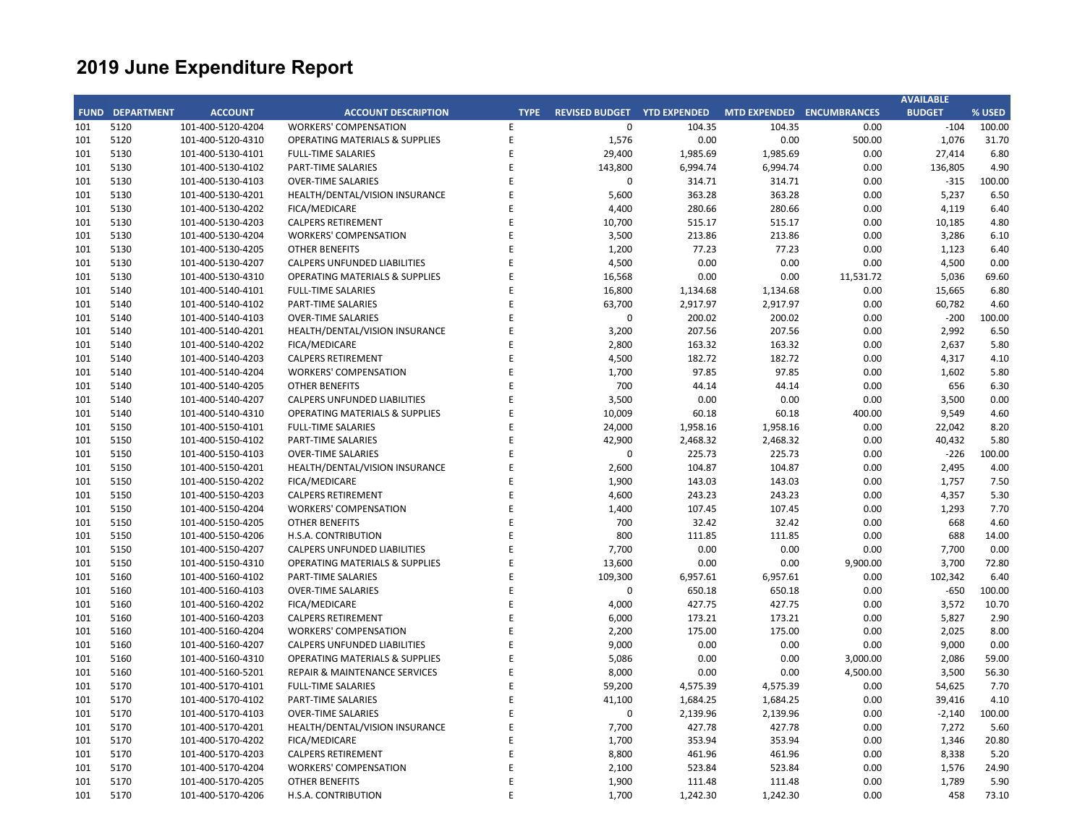|            |                        |                                        |                                                                           |             |                       |                     |                                  |                  | <b>AVAILABLE</b> |               |
|------------|------------------------|----------------------------------------|---------------------------------------------------------------------------|-------------|-----------------------|---------------------|----------------------------------|------------------|------------------|---------------|
|            | <b>FUND DEPARTMENT</b> | <b>ACCOUNT</b>                         | <b>ACCOUNT DESCRIPTION</b>                                                | <b>TYPE</b> | <b>REVISED BUDGET</b> | <b>YTD EXPENDED</b> | <b>MTD EXPENDED ENCUMBRANCES</b> |                  | <b>BUDGET</b>    | % USED        |
| 101        | 5120                   | 101-400-5120-4204                      | <b>WORKERS' COMPENSATION</b>                                              | E           | 0                     | 104.35              | 104.35                           | 0.00             | $-104$           | 100.00        |
| 101        | 5120                   | 101-400-5120-4310                      | <b>OPERATING MATERIALS &amp; SUPPLIES</b>                                 | E           | 1,576                 | 0.00                | 0.00                             | 500.00           | 1,076            | 31.70         |
| 101        | 5130                   | 101-400-5130-4101                      | <b>FULL-TIME SALARIES</b>                                                 | E           | 29,400                | 1,985.69            | 1,985.69                         | 0.00             | 27,414           | 6.80          |
| 101        | 5130                   | 101-400-5130-4102                      | PART-TIME SALARIES                                                        | E           | 143,800               | 6,994.74            | 6,994.74                         | 0.00             | 136,805          | 4.90          |
| 101        | 5130                   | 101-400-5130-4103                      | <b>OVER-TIME SALARIES</b>                                                 | E           | 0                     | 314.71              | 314.71                           | 0.00             | $-315$           | 100.00        |
| 101        | 5130                   | 101-400-5130-4201                      | HEALTH/DENTAL/VISION INSURANCE                                            | E           | 5,600                 | 363.28              | 363.28                           | 0.00             | 5,237            | 6.50          |
| 101        | 5130                   | 101-400-5130-4202                      | FICA/MEDICARE                                                             |             | 4,400                 | 280.66              | 280.66                           | 0.00             | 4,119            | 6.40          |
| 101        | 5130                   | 101-400-5130-4203                      | <b>CALPERS RETIREMENT</b>                                                 | F           | 10,700                | 515.17              | 515.17                           | 0.00             | 10,185           | 4.80          |
| 101        | 5130                   | 101-400-5130-4204                      | <b>WORKERS' COMPENSATION</b>                                              | F           | 3,500                 | 213.86              | 213.86                           | 0.00             | 3,286            | 6.10          |
| 101        | 5130                   | 101-400-5130-4205                      | <b>OTHER BENEFITS</b>                                                     | F           | 1,200                 | 77.23               | 77.23                            | 0.00             | 1,123            | 6.40          |
| 101        | 5130                   | 101-400-5130-4207                      | <b>CALPERS UNFUNDED LIABILITIES</b>                                       |             | 4,500                 | 0.00                | 0.00                             | 0.00             | 4,500            | 0.00          |
| 101        | 5130                   | 101-400-5130-4310                      | <b>OPERATING MATERIALS &amp; SUPPLIES</b>                                 | F           | 16,568                | 0.00                | 0.00                             | 11,531.72        | 5,036            | 69.60         |
| 101        | 5140                   | 101-400-5140-4101                      | <b>FULL-TIME SALARIES</b>                                                 | E           | 16,800                | 1,134.68            | 1,134.68                         | 0.00             | 15,665           | 6.80          |
| 101        | 5140                   | 101-400-5140-4102                      | PART-TIME SALARIES                                                        | F           | 63,700                | 2,917.97            | 2,917.97                         | 0.00             | 60,782           | 4.60          |
| 101        | 5140                   | 101-400-5140-4103                      | <b>OVER-TIME SALARIES</b>                                                 | E           | $\mathbf 0$           | 200.02              | 200.02                           | 0.00             | $-200$           | 100.00        |
| 101        | 5140                   | 101-400-5140-4201                      | HEALTH/DENTAL/VISION INSURANCE                                            |             | 3,200                 | 207.56              | 207.56                           | 0.00             | 2,992            | 6.50          |
| 101        | 5140                   | 101-400-5140-4202                      | FICA/MEDICARE                                                             | F           | 2,800                 | 163.32              | 163.32                           | 0.00             | 2,637            | 5.80          |
| 101        | 5140                   | 101-400-5140-4203                      | <b>CALPERS RETIREMENT</b>                                                 | F           | 4,500                 | 182.72              | 182.72                           | 0.00             | 4,317            | 4.10          |
| 101        | 5140                   | 101-400-5140-4204                      | <b>WORKERS' COMPENSATION</b>                                              | F           | 1,700                 | 97.85               | 97.85                            | 0.00             | 1,602            | 5.80          |
| 101        | 5140                   | 101-400-5140-4205                      | <b>OTHER BENEFITS</b>                                                     |             | 700                   | 44.14               | 44.14                            | 0.00             | 656              | 6.30          |
| 101        | 5140                   | 101-400-5140-4207                      | <b>CALPERS UNFUNDED LIABILITIES</b>                                       | F           | 3,500                 | 0.00                | 0.00                             | 0.00             | 3,500            | 0.00          |
| 101        | 5140                   | 101-400-5140-4310                      | <b>OPERATING MATERIALS &amp; SUPPLIES</b>                                 | E           | 10,009                | 60.18               | 60.18                            | 400.00           | 9,549            | 4.60          |
| 101        | 5150                   | 101-400-5150-4101                      | <b>FULL-TIME SALARIES</b>                                                 | F           | 24,000                | 1,958.16            | 1,958.16                         | 0.00             | 22,042           | 8.20          |
| 101        | 5150                   | 101-400-5150-4102                      | PART-TIME SALARIES                                                        | F           | 42,900                | 2,468.32            | 2,468.32                         | 0.00             | 40,432           | 5.80          |
| 101        | 5150                   | 101-400-5150-4103                      | <b>OVER-TIME SALARIES</b>                                                 | E           | $\mathbf 0$           | 225.73              | 225.73                           | 0.00             | $-226$           | 100.00        |
| 101        | 5150                   | 101-400-5150-4201                      | HEALTH/DENTAL/VISION INSURANCE                                            | F           | 2,600                 | 104.87              | 104.87                           | 0.00             | 2,495            | 4.00          |
| 101        | 5150                   | 101-400-5150-4202                      | FICA/MEDICARE                                                             | F           | 1,900                 | 143.03              | 143.03                           | 0.00             | 1,757            | 7.50          |
| 101        | 5150                   | 101-400-5150-4203                      | <b>CALPERS RETIREMENT</b>                                                 | F           | 4,600                 | 243.23              | 243.23                           | 0.00             | 4,357            | 5.30          |
| 101        | 5150                   | 101-400-5150-4204                      | <b>WORKERS' COMPENSATION</b>                                              |             | 1,400                 | 107.45              | 107.45                           | 0.00             | 1,293            | 7.70          |
| 101        | 5150                   | 101-400-5150-4205                      | <b>OTHER BENEFITS</b>                                                     | F           | 700                   | 32.42               | 32.42                            | 0.00             | 668              | 4.60          |
| 101        | 5150                   | 101-400-5150-4206                      | H.S.A. CONTRIBUTION                                                       | F           | 800                   | 111.85              | 111.85                           | 0.00             | 688              | 14.00         |
| 101        | 5150                   | 101-400-5150-4207                      | <b>CALPERS UNFUNDED LIABILITIES</b>                                       | F           | 7,700                 | 0.00                | 0.00                             | 0.00             | 7,700            | 0.00          |
| 101        | 5150                   | 101-400-5150-4310                      | <b>OPERATING MATERIALS &amp; SUPPLIES</b>                                 | F           | 13,600                | 0.00                | 0.00                             | 9,900.00         | 3,700            | 72.80         |
| 101        | 5160                   | 101-400-5160-4102                      | PART-TIME SALARIES                                                        | E           | 109,300               | 6,957.61            | 6,957.61                         | 0.00             | 102,342          | 6.40          |
| 101        | 5160                   | 101-400-5160-4103                      | <b>OVER-TIME SALARIES</b>                                                 | F           | 0                     | 650.18              | 650.18                           | 0.00             | $-650$           | 100.00        |
| 101        | 5160                   | 101-400-5160-4202                      | FICA/MEDICARE                                                             | F           | 4,000                 | 427.75              | 427.75                           | 0.00             | 3,572            | 10.70         |
| 101        | 5160                   | 101-400-5160-4203                      | <b>CALPERS RETIREMENT</b>                                                 | F           |                       | 173.21              | 173.21                           | 0.00             | 5,827            | 2.90          |
| 101        | 5160                   | 101-400-5160-4204                      | <b>WORKERS' COMPENSATION</b>                                              | E           | 6,000<br>2,200        | 175.00              | 175.00                           | 0.00             | 2,025            | 8.00          |
|            |                        |                                        |                                                                           | F           |                       |                     |                                  | 0.00             |                  |               |
| 101<br>101 | 5160<br>5160           | 101-400-5160-4207<br>101-400-5160-4310 | CALPERS UNFUNDED LIABILITIES<br><b>OPERATING MATERIALS &amp; SUPPLIES</b> | E           | 9,000<br>5,086        | 0.00<br>0.00        | 0.00<br>0.00                     | 3,000.00         | 9,000<br>2,086   | 0.00<br>59.00 |
|            |                        |                                        |                                                                           | F           |                       |                     |                                  |                  |                  | 56.30         |
| 101        | 5160<br>5170           | 101-400-5160-5201                      | <b>REPAIR &amp; MAINTENANCE SERVICES</b>                                  | E           | 8,000                 | 0.00                | 0.00                             | 4,500.00<br>0.00 | 3,500<br>54,625  | 7.70          |
| 101        |                        | 101-400-5170-4101                      | <b>FULL-TIME SALARIES</b>                                                 | F           | 59,200                | 4,575.39            | 4,575.39                         |                  |                  |               |
| 101        | 5170                   | 101-400-5170-4102                      | PART-TIME SALARIES                                                        |             | 41,100                | 1,684.25            | 1,684.25                         | 0.00             | 39,416           | 4.10          |
| 101        | 5170                   | 101-400-5170-4103                      | <b>OVER-TIME SALARIES</b>                                                 | E<br>F      | 0                     | 2,139.96            | 2,139.96                         | 0.00             | $-2,140$         | 100.00        |
| 101        | 5170                   | 101-400-5170-4201                      | HEALTH/DENTAL/VISION INSURANCE                                            |             | 7,700                 | 427.78              | 427.78                           | 0.00             | 7,272            | 5.60          |
| 101        | 5170                   | 101-400-5170-4202                      | FICA/MEDICARE                                                             | F           | 1,700                 | 353.94              | 353.94                           | 0.00             | 1,346            | 20.80         |
| 101        | 5170                   | 101-400-5170-4203                      | <b>CALPERS RETIREMENT</b>                                                 | E           | 8,800                 | 461.96              | 461.96                           | 0.00             | 8,338            | 5.20          |
| 101        | 5170                   | 101-400-5170-4204                      | <b>WORKERS' COMPENSATION</b>                                              | E           | 2,100                 | 523.84              | 523.84                           | 0.00             | 1,576            | 24.90         |
| 101        | 5170                   | 101-400-5170-4205                      | <b>OTHER BENEFITS</b>                                                     | F           | 1,900                 | 111.48              | 111.48                           | 0.00             | 1,789            | 5.90          |
| 101        | 5170                   | 101-400-5170-4206                      | H.S.A. CONTRIBUTION                                                       | F           | 1,700                 | 1,242.30            | 1,242.30                         | 0.00             | 458              | 73.10         |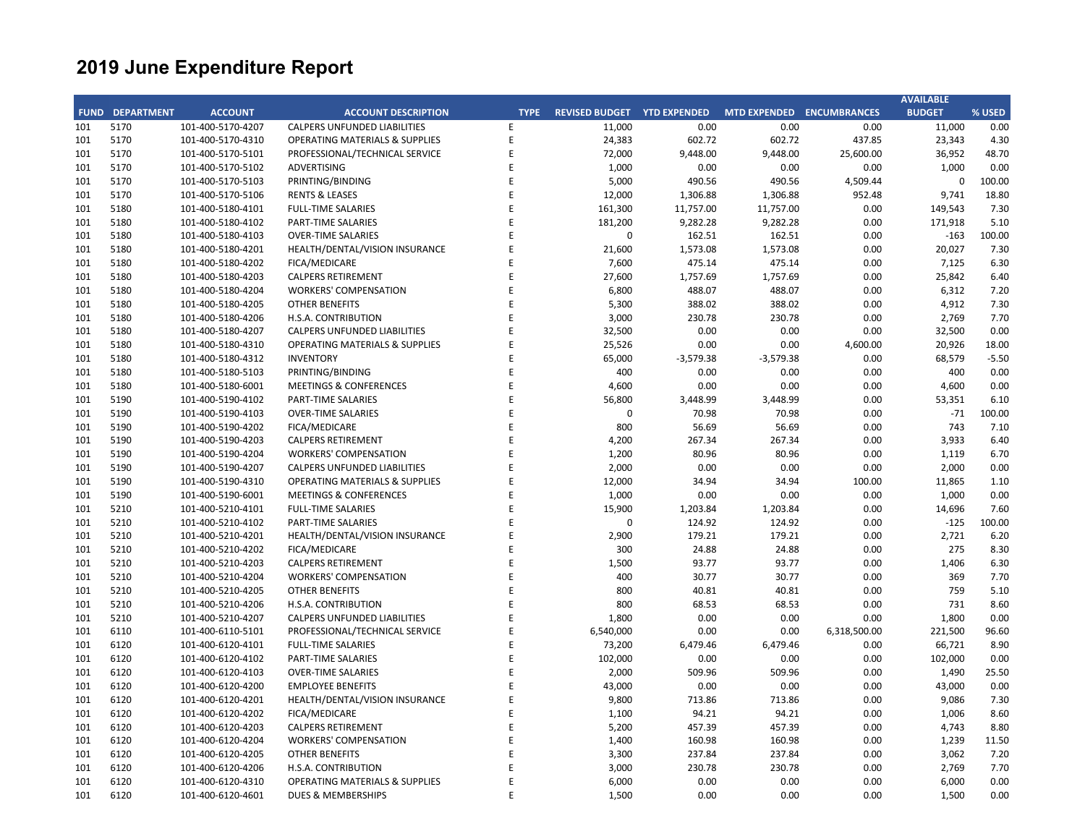|             |                   |                   |                                           |             |                                    |             |                     |                     | <b>AVAILABLE</b> |         |
|-------------|-------------------|-------------------|-------------------------------------------|-------------|------------------------------------|-------------|---------------------|---------------------|------------------|---------|
| <b>FUND</b> | <b>DEPARTMENT</b> | <b>ACCOUNT</b>    | <b>ACCOUNT DESCRIPTION</b>                | <b>TYPE</b> | <b>REVISED BUDGET YTD EXPENDED</b> |             | <b>MTD EXPENDED</b> | <b>ENCUMBRANCES</b> | <b>BUDGET</b>    | % USED  |
| 101         | 5170              | 101-400-5170-4207 | <b>CALPERS UNFUNDED LIABILITIES</b>       | Ε           | 11,000                             | 0.00        | 0.00                | 0.00                | 11,000           | 0.00    |
| 101         | 5170              | 101-400-5170-4310 | <b>OPERATING MATERIALS &amp; SUPPLIES</b> | E           | 24,383                             | 602.72      | 602.72              | 437.85              | 23,343           | 4.30    |
| 101         | 5170              | 101-400-5170-5101 | PROFESSIONAL/TECHNICAL SERVICE            | E           | 72,000                             | 9,448.00    | 9,448.00            | 25,600.00           | 36,952           | 48.70   |
| 101         | 5170              | 101-400-5170-5102 | <b>ADVERTISING</b>                        | E           | 1,000                              | 0.00        | 0.00                | 0.00                | 1,000            | 0.00    |
| 101         | 5170              | 101-400-5170-5103 | PRINTING/BINDING                          | E           | 5,000                              | 490.56      | 490.56              | 4,509.44            | $\mathbf 0$      | 100.00  |
| 101         | 5170              | 101-400-5170-5106 | <b>RENTS &amp; LEASES</b>                 | E           | 12,000                             | 1,306.88    | 1,306.88            | 952.48              | 9,741            | 18.80   |
| 101         | 5180              | 101-400-5180-4101 | <b>FULL-TIME SALARIES</b>                 | F           | 161,300                            | 11,757.00   | 11,757.00           | 0.00                | 149,543          | 7.30    |
| 101         | 5180              | 101-400-5180-4102 | PART-TIME SALARIES                        | E           | 181,200                            | 9,282.28    | 9,282.28            | 0.00                | 171,918          | 5.10    |
| 101         | 5180              | 101-400-5180-4103 | <b>OVER-TIME SALARIES</b>                 | E           | $\mathbf 0$                        | 162.51      | 162.51              | 0.00                | $-163$           | 100.00  |
| 101         | 5180              | 101-400-5180-4201 | HEALTH/DENTAL/VISION INSURANCE            | E           | 21,600                             | 1,573.08    | 1,573.08            | 0.00                | 20,027           | 7.30    |
| 101         | 5180              | 101-400-5180-4202 | FICA/MEDICARE                             | E           | 7,600                              | 475.14      | 475.14              | 0.00                | 7,125            | 6.30    |
| 101         | 5180              | 101-400-5180-4203 | <b>CALPERS RETIREMENT</b>                 | E           | 27,600                             | 1,757.69    | 1,757.69            | 0.00                | 25,842           | 6.40    |
| 101         | 5180              | 101-400-5180-4204 | <b>WORKERS' COMPENSATION</b>              | E           | 6,800                              | 488.07      | 488.07              | 0.00                | 6,312            | 7.20    |
| 101         | 5180              | 101-400-5180-4205 | <b>OTHER BENEFITS</b>                     | F           | 5,300                              | 388.02      | 388.02              | 0.00                | 4,912            | 7.30    |
| 101         | 5180              | 101-400-5180-4206 | H.S.A. CONTRIBUTION                       | E           | 3,000                              | 230.78      | 230.78              | 0.00                | 2,769            | 7.70    |
| 101         | 5180              | 101-400-5180-4207 | <b>CALPERS UNFUNDED LIABILITIES</b>       | F           | 32,500                             | 0.00        | 0.00                | 0.00                | 32,500           | 0.00    |
| 101         | 5180              | 101-400-5180-4310 | <b>OPERATING MATERIALS &amp; SUPPLIES</b> | E           | 25,526                             | 0.00        | 0.00                | 4,600.00            | 20,926           | 18.00   |
| 101         | 5180              | 101-400-5180-4312 | <b>INVENTORY</b>                          | F           | 65,000                             | $-3,579.38$ | $-3,579.38$         | 0.00                | 68,579           | $-5.50$ |
| 101         | 5180              | 101-400-5180-5103 | PRINTING/BINDING                          | E           | 400                                | 0.00        | 0.00                | 0.00                | 400              | 0.00    |
| 101         | 5180              | 101-400-5180-6001 | <b>MEETINGS &amp; CONFERENCES</b>         | E           | 4,600                              | 0.00        | 0.00                | 0.00                | 4,600            | 0.00    |
| 101         | 5190              | 101-400-5190-4102 | PART-TIME SALARIES                        | E           | 56,800                             | 3,448.99    | 3,448.99            | 0.00                | 53,351           | 6.10    |
| 101         | 5190              | 101-400-5190-4103 | <b>OVER-TIME SALARIES</b>                 | E           | $\mathbf 0$                        | 70.98       | 70.98               | 0.00                | $-71$            | 100.00  |
| 101         | 5190              | 101-400-5190-4202 | FICA/MEDICARE                             | E           | 800                                | 56.69       | 56.69               | 0.00                | 743              | 7.10    |
| 101         | 5190              | 101-400-5190-4203 | <b>CALPERS RETIREMENT</b>                 | F           | 4,200                              | 267.34      | 267.34              | 0.00                | 3,933            | 6.40    |
| 101         | 5190              | 101-400-5190-4204 | <b>WORKERS' COMPENSATION</b>              | E           | 1,200                              | 80.96       | 80.96               | 0.00                | 1,119            | 6.70    |
| 101         | 5190              | 101-400-5190-4207 | <b>CALPERS UNFUNDED LIABILITIES</b>       | E           | 2,000                              | 0.00        | 0.00                | 0.00                | 2,000            | 0.00    |
| 101         | 5190              | 101-400-5190-4310 | <b>OPERATING MATERIALS &amp; SUPPLIES</b> | E           | 12,000                             | 34.94       | 34.94               | 100.00              | 11,865           | 1.10    |
| 101         | 5190              | 101-400-5190-6001 | <b>MEETINGS &amp; CONFERENCES</b>         | E           | 1,000                              | 0.00        | 0.00                | 0.00                | 1,000            | 0.00    |
| 101         | 5210              | 101-400-5210-4101 | <b>FULL-TIME SALARIES</b>                 | E           | 15,900                             | 1,203.84    | 1,203.84            | 0.00                | 14,696           | 7.60    |
| 101         | 5210              | 101-400-5210-4102 | PART-TIME SALARIES                        | E           | $\mathbf 0$                        | 124.92      | 124.92              | 0.00                | $-125$           | 100.00  |
| 101         | 5210              | 101-400-5210-4201 | HEALTH/DENTAL/VISION INSURANCE            | E           | 2,900                              | 179.21      | 179.21              | 0.00                | 2,721            | 6.20    |
| 101         | 5210              | 101-400-5210-4202 | FICA/MEDICARE                             | E           | 300                                | 24.88       | 24.88               | 0.00                | 275              | 8.30    |
| 101         | 5210              | 101-400-5210-4203 | <b>CALPERS RETIREMENT</b>                 | E           | 1,500                              | 93.77       | 93.77               | 0.00                | 1,406            | 6.30    |
| 101         | 5210              | 101-400-5210-4204 | <b>WORKERS' COMPENSATION</b>              | F           | 400                                | 30.77       | 30.77               | 0.00                | 369              | 7.70    |
| 101         | 5210              | 101-400-5210-4205 | <b>OTHER BENEFITS</b>                     | F           | 800                                | 40.81       | 40.81               | 0.00                | 759              | 5.10    |
| 101         | 5210              | 101-400-5210-4206 | H.S.A. CONTRIBUTION                       | E           | 800                                | 68.53       | 68.53               | 0.00                | 731              | 8.60    |
| 101         | 5210              | 101-400-5210-4207 | CALPERS UNFUNDED LIABILITIES              | E           | 1,800                              | 0.00        | 0.00                | 0.00                | 1,800            | 0.00    |
| 101         | 6110              | 101-400-6110-5101 | PROFESSIONAL/TECHNICAL SERVICE            | E           | 6,540,000                          | 0.00        | 0.00                | 6,318,500.00        | 221,500          | 96.60   |
| 101         | 6120              | 101-400-6120-4101 | <b>FULL-TIME SALARIES</b>                 | F           | 73,200                             | 6,479.46    | 6,479.46            | 0.00                | 66,721           | 8.90    |
| 101         | 6120              | 101-400-6120-4102 | PART-TIME SALARIES                        | E           | 102,000                            | 0.00        | 0.00                | 0.00                | 102,000          | 0.00    |
| 101         | 6120              | 101-400-6120-4103 | <b>OVER-TIME SALARIES</b>                 | E           | 2,000                              | 509.96      | 509.96              | 0.00                | 1,490            | 25.50   |
| 101         | 6120              | 101-400-6120-4200 | <b>EMPLOYEE BENEFITS</b>                  | F           | 43,000                             | 0.00        | 0.00                | 0.00                | 43,000           | 0.00    |
| 101         | 6120              | 101-400-6120-4201 | HEALTH/DENTAL/VISION INSURANCE            | E           | 9,800                              | 713.86      | 713.86              | 0.00                | 9,086            | 7.30    |
| 101         | 6120              | 101-400-6120-4202 | <b>FICA/MEDICARE</b>                      | F           | 1,100                              | 94.21       | 94.21               | 0.00                | 1,006            | 8.60    |
| 101         | 6120              | 101-400-6120-4203 | <b>CALPERS RETIREMENT</b>                 | E           | 5,200                              | 457.39      | 457.39              | 0.00                | 4,743            | 8.80    |
| 101         | 6120              | 101-400-6120-4204 | <b>WORKERS' COMPENSATION</b>              | E           | 1,400                              | 160.98      | 160.98              | 0.00                | 1,239            | 11.50   |
| 101         | 6120              | 101-400-6120-4205 | <b>OTHER BENEFITS</b>                     | E           | 3,300                              | 237.84      | 237.84              | 0.00                | 3,062            | 7.20    |
| 101         | 6120              | 101-400-6120-4206 | H.S.A. CONTRIBUTION                       | F           | 3,000                              | 230.78      | 230.78              | 0.00                | 2,769            | 7.70    |
| 101         | 6120              | 101-400-6120-4310 | <b>OPERATING MATERIALS &amp; SUPPLIES</b> | E           | 6,000                              | 0.00        | 0.00                | 0.00                | 6,000            | 0.00    |
| 101         | 6120              | 101-400-6120-4601 | <b>DUES &amp; MEMBERSHIPS</b>             | E           | 1,500                              | 0.00        | 0.00                | 0.00                | 1.500            | 0.00    |
|             |                   |                   |                                           |             |                                    |             |                     |                     |                  |         |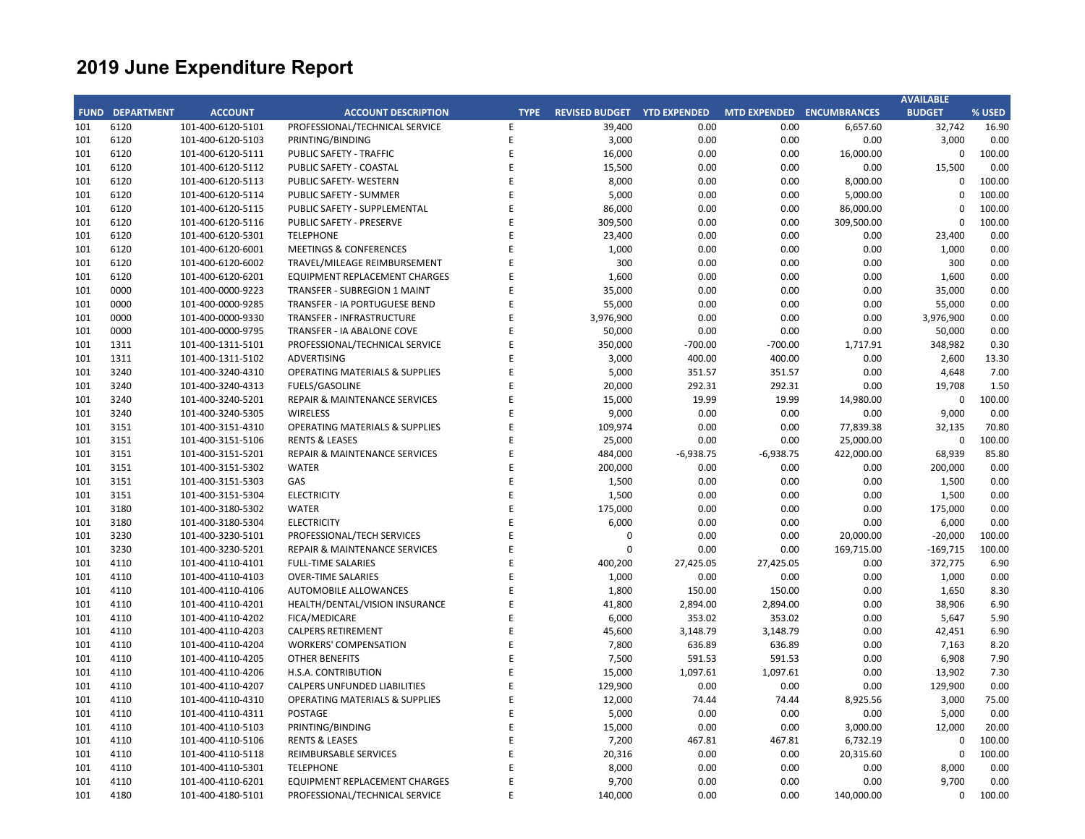|             |                   |                                        |                                           |             |                                    |             |                     |                     | <b>AVAILABLE</b> |        |
|-------------|-------------------|----------------------------------------|-------------------------------------------|-------------|------------------------------------|-------------|---------------------|---------------------|------------------|--------|
| <b>FUND</b> | <b>DEPARTMENT</b> | <b>ACCOUNT</b>                         | <b>ACCOUNT DESCRIPTION</b>                | <b>TYPE</b> | <b>REVISED BUDGET YTD EXPENDED</b> |             | <b>MTD EXPENDED</b> | <b>ENCUMBRANCES</b> | <b>BUDGET</b>    | % USED |
| 101         | 6120              | 101-400-6120-5101                      | PROFESSIONAL/TECHNICAL SERVICE            | E           | 39,400                             | 0.00        | 0.00                | 6,657.60            | 32,742           | 16.90  |
| 101         | 6120              | 101-400-6120-5103                      | PRINTING/BINDING                          | E           | 3,000                              | 0.00        | 0.00                | 0.00                | 3,000            | 0.00   |
| 101         | 6120              | 101-400-6120-5111                      | PUBLIC SAFETY - TRAFFIC                   | E           | 16,000                             | 0.00        | 0.00                | 16,000.00           | 0                | 100.00 |
| 101         | 6120              | 101-400-6120-5112                      | PUBLIC SAFETY - COASTAL                   | F           | 15,500                             | 0.00        | 0.00                | 0.00                | 15,500           | 0.00   |
| 101         | 6120              | 101-400-6120-5113                      | PUBLIC SAFETY- WESTERN                    | F           | 8,000                              | 0.00        | 0.00                | 8,000.00            | 0                | 100.00 |
| 101         | 6120              | 101-400-6120-5114                      | PUBLIC SAFETY - SUMMER                    | E           | 5,000                              | 0.00        | 0.00                | 5,000.00            | $\mathbf 0$      | 100.00 |
| 101         | 6120              | 101-400-6120-5115                      | PUBLIC SAFETY - SUPPLEMENTAL              | F           | 86,000                             | 0.00        | 0.00                | 86,000.00           | $\Omega$         | 100.00 |
| 101         | 6120              | 101-400-6120-5116                      | PUBLIC SAFETY - PRESERVE                  | F           | 309,500                            | 0.00        | 0.00                | 309,500.00          | 0                | 100.00 |
| 101         | 6120              | 101-400-6120-5301                      | <b>TELEPHONE</b>                          | F           | 23,400                             | 0.00        | 0.00                | 0.00                | 23,400           | 0.00   |
| 101         | 6120              | 101-400-6120-6001                      | <b>MEETINGS &amp; CONFERENCES</b>         |             | 1,000                              | 0.00        | 0.00                | 0.00                | 1,000            | 0.00   |
| 101         | 6120              | 101-400-6120-6002                      | TRAVEL/MILEAGE REIMBURSEMENT              | F           | 300                                | 0.00        | 0.00                | 0.00                | 300              | 0.00   |
| 101         | 6120              | 101-400-6120-6201                      | <b>EQUIPMENT REPLACEMENT CHARGES</b>      | E           | 1,600                              | 0.00        | 0.00                | 0.00                | 1,600            | 0.00   |
| 101         | 0000              | 101-400-0000-9223                      | TRANSFER - SUBREGION 1 MAINT              | F           | 35,000                             | 0.00        | 0.00                | 0.00                | 35,000           | 0.00   |
| 101         | 0000              | 101-400-0000-9285                      | TRANSFER - IA PORTUGUESE BEND             | E           | 55,000                             | 0.00        | 0.00                | 0.00                | 55,000           | 0.00   |
| 101         | 0000              | 101-400-0000-9330                      | TRANSFER - INFRASTRUCTURE                 | F           | 3,976,900                          | 0.00        | 0.00                | 0.00                | 3,976,900        | 0.00   |
| 101         | 0000              | 101-400-0000-9795                      | TRANSFER - IA ABALONE COVE                | E           | 50,000                             | 0.00        | 0.00                | 0.00                | 50,000           | 0.00   |
| 101         | 1311              | 101-400-1311-5101                      | PROFESSIONAL/TECHNICAL SERVICE            | F           | 350,000                            | $-700.00$   | $-700.00$           | 1,717.91            | 348,982          | 0.30   |
| 101         | 1311              | 101-400-1311-5102                      | ADVERTISING                               | F           | 3,000                              | 400.00      | 400.00              | 0.00                | 2,600            | 13.30  |
| 101         | 3240              | 101-400-3240-4310                      | <b>OPERATING MATERIALS &amp; SUPPLIES</b> | F           | 5,000                              | 351.57      | 351.57              | 0.00                | 4,648            | 7.00   |
| 101         | 3240              | 101-400-3240-4313                      | FUELS/GASOLINE                            | E           | 20,000                             | 292.31      | 292.31              | 0.00                | 19,708           | 1.50   |
| 101         | 3240              | 101-400-3240-5201                      | <b>REPAIR &amp; MAINTENANCE SERVICES</b>  | E           | 15,000                             | 19.99       | 19.99               | 14,980.00           | $\mathbf 0$      | 100.00 |
| 101         | 3240              | 101-400-3240-5305                      | <b>WIRELESS</b>                           | F           | 9,000                              | 0.00        | 0.00                | 0.00                | 9,000            | 0.00   |
| 101         | 3151              | 101-400-3151-4310                      | <b>OPERATING MATERIALS &amp; SUPPLIES</b> | E           | 109,974                            | 0.00        | 0.00                | 77,839.38           | 32,135           | 70.80  |
| 101         | 3151              | 101-400-3151-5106                      | <b>RENTS &amp; LEASES</b>                 | F           | 25,000                             | 0.00        | 0.00                | 25,000.00           | 0                | 100.00 |
| 101         | 3151              | 101-400-3151-5201                      | REPAIR & MAINTENANCE SERVICES             | E           | 484,000                            | $-6,938.75$ | $-6,938.75$         | 422,000.00          | 68,939           | 85.80  |
| 101         | 3151              | 101-400-3151-5302                      | <b>WATER</b>                              | F           | 200,000                            | 0.00        | 0.00                | 0.00                | 200,000          | 0.00   |
| 101         | 3151              | 101-400-3151-5303                      | GAS                                       | E           | 1,500                              | 0.00        | 0.00                | 0.00                | 1,500            | 0.00   |
| 101         | 3151              | 101-400-3151-5304                      | <b>ELECTRICITY</b>                        |             | 1,500                              | 0.00        | 0.00                | 0.00                | 1,500            | 0.00   |
| 101         | 3180              | 101-400-3180-5302                      | <b>WATER</b>                              | E           | 175,000                            | 0.00        | 0.00                | 0.00                | 175,000          | 0.00   |
| 101         | 3180              | 101-400-3180-5304                      | <b>ELECTRICITY</b>                        | F           | 6,000                              | 0.00        | 0.00                | 0.00                | 6,000            | 0.00   |
| 101         | 3230              | 101-400-3230-5101                      | PROFESSIONAL/TECH SERVICES                | F           | 0                                  | 0.00        | 0.00                | 20,000.00           | $-20,000$        | 100.00 |
| 101         | 3230              | 101-400-3230-5201                      | REPAIR & MAINTENANCE SERVICES             | E           | $\mathbf 0$                        | 0.00        | 0.00                | 169,715.00          | $-169,715$       | 100.00 |
| 101         | 4110              | 101-400-4110-4101                      | <b>FULL-TIME SALARIES</b>                 | F           | 400,200                            | 27,425.05   | 27,425.05           | 0.00                | 372,775          | 6.90   |
| 101         | 4110              | 101-400-4110-4103                      | <b>OVER-TIME SALARIES</b>                 | E           | 1,000                              | 0.00        | 0.00                | 0.00                | 1,000            | 0.00   |
| 101         | 4110              | 101-400-4110-4106                      | <b>AUTOMOBILE ALLOWANCES</b>              | F           | 1,800                              | 150.00      | 150.00              | 0.00                | 1,650            | 8.30   |
| 101         | 4110              | 101-400-4110-4201                      | HEALTH/DENTAL/VISION INSURANCE            | E           | 41,800                             | 2,894.00    | 2,894.00            | 0.00                | 38,906           | 6.90   |
| 101         | 4110              | 101-400-4110-4202                      | FICA/MEDICARE                             |             | 6,000                              | 353.02      | 353.02              | 0.00                | 5,647            | 5.90   |
| 101         | 4110              | 101-400-4110-4203                      | <b>CALPERS RETIREMENT</b>                 | E           | 45,600                             | 3,148.79    | 3,148.79            | 0.00                | 42,451           | 6.90   |
| 101         | 4110              | 101-400-4110-4204                      | <b>WORKERS' COMPENSATION</b>              | F           | 7,800                              | 636.89      | 636.89              | 0.00                | 7,163            | 8.20   |
| 101         | 4110              | 101-400-4110-4205                      | OTHER BENEFITS                            | E           | 7,500                              | 591.53      | 591.53              | 0.00                | 6,908            | 7.90   |
| 101         | 4110              | 101-400-4110-4206                      | H.S.A. CONTRIBUTION                       | F           | 15,000                             | 1,097.61    | 1,097.61            | 0.00                | 13,902           | 7.30   |
| 101         | 4110              | 101-400-4110-4207                      | <b>CALPERS UNFUNDED LIABILITIES</b>       | E           | 129,900                            | 0.00        | 0.00                | 0.00                | 129,900          | 0.00   |
| 101         | 4110              | 101-400-4110-4310                      | <b>OPERATING MATERIALS &amp; SUPPLIES</b> | F           | 12,000                             | 74.44       | 74.44               | 8,925.56            | 3,000            | 75.00  |
| 101         | 4110              | 101-400-4110-4311                      | POSTAGE                                   | E           | 5,000                              | 0.00        | 0.00                | 0.00                | 5,000            | 0.00   |
| 101         | 4110              | 101-400-4110-5103                      | PRINTING/BINDING                          | E           | 15,000                             | 0.00        | 0.00                | 3,000.00            | 12,000           | 20.00  |
| 101         | 4110              |                                        | <b>RENTS &amp; LEASES</b>                 |             |                                    | 467.81      | 467.81              | 6,732.19            | $\mathbf 0$      | 100.00 |
| 101         | 4110              | 101-400-4110-5106<br>101-400-4110-5118 | REIMBURSABLE SERVICES                     | E           | 7,200<br>20,316                    | 0.00        | 0.00                | 20,315.60           | 0                | 100.00 |
| 101         | 4110              | 101-400-4110-5301                      | <b>TELEPHONE</b>                          | F           | 8,000                              | 0.00        | 0.00                | 0.00                | 8,000            | 0.00   |
| 101         | 4110              | 101-400-4110-6201                      | <b>EQUIPMENT REPLACEMENT CHARGES</b>      | E           | 9,700                              | 0.00        | 0.00                | 0.00                | 9,700            | 0.00   |
| 101         | 4180              | 101-400-4180-5101                      | PROFESSIONAL/TECHNICAL SERVICE            | F           | 140,000                            | 0.00        | 0.00                | 140,000.00          | $\Omega$         | 100.00 |
|             |                   |                                        |                                           |             |                                    |             |                     |                     |                  |        |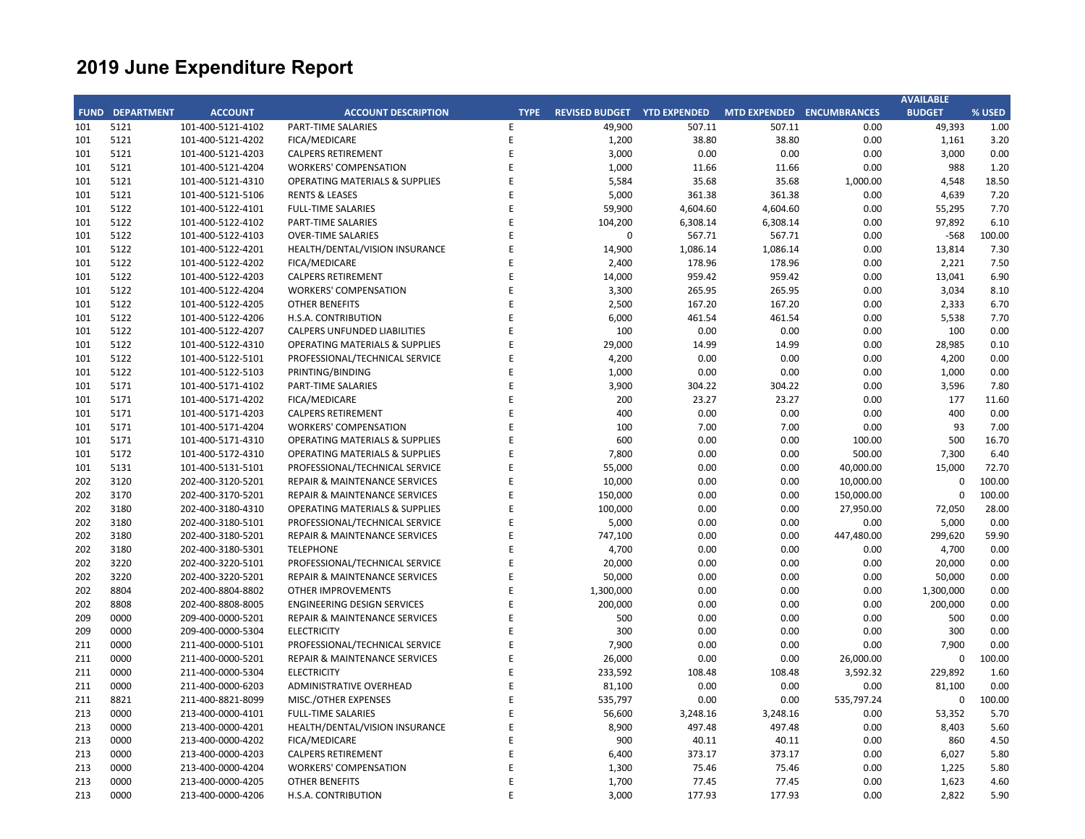|     |                        |                   |                                           |             |                                    |              |              |                           | <b>AVAILABLE</b>  |                |
|-----|------------------------|-------------------|-------------------------------------------|-------------|------------------------------------|--------------|--------------|---------------------------|-------------------|----------------|
|     | <b>FUND DEPARTMENT</b> | <b>ACCOUNT</b>    | <b>ACCOUNT DESCRIPTION</b>                | <b>TYPE</b> | <b>REVISED BUDGET YTD EXPENDED</b> |              |              | MTD EXPENDED ENCUMBRANCES | <b>BUDGET</b>     | % USED         |
| 101 | 5121                   | 101-400-5121-4102 | PART-TIME SALARIES                        | Ε           | 49,900                             | 507.11       | 507.11       | 0.00                      | 49,393            | 1.00           |
| 101 | 5121                   | 101-400-5121-4202 | FICA/MEDICARE                             | E           | 1,200                              | 38.80        | 38.80        | 0.00                      | 1,161             | 3.20           |
| 101 | 5121                   | 101-400-5121-4203 | <b>CALPERS RETIREMENT</b>                 | E           | 3,000                              | 0.00         | 0.00         | 0.00                      | 3,000             | 0.00           |
| 101 | 5121                   | 101-400-5121-4204 | <b>WORKERS' COMPENSATION</b>              | E           | 1,000                              | 11.66        | 11.66        | 0.00                      | 988               | 1.20           |
| 101 | 5121                   | 101-400-5121-4310 | <b>OPERATING MATERIALS &amp; SUPPLIES</b> | E           | 5,584                              | 35.68        | 35.68        | 1,000.00                  | 4,548             | 18.50          |
| 101 | 5121                   | 101-400-5121-5106 | <b>RENTS &amp; LEASES</b>                 | E           | 5,000                              | 361.38       | 361.38       | 0.00                      | 4,639             | 7.20           |
| 101 | 5122                   | 101-400-5122-4101 | <b>FULL-TIME SALARIES</b>                 | E           | 59,900                             | 4,604.60     | 4,604.60     | 0.00                      | 55,295            | 7.70           |
| 101 | 5122                   | 101-400-5122-4102 | <b>PART-TIME SALARIES</b>                 | F           | 104,200                            | 6,308.14     | 6,308.14     | 0.00                      | 97,892            | 6.10           |
| 101 | 5122                   | 101-400-5122-4103 | <b>OVER-TIME SALARIES</b>                 | E           | 0                                  | 567.71       | 567.71       | 0.00                      | $-568$            | 100.00         |
| 101 | 5122                   | 101-400-5122-4201 | HEALTH/DENTAL/VISION INSURANCE            | F           | 14,900                             | 1,086.14     | 1,086.14     | 0.00                      | 13,814            | 7.30           |
| 101 | 5122                   | 101-400-5122-4202 | FICA/MEDICARE                             | E           | 2,400                              | 178.96       | 178.96       | 0.00                      | 2,221             | 7.50           |
| 101 | 5122                   | 101-400-5122-4203 | <b>CALPERS RETIREMENT</b>                 | F           | 14,000                             | 959.42       | 959.42       | 0.00                      | 13,041            | 6.90           |
| 101 | 5122                   | 101-400-5122-4204 | <b>WORKERS' COMPENSATION</b>              | F           | 3,300                              | 265.95       | 265.95       | 0.00                      | 3,034             | 8.10           |
| 101 | 5122                   | 101-400-5122-4205 | <b>OTHER BENEFITS</b>                     | F           | 2,500                              | 167.20       | 167.20       | 0.00                      | 2,333             | 6.70           |
| 101 | 5122                   | 101-400-5122-4206 | H.S.A. CONTRIBUTION                       |             | 6,000                              | 461.54       | 461.54       | 0.00                      | 5,538             | 7.70           |
| 101 | 5122                   | 101-400-5122-4207 | <b>CALPERS UNFUNDED LIABILITIES</b>       | E           | 100                                | 0.00         | 0.00         | 0.00                      | 100               | 0.00           |
| 101 | 5122                   | 101-400-5122-4310 | <b>OPERATING MATERIALS &amp; SUPPLIES</b> | F           | 29,000                             | 14.99        | 14.99        | 0.00                      | 28,985            | 0.10           |
| 101 | 5122                   | 101-400-5122-5101 | PROFESSIONAL/TECHNICAL SERVICE            | F           | 4,200                              | 0.00         | 0.00         | 0.00                      | 4,200             | 0.00           |
| 101 | 5122                   | 101-400-5122-5103 | PRINTING/BINDING                          | F           | 1,000                              | 0.00         | 0.00         | 0.00                      | 1,000             | 0.00           |
| 101 | 5171                   | 101-400-5171-4102 | PART-TIME SALARIES                        | E           | 3,900                              | 304.22       | 304.22       | 0.00                      | 3,596             | 7.80           |
| 101 | 5171                   | 101-400-5171-4202 | FICA/MEDICARE                             | F           | 200                                | 23.27        | 23.27        | 0.00                      | 177               | 11.60          |
| 101 | 5171                   | 101-400-5171-4203 | <b>CALPERS RETIREMENT</b>                 | F           | 400                                | 0.00         | 0.00         | 0.00                      | 400               | 0.00           |
| 101 | 5171                   | 101-400-5171-4204 | <b>WORKERS' COMPENSATION</b>              | F           | 100                                | 7.00         | 7.00         | 0.00                      | 93                | 7.00           |
| 101 | 5171                   | 101-400-5171-4310 | <b>OPERATING MATERIALS &amp; SUPPLIES</b> |             | 600                                | 0.00         | 0.00         | 100.00                    | 500               | 16.70          |
| 101 | 5172                   | 101-400-5172-4310 | <b>OPERATING MATERIALS &amp; SUPPLIES</b> | F           | 7,800                              | 0.00         | 0.00         | 500.00                    | 7,300             | 6.40           |
| 101 | 5131                   | 101-400-5131-5101 | PROFESSIONAL/TECHNICAL SERVICE            | F           | 55,000                             | 0.00         | 0.00         | 40,000.00                 | 15,000            | 72.70          |
| 202 | 3120                   | 202-400-3120-5201 | REPAIR & MAINTENANCE SERVICES             | F           | 10,000                             | 0.00         | 0.00         | 10,000.00                 | $\mathbf 0$       | 100.00         |
| 202 | 3170                   | 202-400-3170-5201 | <b>REPAIR &amp; MAINTENANCE SERVICES</b>  | E           | 150,000                            | 0.00         | 0.00         | 150,000.00                | $\mathbf 0$       | 100.00         |
| 202 | 3180                   | 202-400-3180-4310 | <b>OPERATING MATERIALS &amp; SUPPLIES</b> | F           | 100,000                            | 0.00         | 0.00         | 27,950.00                 | 72,050            | 28.00          |
| 202 | 3180                   | 202-400-3180-5101 | PROFESSIONAL/TECHNICAL SERVICE            | E           | 5,000                              | 0.00         | 0.00         | 0.00                      | 5,000             | 0.00           |
| 202 | 3180                   | 202-400-3180-5201 | REPAIR & MAINTENANCE SERVICES             | F           | 747,100                            | 0.00         | 0.00         | 447,480.00                | 299,620           | 59.90          |
| 202 | 3180                   | 202-400-3180-5301 | <b>TELEPHONE</b>                          | E           | 4,700                              | 0.00         | 0.00         | 0.00                      | 4,700             | 0.00           |
| 202 | 3220                   | 202-400-3220-5101 | PROFESSIONAL/TECHNICAL SERVICE            | F           | 20,000                             | 0.00         | 0.00         | 0.00                      | 20,000            | 0.00           |
| 202 | 3220                   | 202-400-3220-5201 | <b>REPAIR &amp; MAINTENANCE SERVICES</b>  | E           | 50,000                             | 0.00         | 0.00         | 0.00                      | 50,000            | 0.00           |
| 202 | 8804                   | 202-400-8804-8802 | <b>OTHER IMPROVEMENTS</b>                 | F           | 1,300,000                          | 0.00         | 0.00         | 0.00                      | 1,300,000         | 0.00           |
| 202 | 8808                   | 202-400-8808-8005 | <b>ENGINEERING DESIGN SERVICES</b>        | E           | 200,000                            | 0.00         | 0.00         | 0.00                      | 200,000           | 0.00           |
| 209 | 0000                   | 209-400-0000-5201 | <b>REPAIR &amp; MAINTENANCE SERVICES</b>  | F           | 500                                | 0.00         | 0.00         | 0.00                      | 500               | 0.00           |
| 209 | 0000                   | 209-400-0000-5304 | <b>ELECTRICITY</b>                        | E           | 300                                | 0.00         | 0.00         | 0.00                      | 300               | 0.00           |
| 211 | 0000                   | 211-400-0000-5101 | PROFESSIONAL/TECHNICAL SERVICE            | E           | 7,900                              | 0.00         | 0.00         | 0.00                      | 7,900             | 0.00           |
| 211 | 0000                   | 211-400-0000-5201 | <b>REPAIR &amp; MAINTENANCE SERVICES</b>  | F           | 26,000                             |              | 0.00         |                           | 0                 | 100.00         |
| 211 | 0000                   |                   |                                           | E           |                                    | 0.00         |              | 26,000.00                 |                   | 1.60           |
|     |                        | 211-400-0000-5304 | <b>ELECTRICITY</b>                        | F           | 233,592                            | 108.48       | 108.48       | 3,592.32                  | 229,892<br>81,100 |                |
| 211 | 0000<br>8821           | 211-400-0000-6203 | ADMINISTRATIVE OVERHEAD                   | E           | 81,100                             | 0.00<br>0.00 | 0.00<br>0.00 | 0.00<br>535,797.24        | $\mathbf 0$       | 0.00<br>100.00 |
| 211 |                        | 211-400-8821-8099 | MISC./OTHER EXPENSES                      |             | 535,797                            |              |              |                           |                   |                |
| 213 | 0000                   | 213-400-0000-4101 | <b>FULL-TIME SALARIES</b>                 | F<br>E      | 56,600                             | 3,248.16     | 3,248.16     | 0.00                      | 53,352            | 5.70           |
| 213 | 0000                   | 213-400-0000-4201 | HEALTH/DENTAL/VISION INSURANCE            |             | 8,900                              | 497.48       | 497.48       | 0.00                      | 8,403             | 5.60           |
| 213 | 0000                   | 213-400-0000-4202 | FICA/MEDICARE                             |             | 900                                | 40.11        | 40.11        | 0.00                      | 860               | 4.50           |
| 213 | 0000                   | 213-400-0000-4203 | <b>CALPERS RETIREMENT</b>                 | E           | 6,400                              | 373.17       | 373.17       | 0.00                      | 6,027             | 5.80           |
| 213 | 0000                   | 213-400-0000-4204 | <b>WORKERS' COMPENSATION</b>              | F           | 1,300                              | 75.46        | 75.46        | 0.00                      | 1,225             | 5.80           |
| 213 | 0000                   | 213-400-0000-4205 | <b>OTHER BENEFITS</b>                     | E           | 1,700                              | 77.45        | 77.45        | 0.00                      | 1,623             | 4.60           |
| 213 | 0000                   | 213-400-0000-4206 | H.S.A. CONTRIBUTION                       | F           | 3,000                              | 177.93       | 177.93       | 0.00                      | 2,822             | 5.90           |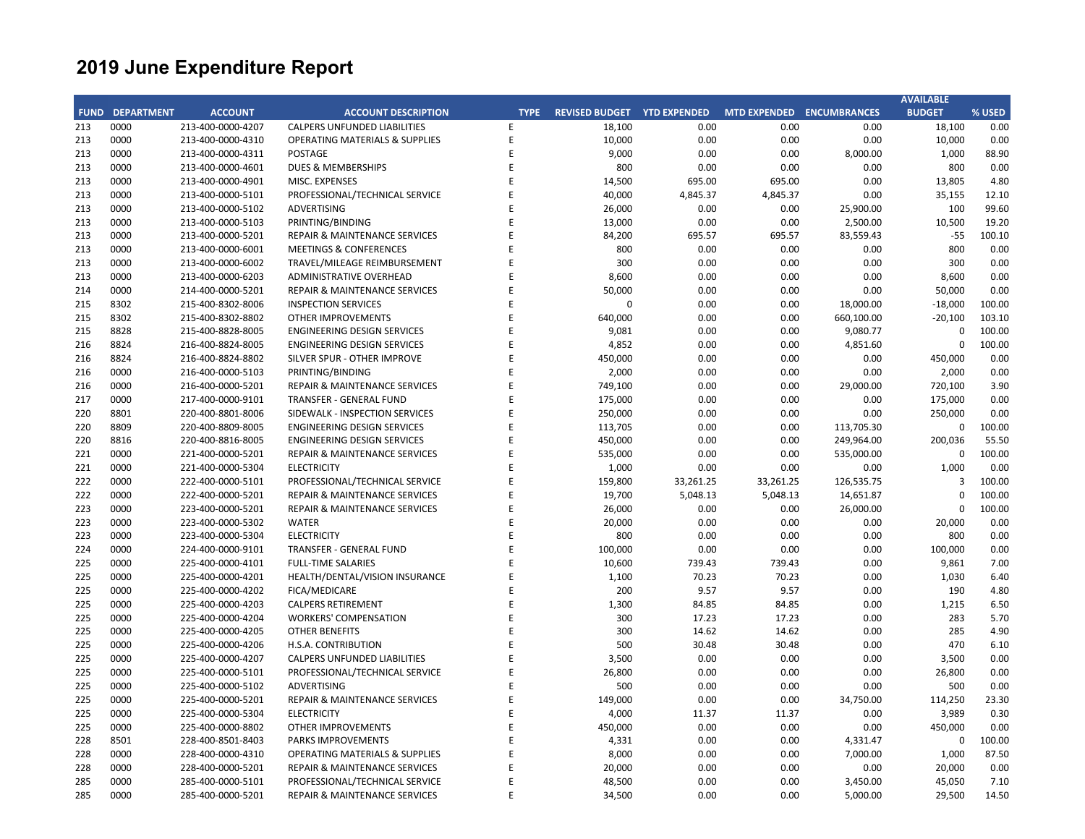|     |                        |                   |                                           |             |                                    |           |           |                           | <b>AVAILABLE</b> |        |
|-----|------------------------|-------------------|-------------------------------------------|-------------|------------------------------------|-----------|-----------|---------------------------|------------------|--------|
|     | <b>FUND DEPARTMENT</b> | <b>ACCOUNT</b>    | <b>ACCOUNT DESCRIPTION</b>                | <b>TYPE</b> | <b>REVISED BUDGET YTD EXPENDED</b> |           |           | MTD EXPENDED ENCUMBRANCES | <b>BUDGET</b>    | % USED |
| 213 | 0000                   | 213-400-0000-4207 | <b>CALPERS UNFUNDED LIABILITIES</b>       | E           | 18,100                             | 0.00      | 0.00      | 0.00                      | 18,100           | 0.00   |
| 213 | 0000                   | 213-400-0000-4310 | <b>OPERATING MATERIALS &amp; SUPPLIES</b> | E           | 10,000                             | 0.00      | 0.00      | 0.00                      | 10,000           | 0.00   |
| 213 | 0000                   | 213-400-0000-4311 | <b>POSTAGE</b>                            | F           | 9,000                              | 0.00      | 0.00      | 8,000.00                  | 1,000            | 88.90  |
| 213 | 0000                   | 213-400-0000-4601 | <b>DUES &amp; MEMBERSHIPS</b>             | E           | 800                                | 0.00      | 0.00      | 0.00                      | 800              | 0.00   |
| 213 | 0000                   | 213-400-0000-4901 | MISC. EXPENSES                            | E           | 14,500                             | 695.00    | 695.00    | 0.00                      | 13,805           | 4.80   |
| 213 | 0000                   | 213-400-0000-5101 | PROFESSIONAL/TECHNICAL SERVICE            | E           | 40,000                             | 4,845.37  | 4,845.37  | 0.00                      | 35,155           | 12.10  |
| 213 | 0000                   | 213-400-0000-5102 | ADVERTISING                               | E           | 26,000                             | 0.00      | 0.00      | 25,900.00                 | 100              | 99.60  |
| 213 | 0000                   | 213-400-0000-5103 | PRINTING/BINDING                          | E           | 13,000                             | 0.00      | 0.00      | 2,500.00                  | 10,500           | 19.20  |
| 213 | 0000                   | 213-400-0000-5201 | REPAIR & MAINTENANCE SERVICES             | E           | 84,200                             | 695.57    | 695.57    | 83,559.43                 | $-55$            | 100.10 |
| 213 | 0000                   | 213-400-0000-6001 | <b>MEETINGS &amp; CONFERENCES</b>         | F           | 800                                | 0.00      | 0.00      | 0.00                      | 800              | 0.00   |
| 213 | 0000                   | 213-400-0000-6002 | TRAVEL/MILEAGE REIMBURSEMENT              | E           | 300                                | 0.00      | 0.00      | 0.00                      | 300              | 0.00   |
| 213 | 0000                   | 213-400-0000-6203 | <b>ADMINISTRATIVE OVERHEAD</b>            | F           | 8,600                              | 0.00      | 0.00      | 0.00                      | 8,600            | 0.00   |
| 214 | 0000                   | 214-400-0000-5201 | REPAIR & MAINTENANCE SERVICES             | F           | 50,000                             | 0.00      | 0.00      | 0.00                      | 50,000           | 0.00   |
| 215 | 8302                   | 215-400-8302-8006 | <b>INSPECTION SERVICES</b>                | F           | $\Omega$                           | 0.00      | 0.00      | 18,000.00                 | $-18,000$        | 100.00 |
| 215 | 8302                   | 215-400-8302-8802 | <b>OTHER IMPROVEMENTS</b>                 | F           | 640,000                            | 0.00      | 0.00      | 660,100.00                | $-20,100$        | 103.10 |
| 215 | 8828                   | 215-400-8828-8005 | <b>ENGINEERING DESIGN SERVICES</b>        | F           | 9,081                              | 0.00      | 0.00      | 9,080.77                  | $\mathbf 0$      | 100.00 |
| 216 | 8824                   | 216-400-8824-8005 | <b>ENGINEERING DESIGN SERVICES</b>        | E           | 4,852                              | 0.00      | 0.00      | 4,851.60                  | $\mathbf 0$      | 100.00 |
| 216 | 8824                   | 216-400-8824-8802 | SILVER SPUR - OTHER IMPROVE               | E           | 450,000                            | 0.00      | 0.00      | 0.00                      | 450,000          | 0.00   |
| 216 | 0000                   | 216-400-0000-5103 | PRINTING/BINDING                          | F           | 2,000                              | 0.00      | 0.00      | 0.00                      | 2,000            | 0.00   |
| 216 | 0000                   | 216-400-0000-5201 | <b>REPAIR &amp; MAINTENANCE SERVICES</b>  | E           | 749,100                            | 0.00      | 0.00      | 29,000.00                 | 720,100          | 3.90   |
| 217 | 0000                   | 217-400-0000-9101 | TRANSFER - GENERAL FUND                   | Ë           | 175,000                            | 0.00      | 0.00      | 0.00                      | 175,000          | 0.00   |
| 220 | 8801                   | 220-400-8801-8006 | SIDEWALK - INSPECTION SERVICES            | E           | 250,000                            | 0.00      | 0.00      | 0.00                      | 250,000          | 0.00   |
| 220 | 8809                   | 220-400-8809-8005 | ENGINEERING DESIGN SERVICES               | E           | 113,705                            | 0.00      | 0.00      | 113,705.30                | $\mathbf 0$      | 100.00 |
| 220 | 8816                   | 220-400-8816-8005 | ENGINEERING DESIGN SERVICES               | E           | 450,000                            | 0.00      | 0.00      | 249,964.00                | 200,036          | 55.50  |
| 221 | 0000                   | 221-400-0000-5201 | REPAIR & MAINTENANCE SERVICES             | F           | 535,000                            | 0.00      | 0.00      | 535,000.00                | $\mathbf 0$      | 100.00 |
| 221 | 0000                   | 221-400-0000-5304 | <b>ELECTRICITY</b>                        | E           | 1,000                              | 0.00      | 0.00      | 0.00                      | 1,000            | 0.00   |
| 222 | 0000                   | 222-400-0000-5101 | PROFESSIONAL/TECHNICAL SERVICE            | F           | 159,800                            | 33,261.25 | 33,261.25 | 126,535.75                | 3                | 100.00 |
| 222 | 0000                   | 222-400-0000-5201 | REPAIR & MAINTENANCE SERVICES             | E           | 19,700                             | 5,048.13  | 5,048.13  | 14,651.87                 | $\mathbf 0$      | 100.00 |
| 223 | 0000                   | 223-400-0000-5201 | <b>REPAIR &amp; MAINTENANCE SERVICES</b>  | E           | 26,000                             | 0.00      | 0.00      | 26,000.00                 | $\Omega$         | 100.00 |
| 223 | 0000                   | 223-400-0000-5302 | <b>WATER</b>                              | F           | 20,000                             | 0.00      | 0.00      | 0.00                      | 20,000           | 0.00   |
| 223 | 0000                   | 223-400-0000-5304 | <b>ELECTRICITY</b>                        | E           | 800                                | 0.00      | 0.00      | 0.00                      | 800              | 0.00   |
| 224 | 0000                   | 224-400-0000-9101 | TRANSFER - GENERAL FUND                   | F           | 100,000                            | 0.00      | 0.00      | 0.00                      | 100,000          | 0.00   |
| 225 | 0000                   | 225-400-0000-4101 | <b>FULL-TIME SALARIES</b>                 | Ë           | 10,600                             | 739.43    | 739.43    | 0.00                      | 9,861            | 7.00   |
| 225 | 0000                   | 225-400-0000-4201 | HEALTH/DENTAL/VISION INSURANCE            | E           | 1,100                              | 70.23     | 70.23     | 0.00                      | 1,030            | 6.40   |
| 225 | 0000                   | 225-400-0000-4202 | FICA/MEDICARE                             | E           | 200                                | 9.57      | 9.57      | 0.00                      | 190              | 4.80   |
| 225 | 0000                   | 225-400-0000-4203 | <b>CALPERS RETIREMENT</b>                 | F           | 1,300                              | 84.85     | 84.85     | 0.00                      | 1,215            | 6.50   |
| 225 | 0000                   | 225-400-0000-4204 | <b>WORKERS' COMPENSATION</b>              | F           | 300                                | 17.23     | 17.23     | 0.00                      | 283              | 5.70   |
| 225 | 0000                   | 225-400-0000-4205 | <b>OTHER BENEFITS</b>                     | F           | 300                                | 14.62     | 14.62     | 0.00                      | 285              | 4.90   |
| 225 | 0000                   | 225-400-0000-4206 | H.S.A. CONTRIBUTION                       | E           | 500                                | 30.48     | 30.48     | 0.00                      | 470              | 6.10   |
| 225 | 0000                   | 225-400-0000-4207 | <b>CALPERS UNFUNDED LIABILITIES</b>       | E           | 3,500                              | 0.00      | 0.00      | 0.00                      | 3,500            | 0.00   |
| 225 | 0000                   | 225-400-0000-5101 | PROFESSIONAL/TECHNICAL SERVICE            | E           | 26,800                             | 0.00      | 0.00      | 0.00                      | 26,800           | 0.00   |
| 225 | 0000                   | 225-400-0000-5102 | <b>ADVERTISING</b>                        | E           | 500                                | 0.00      | 0.00      | 0.00                      | 500              | 0.00   |
| 225 | 0000                   | 225-400-0000-5201 | REPAIR & MAINTENANCE SERVICES             | F           | 149,000                            | 0.00      | 0.00      | 34,750.00                 | 114,250          | 23.30  |
| 225 | 0000                   | 225-400-0000-5304 | <b>ELECTRICITY</b>                        | E           | 4,000                              | 11.37     | 11.37     | 0.00                      | 3,989            | 0.30   |
| 225 | 0000                   | 225-400-0000-8802 | <b>OTHER IMPROVEMENTS</b>                 | F           | 450,000                            | 0.00      | 0.00      | 0.00                      | 450,000          | 0.00   |
| 228 | 8501                   | 228-400-8501-8403 | PARKS IMPROVEMENTS                        | F           | 4,331                              | 0.00      | 0.00      | 4,331.47                  | $\mathbf 0$      | 100.00 |
| 228 | 0000                   | 228-400-0000-4310 | <b>OPERATING MATERIALS &amp; SUPPLIES</b> | F           | 8,000                              | 0.00      | 0.00      | 7,000.00                  | 1,000            | 87.50  |
| 228 | 0000                   | 228-400-0000-5201 | REPAIR & MAINTENANCE SERVICES             | F           | 20,000                             | 0.00      | 0.00      | 0.00                      | 20,000           | 0.00   |
| 285 | 0000                   | 285-400-0000-5101 | PROFESSIONAL/TECHNICAL SERVICE            | E           | 48,500                             | 0.00      | 0.00      | 3,450.00                  | 45,050           | 7.10   |
| 285 | 0000                   | 285-400-0000-5201 | <b>REPAIR &amp; MAINTENANCE SERVICES</b>  | F           | 34,500                             | 0.00      | 0.00      | 5,000.00                  | 29,500           | 14.50  |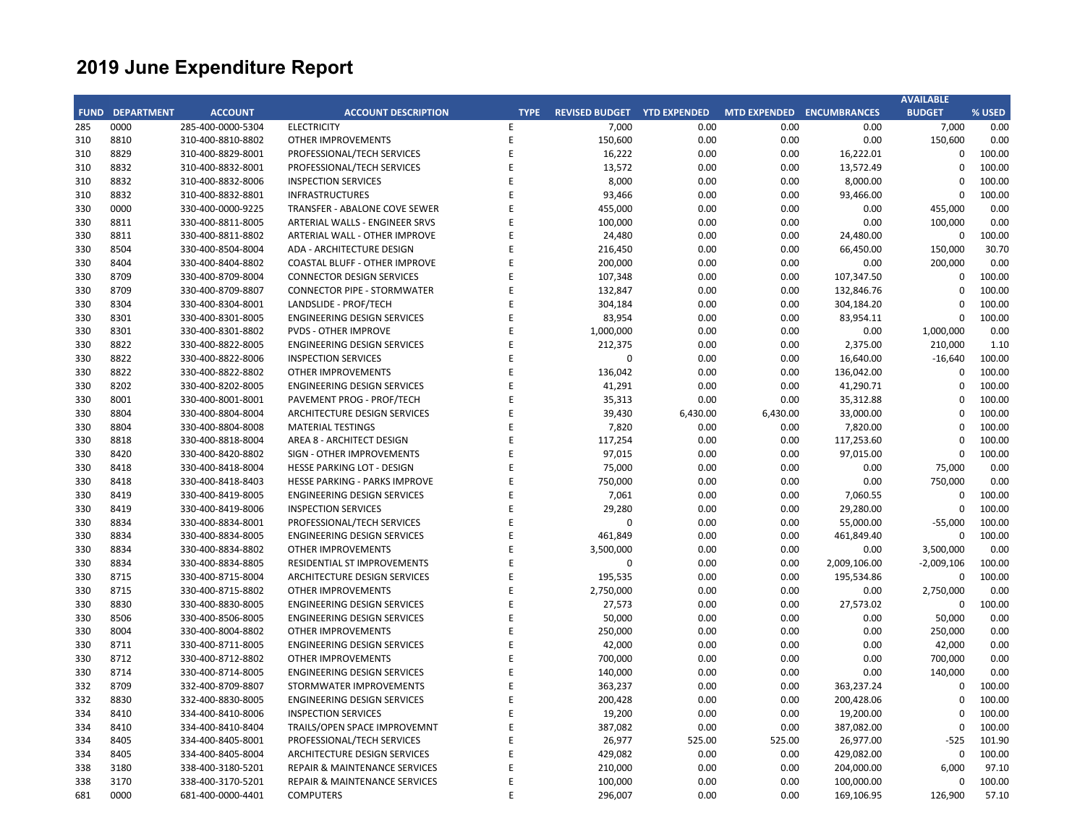| FUND DEPARTMENT<br><b>ACCOUNT</b><br><b>ACCOUNT DESCRIPTION</b><br>REVISED BUDGET YTD EXPENDED<br>MTD EXPENDED ENCUMBRANCES<br><b>TYPE</b><br>0000<br>7,000<br>0.00<br>285<br>285-400-0000-5304<br><b>ELECTRICITY</b><br>E<br>0.00<br>8810<br>E<br>310-400-8810-8802<br>150,600<br>0.00<br>0.00<br>310<br><b>OTHER IMPROVEMENTS</b> | 0.00<br>0.00<br>16,222.01 | <b>BUDGET</b><br>7,000 | % USED<br>0.00 |
|-------------------------------------------------------------------------------------------------------------------------------------------------------------------------------------------------------------------------------------------------------------------------------------------------------------------------------------|---------------------------|------------------------|----------------|
|                                                                                                                                                                                                                                                                                                                                     |                           |                        |                |
|                                                                                                                                                                                                                                                                                                                                     |                           |                        |                |
|                                                                                                                                                                                                                                                                                                                                     |                           | 150,600                | 0.00           |
| 8829<br>E<br>16,222<br>310-400-8829-8001<br>PROFESSIONAL/TECH SERVICES<br>0.00<br>0.00<br>310                                                                                                                                                                                                                                       |                           | $\mathbf 0$            | 100.00         |
| 8832<br>310-400-8832-8001<br>E<br>13,572<br>0.00<br>0.00<br>310<br>PROFESSIONAL/TECH SERVICES                                                                                                                                                                                                                                       | 13,572.49                 | $\Omega$               | 100.00         |
| 8,000<br>8832<br>310-400-8832-8006<br><b>INSPECTION SERVICES</b><br>E<br>0.00<br>0.00<br>310                                                                                                                                                                                                                                        | 8,000.00                  | $\mathbf 0$            | 100.00         |
| 8832<br>F<br>93,466<br>310<br>310-400-8832-8801<br><b>INFRASTRUCTURES</b><br>0.00<br>0.00                                                                                                                                                                                                                                           | 93,466.00                 | $\mathbf 0$            | 100.00         |
| E<br>0000<br>330-400-0000-9225<br>455,000<br>0.00<br>330<br>TRANSFER - ABALONE COVE SEWER<br>0.00                                                                                                                                                                                                                                   | 0.00                      | 455,000                | 0.00           |
| 8811<br>F<br>100,000<br>0.00<br>0.00<br>330<br>330-400-8811-8005<br>ARTERIAL WALLS - ENGINEER SRVS                                                                                                                                                                                                                                  | 0.00                      | 100,000                | 0.00           |
| 330<br>8811<br>330-400-8811-8802<br>ARTERIAL WALL - OTHER IMPROVE<br>E<br>24,480<br>0.00<br>0.00                                                                                                                                                                                                                                    | 24,480.00                 | $\mathbf 0$            | 100.00         |
| 330<br>8504<br>330-400-8504-8004<br>ADA - ARCHITECTURE DESIGN<br>F<br>216,450<br>0.00<br>0.00                                                                                                                                                                                                                                       | 66,450.00                 | 150,000                | 30.70          |
| F<br>8404<br>200,000<br>0.00<br>0.00<br>330<br>330-400-8404-8802<br><b>COASTAL BLUFF - OTHER IMPROVE</b>                                                                                                                                                                                                                            | 0.00                      | 200,000                | 0.00           |
| 8709<br>E<br>0.00<br>330<br>330-400-8709-8004<br><b>CONNECTOR DESIGN SERVICES</b><br>107,348<br>0.00                                                                                                                                                                                                                                | 107,347.50                | $\mathbf 0$            | 100.00         |
| 8709<br>330-400-8709-8807<br><b>CONNECTOR PIPE - STORMWATER</b><br>E<br>132,847<br>0.00<br>0.00<br>330                                                                                                                                                                                                                              | 132,846.76                | $\Omega$               | 100.00         |
| 0.00<br>330<br>8304<br>330-400-8304-8001<br>LANDSLIDE - PROF/TECH<br>E<br>304,184<br>0.00                                                                                                                                                                                                                                           | 304,184.20                | $\mathbf 0$            | 100.00         |
| F<br>83,954<br>330<br>8301<br>330-400-8301-8005<br><b>ENGINEERING DESIGN SERVICES</b><br>0.00<br>0.00                                                                                                                                                                                                                               | 83,954.11                 | 0                      | 100.00         |
| E<br>8301<br>330-400-8301-8802<br>1,000,000<br>0.00<br>330<br><b>PVDS - OTHER IMPROVE</b><br>0.00                                                                                                                                                                                                                                   | 0.00                      | 1,000,000              | 0.00           |
| 8822<br>F<br>212,375<br>0.00<br>330<br>330-400-8822-8005<br><b>ENGINEERING DESIGN SERVICES</b><br>0.00                                                                                                                                                                                                                              | 2,375.00                  | 210,000                | 1.10           |
| 8822<br>330<br>330-400-8822-8006<br><b>INSPECTION SERVICES</b><br>E<br>$\mathbf 0$<br>0.00<br>0.00                                                                                                                                                                                                                                  | 16,640.00                 | $-16,640$              | 100.00         |
| 8822<br>330-400-8822-8802<br><b>OTHER IMPROVEMENTS</b><br>F<br>136,042<br>0.00<br>0.00<br>330                                                                                                                                                                                                                                       | 136,042.00                | $\Omega$               | 100.00         |
| 8202<br>E<br>330-400-8202-8005<br><b>ENGINEERING DESIGN SERVICES</b><br>41,291<br>0.00<br>0.00<br>330                                                                                                                                                                                                                               | 41,290.71                 | $\mathbf 0$            | 100.00         |
| 8001<br>E<br>35,313<br>0.00<br>0.00<br>330<br>330-400-8001-8001<br>PAVEMENT PROG - PROF/TECH                                                                                                                                                                                                                                        | 35,312.88                 | $\Omega$               | 100.00         |
| 8804<br>330-400-8804-8004<br>ARCHITECTURE DESIGN SERVICES<br>E<br>39,430<br>6,430.00<br>6,430.00<br>330                                                                                                                                                                                                                             | 33,000.00                 | $\mathbf 0$            | 100.00         |
| 7,820<br>330<br>8804<br>330-400-8804-8008<br><b>MATERIAL TESTINGS</b><br>E<br>0.00<br>0.00                                                                                                                                                                                                                                          | 7,820.00                  | $\Omega$               | 100.00         |
| F<br>117,254<br>330<br>8818<br>330-400-8818-8004<br>AREA 8 - ARCHITECT DESIGN<br>0.00<br>0.00                                                                                                                                                                                                                                       | 117,253.60                | 0                      | 100.00         |
| E<br>97,015<br>330<br>8420<br>330-400-8420-8802<br><b>SIGN - OTHER IMPROVEMENTS</b><br>0.00<br>0.00                                                                                                                                                                                                                                 | 97,015.00                 | $\mathbf 0$            | 100.00         |
| 8418<br>F<br>75,000<br>0.00<br>0.00<br>330<br>330-400-8418-8004<br>HESSE PARKING LOT - DESIGN                                                                                                                                                                                                                                       | 0.00                      | 75,000                 | 0.00           |
| E<br>750,000<br>0.00<br>330<br>8418<br>330-400-8418-8403<br>HESSE PARKING - PARKS IMPROVE<br>0.00                                                                                                                                                                                                                                   | 0.00                      | 750,000                | 0.00           |
| 8419<br>330-400-8419-8005<br>7,061<br>0.00<br>0.00<br>330<br><b>ENGINEERING DESIGN SERVICES</b><br>F                                                                                                                                                                                                                                | 7,060.55                  | $\mathbf 0$            | 100.00         |
| E<br>8419<br>330-400-8419-8006<br><b>INSPECTION SERVICES</b><br>29,280<br>0.00<br>0.00<br>330                                                                                                                                                                                                                                       | 29,280.00                 | $\mathbf 0$            | 100.00         |
| 8834<br>330-400-8834-8001<br>F<br>$\mathbf 0$<br>0.00<br>0.00<br>330<br>PROFESSIONAL/TECH SERVICES                                                                                                                                                                                                                                  | 55,000.00                 | $-55,000$              | 100.00         |
| 330<br>8834<br>330-400-8834-8005<br><b>ENGINEERING DESIGN SERVICES</b><br>E<br>461,849<br>0.00<br>0.00                                                                                                                                                                                                                              | 461,849.40                | $\mathbf 0$            | 100.00         |
| 8834<br>E<br>3,500,000<br>0.00<br>330<br>330-400-8834-8802<br><b>OTHER IMPROVEMENTS</b><br>0.00                                                                                                                                                                                                                                     | 0.00                      | 3,500,000              | 0.00           |
| E<br>8834<br>$\mathbf 0$<br>0.00<br>330<br>330-400-8834-8805<br>RESIDENTIAL ST IMPROVEMENTS<br>0.00                                                                                                                                                                                                                                 | 2,009,106.00              | $-2,009,106$           | 100.00         |
| 8715<br>E<br>330<br>330-400-8715-8004<br><b>ARCHITECTURE DESIGN SERVICES</b><br>195,535<br>0.00<br>0.00                                                                                                                                                                                                                             | 195,534.86                | $\mathbf 0$            | 100.00         |
| 8715<br>330-400-8715-8802<br><b>OTHER IMPROVEMENTS</b><br>E<br>2,750,000<br>0.00<br>0.00<br>330                                                                                                                                                                                                                                     | 0.00                      | 2,750,000              | 0.00           |
| 8830<br>E<br>27,573<br>0.00<br>330<br>330-400-8830-8005<br><b>ENGINEERING DESIGN SERVICES</b><br>0.00                                                                                                                                                                                                                               | 27,573.02                 | $\mathbf 0$            | 100.00         |
| F<br>330<br>8506<br>330-400-8506-8005<br><b>ENGINEERING DESIGN SERVICES</b><br>50,000<br>0.00<br>0.00                                                                                                                                                                                                                               | 0.00                      | 50,000                 | 0.00           |
| 8004<br>E<br>250,000<br>0.00<br>330<br>330-400-8004-8802<br><b>OTHER IMPROVEMENTS</b><br>0.00                                                                                                                                                                                                                                       | 0.00                      | 250,000                | 0.00           |
| 8711<br>330-400-8711-8005<br>E<br>42,000<br>0.00<br>0.00<br>330<br><b>ENGINEERING DESIGN SERVICES</b>                                                                                                                                                                                                                               | 0.00                      | 42,000                 | 0.00           |
| 8712<br>0.00<br>330<br>330-400-8712-8802<br><b>OTHER IMPROVEMENTS</b><br>E<br>700,000<br>0.00                                                                                                                                                                                                                                       | 0.00                      | 700,000                | 0.00           |
| 8714<br>E<br>140,000<br>0.00<br>330<br>330-400-8714-8005<br><b>ENGINEERING DESIGN SERVICES</b><br>0.00                                                                                                                                                                                                                              | 0.00                      | 140,000                | 0.00           |
| E<br>8709<br>363,237<br>0.00<br>332<br>332-400-8709-8807<br>STORMWATER IMPROVEMENTS<br>0.00                                                                                                                                                                                                                                         | 363,237.24                | $\mathbf 0$            | 100.00         |
| 8830<br>E<br>200,428<br>0.00<br>332<br>332-400-8830-8005<br>ENGINEERING DESIGN SERVICES<br>0.00                                                                                                                                                                                                                                     | 200,428.06                | $\Omega$               | 100.00         |
| E<br>19,200<br>0.00<br>334<br>8410<br>334-400-8410-8006<br><b>INSPECTION SERVICES</b><br>0.00                                                                                                                                                                                                                                       | 19,200.00                 | $\Omega$               | 100.00         |
| 8410<br>E<br>387,082<br>0.00<br>0.00<br>334<br>334-400-8410-8404<br>TRAILS/OPEN SPACE IMPROVEMNT                                                                                                                                                                                                                                    | 387,082.00                | $\Omega$               | 100.00         |
| 8405<br>334-400-8405-8001<br>PROFESSIONAL/TECH SERVICES<br>F<br>26,977<br>525.00<br>525.00<br>334                                                                                                                                                                                                                                   | 26,977.00                 | $-525$                 | 101.90         |
| 8405<br>E<br>429,082<br>0.00<br>0.00<br>334<br>334-400-8405-8004<br>ARCHITECTURE DESIGN SERVICES                                                                                                                                                                                                                                    | 429,082.00                | $\mathbf 0$            | 100.00         |
| 0.00<br>3180<br>338-400-3180-5201<br>E<br>210,000<br>0.00<br>338<br><b>REPAIR &amp; MAINTENANCE SERVICES</b>                                                                                                                                                                                                                        | 204,000.00                | 6,000                  | 97.10          |
| 100,000<br>0.00<br>338<br>3170<br>338-400-3170-5201<br><b>REPAIR &amp; MAINTENANCE SERVICES</b><br>E<br>0.00                                                                                                                                                                                                                        | 100,000.00                | $\mathbf 0$            | 100.00         |
| 681<br>0000<br>681-400-0000-4401<br><b>COMPUTERS</b><br>F<br>296,007<br>0.00<br>0.00                                                                                                                                                                                                                                                | 169,106.95                | 126,900                | 57.10          |